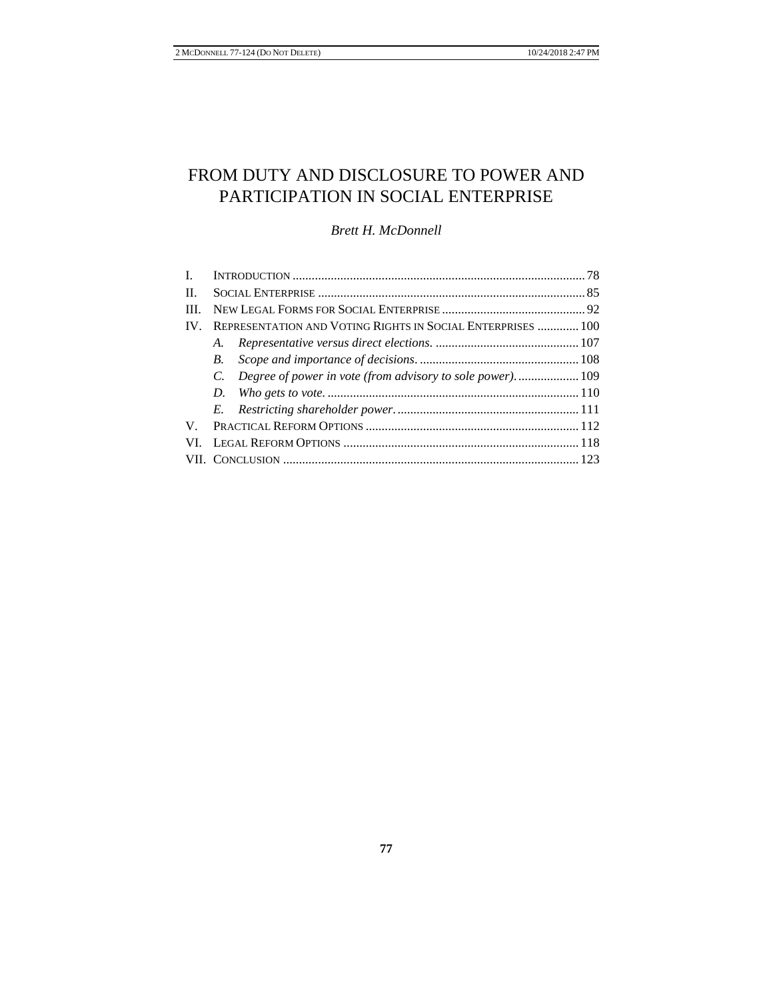# FROM DUTY AND DISCLOSURE TO POWER AND PARTICIPATION IN SOCIAL ENTERPRISE

*Brett H. McDonnell* 

| II.      |                                                                   |  |
|----------|-------------------------------------------------------------------|--|
| III.     |                                                                   |  |
| $IV_{-}$ | REPRESENTATION AND VOTING RIGHTS IN SOCIAL ENTERPRISES  100       |  |
|          | A.                                                                |  |
|          | <i>B</i> .                                                        |  |
|          | Degree of power in vote (from advisory to sole power).  109<br>C. |  |
|          | D.                                                                |  |
|          |                                                                   |  |
| V.       |                                                                   |  |
| VL       |                                                                   |  |
|          |                                                                   |  |
|          |                                                                   |  |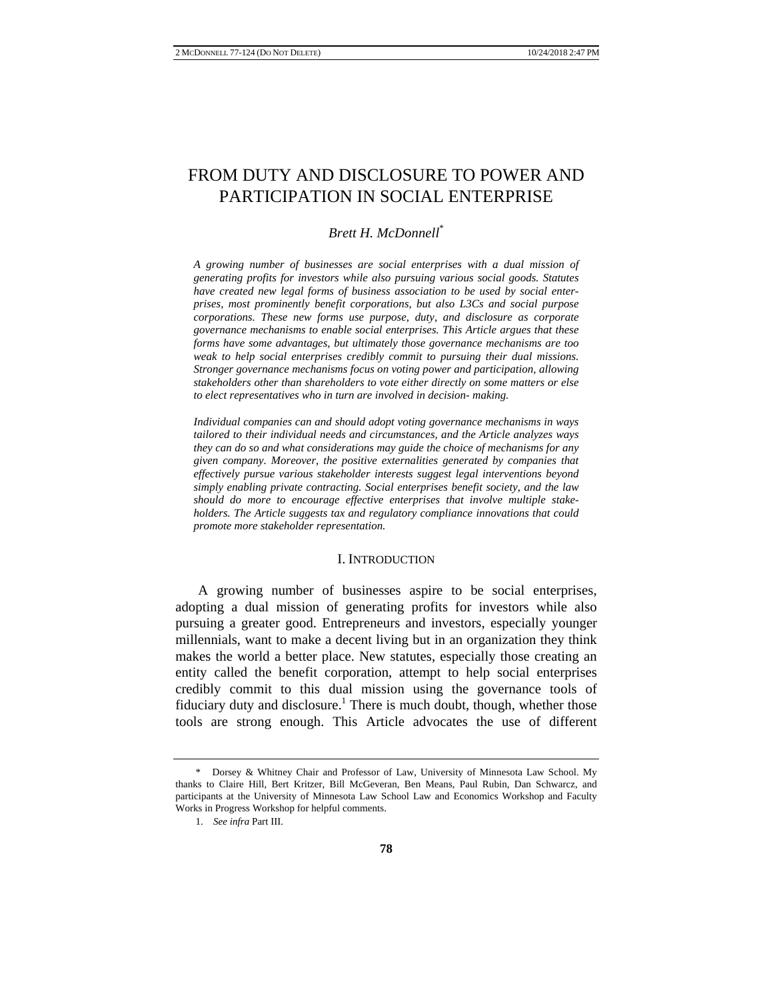## FROM DUTY AND DISCLOSURE TO POWER AND PARTICIPATION IN SOCIAL ENTERPRISE

#### *Brett H. McDonnell*\*

*A growing number of businesses are social enterprises with a dual mission of generating profits for investors while also pursuing various social goods. Statutes have created new legal forms of business association to be used by social enterprises, most prominently benefit corporations, but also L3Cs and social purpose corporations. These new forms use purpose, duty, and disclosure as corporate governance mechanisms to enable social enterprises. This Article argues that these forms have some advantages, but ultimately those governance mechanisms are too weak to help social enterprises credibly commit to pursuing their dual missions. Stronger governance mechanisms focus on voting power and participation, allowing stakeholders other than shareholders to vote either directly on some matters or else to elect representatives who in turn are involved in decision- making.* 

*Individual companies can and should adopt voting governance mechanisms in ways tailored to their individual needs and circumstances, and the Article analyzes ways they can do so and what considerations may guide the choice of mechanisms for any given company. Moreover, the positive externalities generated by companies that effectively pursue various stakeholder interests suggest legal interventions beyond simply enabling private contracting. Social enterprises benefit society, and the law should do more to encourage effective enterprises that involve multiple stakeholders. The Article suggests tax and regulatory compliance innovations that could promote more stakeholder representation.*

#### I. INTRODUCTION

A growing number of businesses aspire to be social enterprises, adopting a dual mission of generating profits for investors while also pursuing a greater good. Entrepreneurs and investors, especially younger millennials, want to make a decent living but in an organization they think makes the world a better place. New statutes, especially those creating an entity called the benefit corporation, attempt to help social enterprises credibly commit to this dual mission using the governance tools of fiduciary duty and disclosure.<sup>1</sup> There is much doubt, though, whether those tools are strong enough. This Article advocates the use of different

<sup>\*</sup> Dorsey & Whitney Chair and Professor of Law, University of Minnesota Law School. My thanks to Claire Hill, Bert Kritzer, Bill McGeveran, Ben Means, Paul Rubin, Dan Schwarcz, and participants at the University of Minnesota Law School Law and Economics Workshop and Faculty Works in Progress Workshop for helpful comments.

<sup>1.</sup> *See infra* Part III.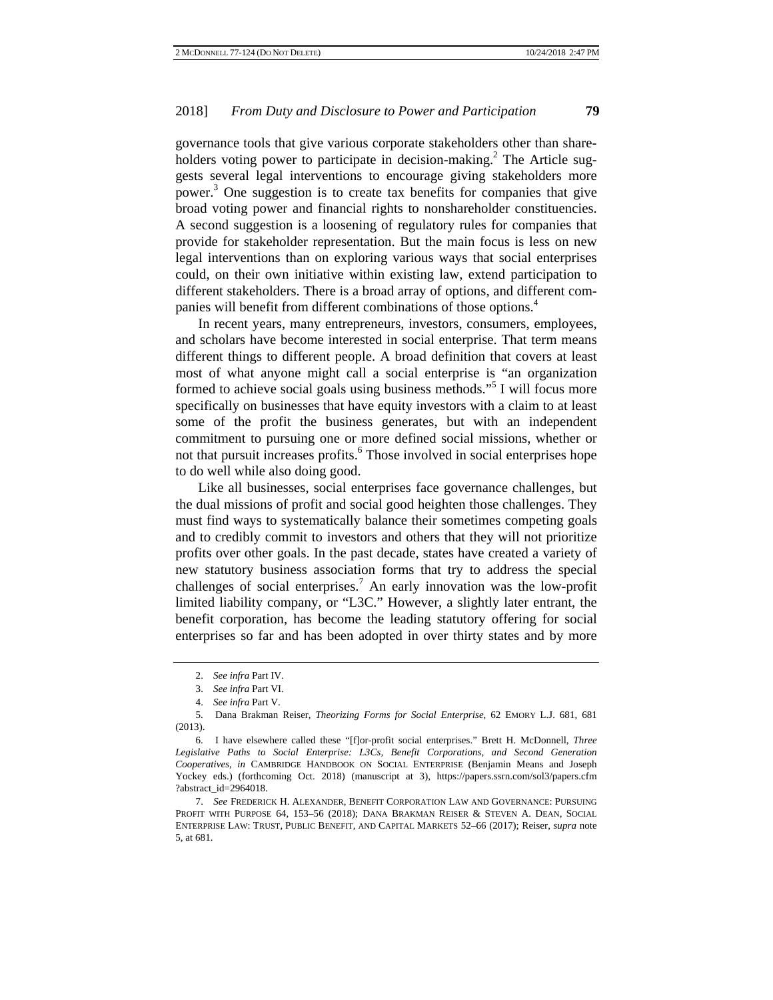governance tools that give various corporate stakeholders other than shareholders voting power to participate in decision-making.<sup>2</sup> The Article suggests several legal interventions to encourage giving stakeholders more power.<sup>3</sup> One suggestion is to create tax benefits for companies that give broad voting power and financial rights to nonshareholder constituencies. A second suggestion is a loosening of regulatory rules for companies that provide for stakeholder representation. But the main focus is less on new legal interventions than on exploring various ways that social enterprises could, on their own initiative within existing law, extend participation to different stakeholders. There is a broad array of options, and different companies will benefit from different combinations of those options.4

In recent years, many entrepreneurs, investors, consumers, employees, and scholars have become interested in social enterprise. That term means different things to different people. A broad definition that covers at least most of what anyone might call a social enterprise is "an organization formed to achieve social goals using business methods."<sup>5</sup> I will focus more specifically on businesses that have equity investors with a claim to at least some of the profit the business generates, but with an independent commitment to pursuing one or more defined social missions, whether or not that pursuit increases profits.<sup>6</sup> Those involved in social enterprises hope to do well while also doing good.

Like all businesses, social enterprises face governance challenges, but the dual missions of profit and social good heighten those challenges. They must find ways to systematically balance their sometimes competing goals and to credibly commit to investors and others that they will not prioritize profits over other goals. In the past decade, states have created a variety of new statutory business association forms that try to address the special challenges of social enterprises.<sup>7</sup> An early innovation was the low-profit limited liability company, or "L3C." However, a slightly later entrant, the benefit corporation, has become the leading statutory offering for social enterprises so far and has been adopted in over thirty states and by more

<sup>2.</sup> *See infra* Part IV.

<sup>3.</sup> *See infra* Part VI.

<sup>4.</sup> *See infra* Part V.

<sup>5.</sup> Dana Brakman Reiser, *Theorizing Forms for Social Enterprise*, 62 EMORY L.J. 681, 681 (2013).

<sup>6.</sup> I have elsewhere called these "[f]or-profit social enterprises." Brett H. McDonnell, *Three Legislative Paths to Social Enterprise: L3Cs, Benefit Corporations, and Second Generation Cooperatives*, *in* CAMBRIDGE HANDBOOK ON SOCIAL ENTERPRISE (Benjamin Means and Joseph Yockey eds.) (forthcoming Oct. 2018) (manuscript at 3), https://papers.ssrn.com/sol3/papers.cfm ?abstract\_id=2964018.

<sup>7.</sup> *See* FREDERICK H. ALEXANDER, BENEFIT CORPORATION LAW AND GOVERNANCE: PURSUING PROFIT WITH PURPOSE 64, 153–56 (2018); DANA BRAKMAN REISER & STEVEN A. DEAN, SOCIAL ENTERPRISE LAW: TRUST, PUBLIC BENEFIT, AND CAPITAL MARKETS 52–66 (2017); Reiser, *supra* note 5, at 681.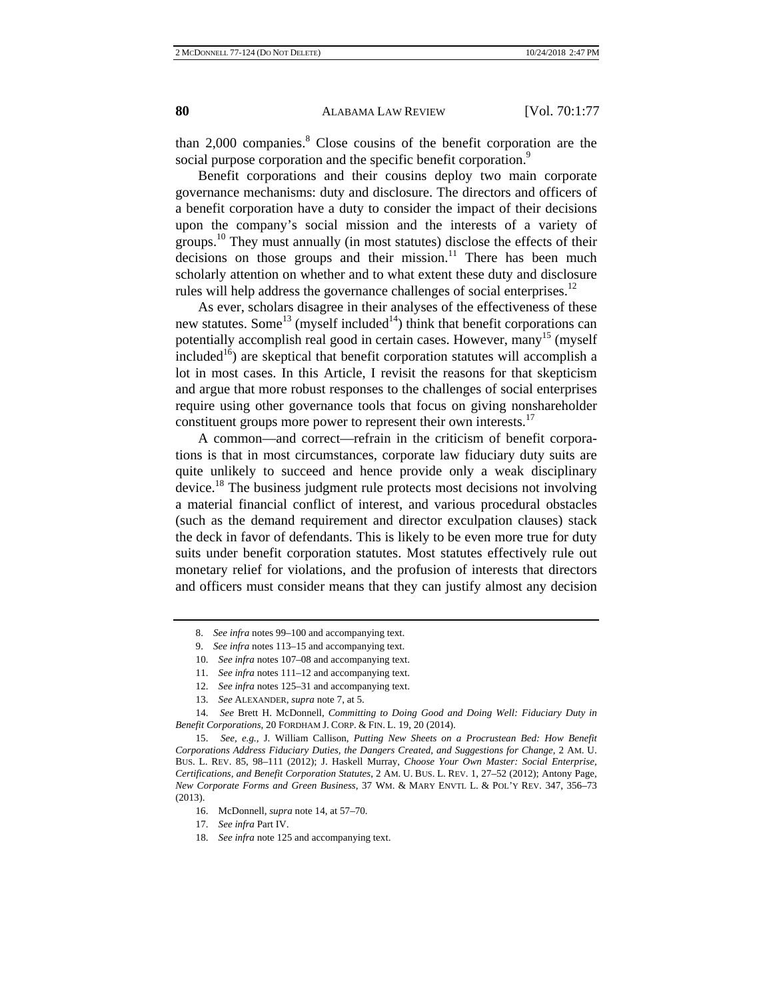than  $2,000$  companies.<sup>8</sup> Close cousins of the benefit corporation are the social purpose corporation and the specific benefit corporation.<sup>9</sup>

Benefit corporations and their cousins deploy two main corporate governance mechanisms: duty and disclosure. The directors and officers of a benefit corporation have a duty to consider the impact of their decisions upon the company's social mission and the interests of a variety of groups.<sup>10</sup> They must annually (in most statutes) disclose the effects of their decisions on those groups and their mission.<sup>11</sup> There has been much scholarly attention on whether and to what extent these duty and disclosure rules will help address the governance challenges of social enterprises.<sup>12</sup>

As ever, scholars disagree in their analyses of the effectiveness of these new statutes. Some<sup>13</sup> (myself included<sup>14</sup>) think that benefit corporations can potentially accomplish real good in certain cases. However, many<sup>15</sup> (myself included<sup>16</sup>) are skeptical that benefit corporation statutes will accomplish a lot in most cases. In this Article, I revisit the reasons for that skepticism and argue that more robust responses to the challenges of social enterprises require using other governance tools that focus on giving nonshareholder constituent groups more power to represent their own interests.<sup>17</sup>

A common—and correct—refrain in the criticism of benefit corporations is that in most circumstances, corporate law fiduciary duty suits are quite unlikely to succeed and hence provide only a weak disciplinary device.<sup>18</sup> The business judgment rule protects most decisions not involving a material financial conflict of interest, and various procedural obstacles (such as the demand requirement and director exculpation clauses) stack the deck in favor of defendants. This is likely to be even more true for duty suits under benefit corporation statutes. Most statutes effectively rule out monetary relief for violations, and the profusion of interests that directors and officers must consider means that they can justify almost any decision

- 10. *See infra* notes 107–08 and accompanying text.
- 11. *See infra* notes 111–12 and accompanying text.
- 12. *See infra* notes 125–31 and accompanying text.
- 13. *See* ALEXANDER, *supra* note 7, at 5.

14. *See* Brett H. McDonnell, *Committing to Doing Good and Doing Well: Fiduciary Duty in Benefit Corporations*, 20 FORDHAM J. CORP. & FIN. L. 19, 20 (2014).

15. *See, e.g.*, J. William Callison, *Putting New Sheets on a Procrustean Bed: How Benefit Corporations Address Fiduciary Duties, the Dangers Created, and Suggestions for Change*, 2 AM. U. BUS. L. REV. 85, 98–111 (2012); J. Haskell Murray, *Choose Your Own Master: Social Enterprise, Certifications, and Benefit Corporation Statutes*, 2 AM. U. BUS. L. REV. 1, 27–52 (2012); Antony Page, *New Corporate Forms and Green Business*, 37 WM. & MARY ENVTL L. & POL'Y REV. 347, 356–73 (2013).

- 16. McDonnell, *supra* note 14, at 57–70.
- 17. *See infra* Part IV.
- 18. *See infra* note 125 and accompanying text.

<sup>8.</sup> *See infra* notes 99–100 and accompanying text.

<sup>9.</sup> *See infra* notes 113–15 and accompanying text.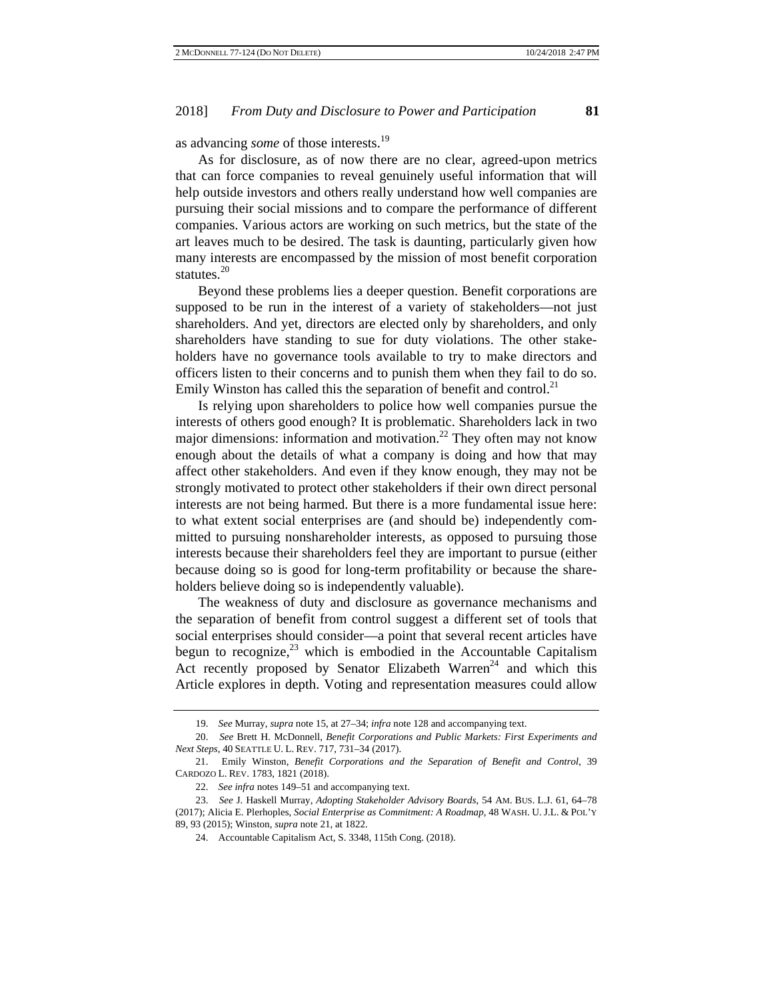as advancing *some* of those interests.<sup>19</sup>

As for disclosure, as of now there are no clear, agreed-upon metrics that can force companies to reveal genuinely useful information that will help outside investors and others really understand how well companies are pursuing their social missions and to compare the performance of different companies. Various actors are working on such metrics, but the state of the art leaves much to be desired. The task is daunting, particularly given how many interests are encompassed by the mission of most benefit corporation statutes.<sup>20</sup>

Beyond these problems lies a deeper question. Benefit corporations are supposed to be run in the interest of a variety of stakeholders—not just shareholders. And yet, directors are elected only by shareholders, and only shareholders have standing to sue for duty violations. The other stakeholders have no governance tools available to try to make directors and officers listen to their concerns and to punish them when they fail to do so. Emily Winston has called this the separation of benefit and control.<sup>21</sup>

Is relying upon shareholders to police how well companies pursue the interests of others good enough? It is problematic. Shareholders lack in two major dimensions: information and motivation.<sup>22</sup> They often may not know enough about the details of what a company is doing and how that may affect other stakeholders. And even if they know enough, they may not be strongly motivated to protect other stakeholders if their own direct personal interests are not being harmed. But there is a more fundamental issue here: to what extent social enterprises are (and should be) independently committed to pursuing nonshareholder interests, as opposed to pursuing those interests because their shareholders feel they are important to pursue (either because doing so is good for long-term profitability or because the shareholders believe doing so is independently valuable).

The weakness of duty and disclosure as governance mechanisms and the separation of benefit from control suggest a different set of tools that social enterprises should consider—a point that several recent articles have begun to recognize, $^{23}$  which is embodied in the Accountable Capitalism Act recently proposed by Senator Elizabeth Warren<sup>24</sup> and which this Article explores in depth. Voting and representation measures could allow

<sup>19.</sup> *See* Murray, *supra* note 15, at 27–34; *infra* note 128 and accompanying text.

<sup>20.</sup> *See* Brett H. McDonnell, *Benefit Corporations and Public Markets: First Experiments and Next Steps*, 40 SEATTLE U. L. REV. 717, 731–34 (2017).

<sup>21.</sup> Emily Winston, *Benefit Corporations and the Separation of Benefit and Control*, 39 CARDOZO L. REV. 1783, 1821 (2018).

<sup>22.</sup> *See infra* notes 149–51 and accompanying text.

<sup>23.</sup> *See* J. Haskell Murray, *Adopting Stakeholder Advisory Boards*, 54 AM. BUS. L.J. 61, 64–78 (2017); Alicia E. Plerhoples, *Social Enterprise as Commitment: A Roadmap*, 48 WASH. U. J.L. & POL'Y 89, 93 (2015); Winston, *supra* note 21, at 1822.

<sup>24.</sup> Accountable Capitalism Act, S. 3348, 115th Cong. (2018).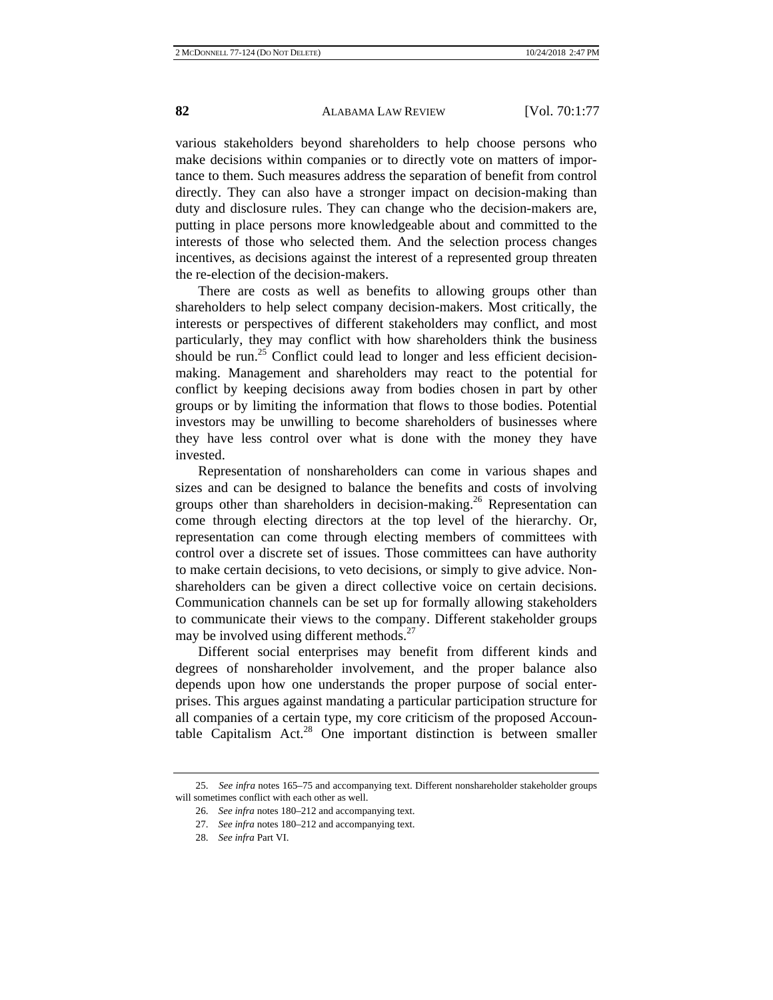various stakeholders beyond shareholders to help choose persons who make decisions within companies or to directly vote on matters of importance to them. Such measures address the separation of benefit from control directly. They can also have a stronger impact on decision-making than duty and disclosure rules. They can change who the decision-makers are, putting in place persons more knowledgeable about and committed to the interests of those who selected them. And the selection process changes incentives, as decisions against the interest of a represented group threaten the re-election of the decision-makers.

There are costs as well as benefits to allowing groups other than shareholders to help select company decision-makers. Most critically, the interests or perspectives of different stakeholders may conflict, and most particularly, they may conflict with how shareholders think the business should be run.<sup>25</sup> Conflict could lead to longer and less efficient decisionmaking. Management and shareholders may react to the potential for conflict by keeping decisions away from bodies chosen in part by other groups or by limiting the information that flows to those bodies. Potential investors may be unwilling to become shareholders of businesses where they have less control over what is done with the money they have invested.

Representation of nonshareholders can come in various shapes and sizes and can be designed to balance the benefits and costs of involving groups other than shareholders in decision-making.<sup>26</sup> Representation can come through electing directors at the top level of the hierarchy. Or, representation can come through electing members of committees with control over a discrete set of issues. Those committees can have authority to make certain decisions, to veto decisions, or simply to give advice. Nonshareholders can be given a direct collective voice on certain decisions. Communication channels can be set up for formally allowing stakeholders to communicate their views to the company. Different stakeholder groups may be involved using different methods.<sup>27</sup>

Different social enterprises may benefit from different kinds and degrees of nonshareholder involvement, and the proper balance also depends upon how one understands the proper purpose of social enterprises. This argues against mandating a particular participation structure for all companies of a certain type, my core criticism of the proposed Accountable Capitalism Act.<sup>28</sup> One important distinction is between smaller

<sup>25.</sup> *See infra* notes 165–75 and accompanying text. Different nonshareholder stakeholder groups will sometimes conflict with each other as well.

<sup>26.</sup> *See infra* notes 180–212 and accompanying text.

<sup>27.</sup> *See infra* notes 180–212 and accompanying text.

<sup>28.</sup> *See infra* Part VI.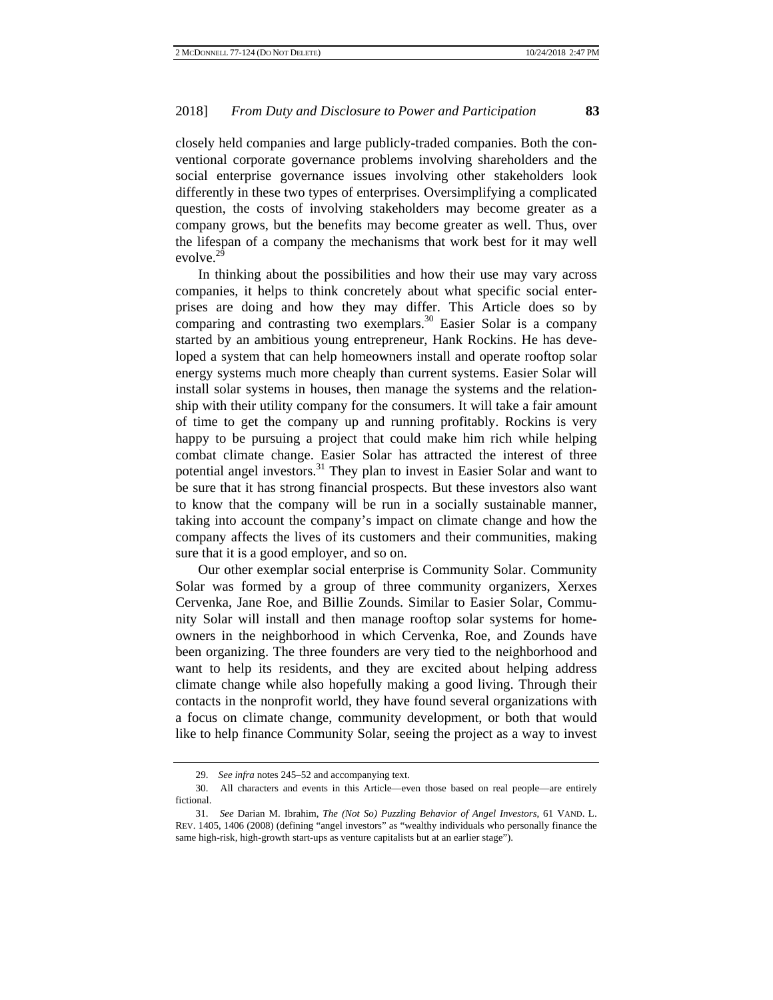closely held companies and large publicly-traded companies. Both the conventional corporate governance problems involving shareholders and the social enterprise governance issues involving other stakeholders look differently in these two types of enterprises. Oversimplifying a complicated question, the costs of involving stakeholders may become greater as a company grows, but the benefits may become greater as well. Thus, over the lifespan of a company the mechanisms that work best for it may well evolve. $2\overline{9}$ 

In thinking about the possibilities and how their use may vary across companies, it helps to think concretely about what specific social enterprises are doing and how they may differ. This Article does so by comparing and contrasting two exemplars.<sup>30</sup> Easier Solar is a company started by an ambitious young entrepreneur, Hank Rockins. He has developed a system that can help homeowners install and operate rooftop solar energy systems much more cheaply than current systems. Easier Solar will install solar systems in houses, then manage the systems and the relationship with their utility company for the consumers. It will take a fair amount of time to get the company up and running profitably. Rockins is very happy to be pursuing a project that could make him rich while helping combat climate change. Easier Solar has attracted the interest of three potential angel investors.<sup>31</sup> They plan to invest in Easier Solar and want to be sure that it has strong financial prospects. But these investors also want to know that the company will be run in a socially sustainable manner, taking into account the company's impact on climate change and how the company affects the lives of its customers and their communities, making sure that it is a good employer, and so on.

Our other exemplar social enterprise is Community Solar. Community Solar was formed by a group of three community organizers, Xerxes Cervenka, Jane Roe, and Billie Zounds. Similar to Easier Solar, Community Solar will install and then manage rooftop solar systems for homeowners in the neighborhood in which Cervenka, Roe, and Zounds have been organizing. The three founders are very tied to the neighborhood and want to help its residents, and they are excited about helping address climate change while also hopefully making a good living. Through their contacts in the nonprofit world, they have found several organizations with a focus on climate change, community development, or both that would like to help finance Community Solar, seeing the project as a way to invest

<sup>29.</sup> *See infra* notes 245–52 and accompanying text.

<sup>30.</sup> All characters and events in this Article—even those based on real people—are entirely fictional.

<sup>31.</sup> *See* Darian M. Ibrahim, *The (Not So) Puzzling Behavior of Angel Investors*, 61 VAND. L. REV. 1405, 1406 (2008) (defining "angel investors" as "wealthy individuals who personally finance the same high-risk, high-growth start-ups as venture capitalists but at an earlier stage").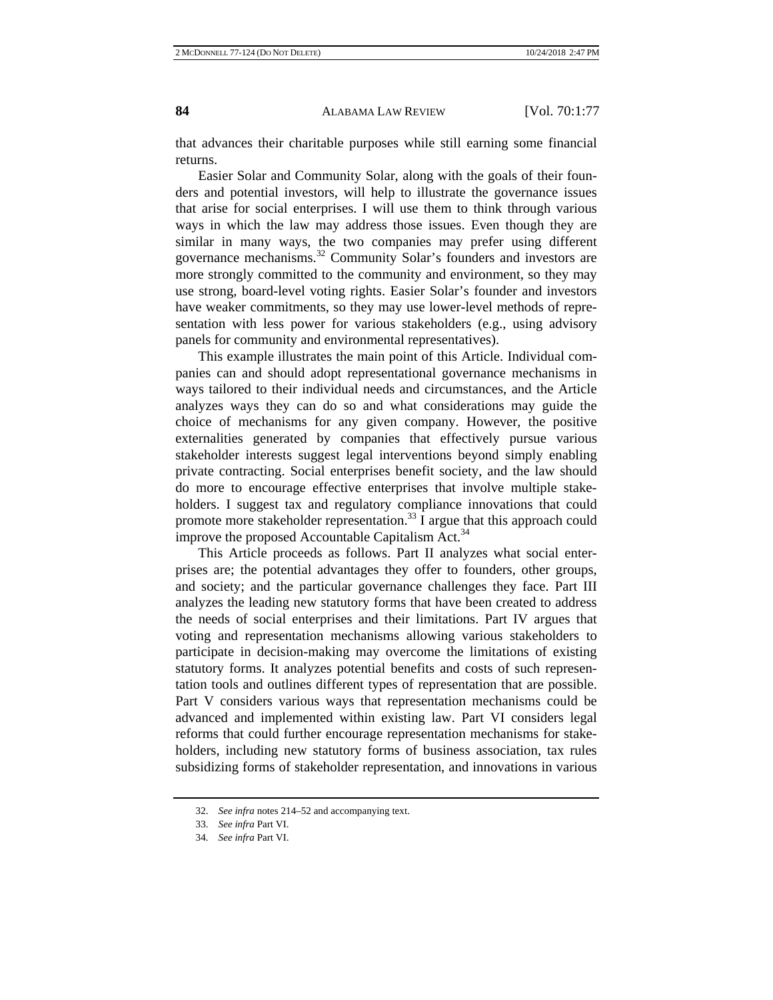that advances their charitable purposes while still earning some financial returns.

Easier Solar and Community Solar, along with the goals of their founders and potential investors, will help to illustrate the governance issues that arise for social enterprises. I will use them to think through various ways in which the law may address those issues. Even though they are similar in many ways, the two companies may prefer using different governance mechanisms.32 Community Solar's founders and investors are more strongly committed to the community and environment, so they may use strong, board-level voting rights. Easier Solar's founder and investors have weaker commitments, so they may use lower-level methods of representation with less power for various stakeholders (e.g., using advisory panels for community and environmental representatives).

This example illustrates the main point of this Article. Individual companies can and should adopt representational governance mechanisms in ways tailored to their individual needs and circumstances, and the Article analyzes ways they can do so and what considerations may guide the choice of mechanisms for any given company. However, the positive externalities generated by companies that effectively pursue various stakeholder interests suggest legal interventions beyond simply enabling private contracting. Social enterprises benefit society, and the law should do more to encourage effective enterprises that involve multiple stakeholders. I suggest tax and regulatory compliance innovations that could promote more stakeholder representation.<sup>33</sup> I argue that this approach could improve the proposed Accountable Capitalism Act.<sup>34</sup>

This Article proceeds as follows. Part II analyzes what social enterprises are; the potential advantages they offer to founders, other groups, and society; and the particular governance challenges they face. Part III analyzes the leading new statutory forms that have been created to address the needs of social enterprises and their limitations. Part IV argues that voting and representation mechanisms allowing various stakeholders to participate in decision-making may overcome the limitations of existing statutory forms. It analyzes potential benefits and costs of such representation tools and outlines different types of representation that are possible. Part V considers various ways that representation mechanisms could be advanced and implemented within existing law. Part VI considers legal reforms that could further encourage representation mechanisms for stakeholders, including new statutory forms of business association, tax rules subsidizing forms of stakeholder representation, and innovations in various

<sup>32.</sup> *See infra* notes 214–52 and accompanying text.

<sup>33.</sup> *See infra* Part VI.

<sup>34.</sup> *See infra* Part VI.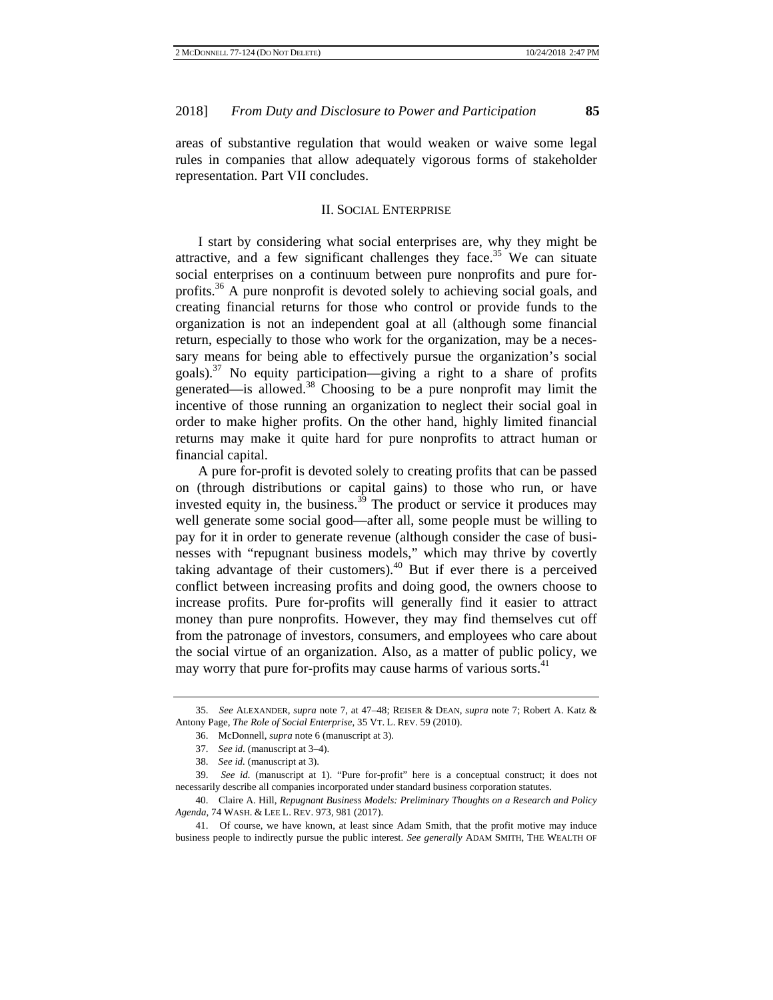areas of substantive regulation that would weaken or waive some legal rules in companies that allow adequately vigorous forms of stakeholder representation. Part VII concludes.

## II. SOCIAL ENTERPRISE

I start by considering what social enterprises are, why they might be attractive, and a few significant challenges they face.<sup>35</sup> We can situate social enterprises on a continuum between pure nonprofits and pure forprofits.<sup>36</sup> A pure nonprofit is devoted solely to achieving social goals, and creating financial returns for those who control or provide funds to the organization is not an independent goal at all (although some financial return, especially to those who work for the organization, may be a necessary means for being able to effectively pursue the organization's social goals).<sup>37</sup> No equity participation—giving a right to a share of profits generated—is allowed.38 Choosing to be a pure nonprofit may limit the incentive of those running an organization to neglect their social goal in order to make higher profits. On the other hand, highly limited financial returns may make it quite hard for pure nonprofits to attract human or financial capital.

A pure for-profit is devoted solely to creating profits that can be passed on (through distributions or capital gains) to those who run, or have invested equity in, the business.<sup>39</sup> The product or service it produces may well generate some social good—after all, some people must be willing to pay for it in order to generate revenue (although consider the case of businesses with "repugnant business models," which may thrive by covertly taking advantage of their customers).<sup>40</sup> But if ever there is a perceived conflict between increasing profits and doing good, the owners choose to increase profits. Pure for-profits will generally find it easier to attract money than pure nonprofits. However, they may find themselves cut off from the patronage of investors, consumers, and employees who care about the social virtue of an organization. Also, as a matter of public policy, we may worry that pure for-profits may cause harms of various sorts.<sup>41</sup>

<sup>35.</sup> *See* ALEXANDER, *supra* note 7, at 47–48; REISER & DEAN, *supra* note 7; Robert A. Katz & Antony Page, *The Role of Social Enterprise*, 35 VT. L. REV. 59 (2010).

<sup>36.</sup> McDonnell, *supra* note 6 (manuscript at 3).

<sup>37.</sup> *See id.* (manuscript at 3–4).

<sup>38.</sup> *See id.* (manuscript at 3).

<sup>39.</sup> *See id.* (manuscript at 1). "Pure for-profit" here is a conceptual construct; it does not necessarily describe all companies incorporated under standard business corporation statutes.

<sup>40.</sup> Claire A. Hill, *Repugnant Business Models: Preliminary Thoughts on a Research and Policy Agenda*, 74 WASH. & LEE L. REV. 973, 981 (2017).

<sup>41.</sup> Of course, we have known, at least since Adam Smith, that the profit motive may induce business people to indirectly pursue the public interest. *See generally* ADAM SMITH, THE WEALTH OF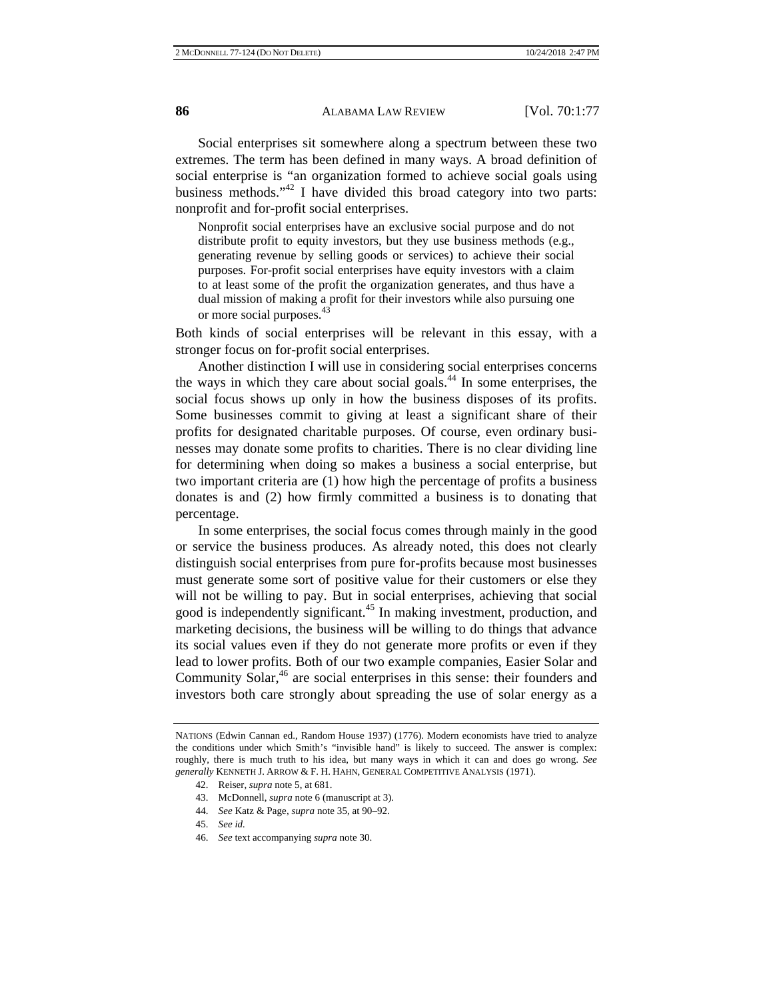Social enterprises sit somewhere along a spectrum between these two extremes. The term has been defined in many ways. A broad definition of social enterprise is "an organization formed to achieve social goals using business methods." $42$  I have divided this broad category into two parts: nonprofit and for-profit social enterprises.

Nonprofit social enterprises have an exclusive social purpose and do not distribute profit to equity investors, but they use business methods (e.g., generating revenue by selling goods or services) to achieve their social purposes. For-profit social enterprises have equity investors with a claim to at least some of the profit the organization generates, and thus have a dual mission of making a profit for their investors while also pursuing one or more social purposes.<sup>43</sup>

Both kinds of social enterprises will be relevant in this essay, with a stronger focus on for-profit social enterprises.

Another distinction I will use in considering social enterprises concerns the ways in which they care about social goals.44 In some enterprises, the social focus shows up only in how the business disposes of its profits. Some businesses commit to giving at least a significant share of their profits for designated charitable purposes. Of course, even ordinary businesses may donate some profits to charities. There is no clear dividing line for determining when doing so makes a business a social enterprise, but two important criteria are (1) how high the percentage of profits a business donates is and (2) how firmly committed a business is to donating that percentage.

In some enterprises, the social focus comes through mainly in the good or service the business produces. As already noted, this does not clearly distinguish social enterprises from pure for-profits because most businesses must generate some sort of positive value for their customers or else they will not be willing to pay. But in social enterprises, achieving that social good is independently significant.<sup>45</sup> In making investment, production, and marketing decisions, the business will be willing to do things that advance its social values even if they do not generate more profits or even if they lead to lower profits. Both of our two example companies, Easier Solar and Community Solar,<sup>46</sup> are social enterprises in this sense: their founders and investors both care strongly about spreading the use of solar energy as a

46. *See* text accompanying *supra* note 30.

NATIONS (Edwin Cannan ed., Random House 1937) (1776). Modern economists have tried to analyze the conditions under which Smith's "invisible hand" is likely to succeed. The answer is complex: roughly, there is much truth to his idea, but many ways in which it can and does go wrong. *See generally* KENNETH J. ARROW & F. H. HAHN, GENERAL COMPETITIVE ANALYSIS (1971).

<sup>42.</sup> Reiser, *supra* note 5, at 681.

<sup>43.</sup> McDonnell, *supra* note 6 (manuscript at 3).

<sup>44.</sup> *See* Katz & Page, *supra* note 35, at 90–92.

<sup>45.</sup> *See id.*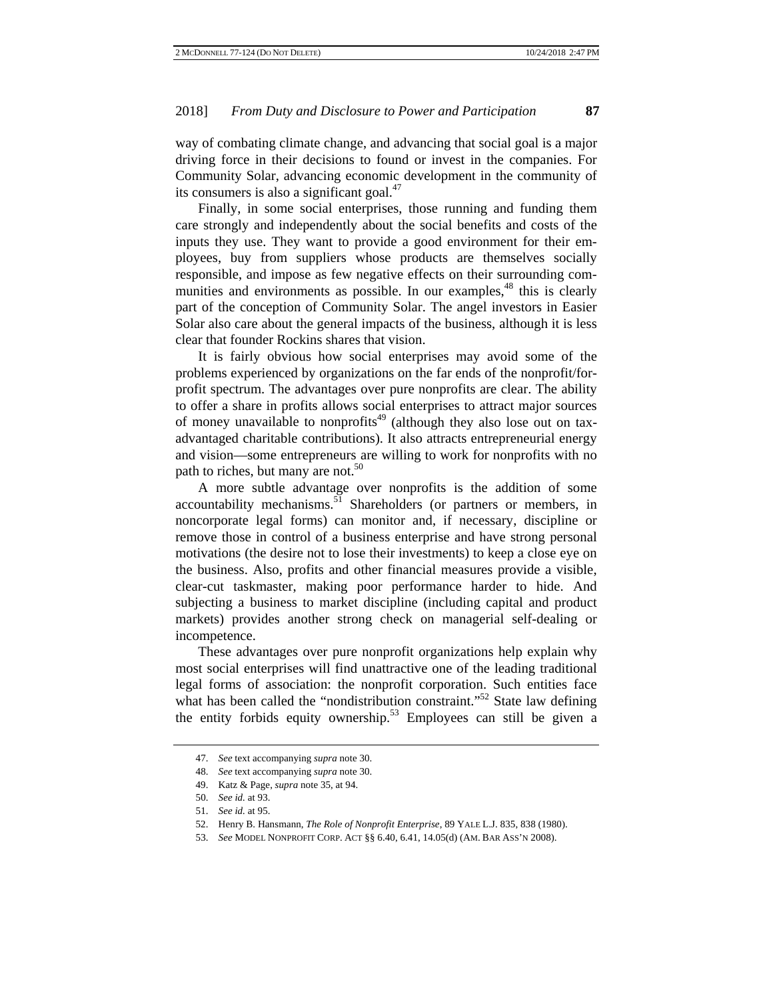way of combating climate change, and advancing that social goal is a major driving force in their decisions to found or invest in the companies. For Community Solar, advancing economic development in the community of its consumers is also a significant goal. $47$ 

Finally, in some social enterprises, those running and funding them care strongly and independently about the social benefits and costs of the inputs they use. They want to provide a good environment for their employees, buy from suppliers whose products are themselves socially responsible, and impose as few negative effects on their surrounding communities and environments as possible. In our examples,<sup>48</sup> this is clearly part of the conception of Community Solar. The angel investors in Easier Solar also care about the general impacts of the business, although it is less clear that founder Rockins shares that vision.

It is fairly obvious how social enterprises may avoid some of the problems experienced by organizations on the far ends of the nonprofit/forprofit spectrum. The advantages over pure nonprofits are clear. The ability to offer a share in profits allows social enterprises to attract major sources of money unavailable to nonprofits<sup>49</sup> (although they also lose out on taxadvantaged charitable contributions). It also attracts entrepreneurial energy and vision—some entrepreneurs are willing to work for nonprofits with no path to riches, but many are not. $50$ 

A more subtle advantage over nonprofits is the addition of some  $accountability$  mechanisms.<sup>51</sup> Shareholders (or partners or members, in noncorporate legal forms) can monitor and, if necessary, discipline or remove those in control of a business enterprise and have strong personal motivations (the desire not to lose their investments) to keep a close eye on the business. Also, profits and other financial measures provide a visible, clear-cut taskmaster, making poor performance harder to hide. And subjecting a business to market discipline (including capital and product markets) provides another strong check on managerial self-dealing or incompetence.

These advantages over pure nonprofit organizations help explain why most social enterprises will find unattractive one of the leading traditional legal forms of association: the nonprofit corporation. Such entities face what has been called the "nondistribution constraint."<sup>52</sup> State law defining the entity forbids equity ownership.<sup>53</sup> Employees can still be given a

<sup>47.</sup> *See* text accompanying *supra* note 30.

<sup>48.</sup> *See* text accompanying *supra* note 30.

<sup>49.</sup> Katz & Page, *supra* note 35, at 94.

<sup>50.</sup> *See id.* at 93.

<sup>51.</sup> *See id.* at 95.

<sup>52.</sup> Henry B. Hansmann, *The Role of Nonprofit Enterprise*, 89 YALE L.J. 835, 838 (1980).

<sup>53.</sup> *See* MODEL NONPROFIT CORP. ACT §§ 6.40, 6.41, 14.05(d) (AM. BAR ASS'N 2008).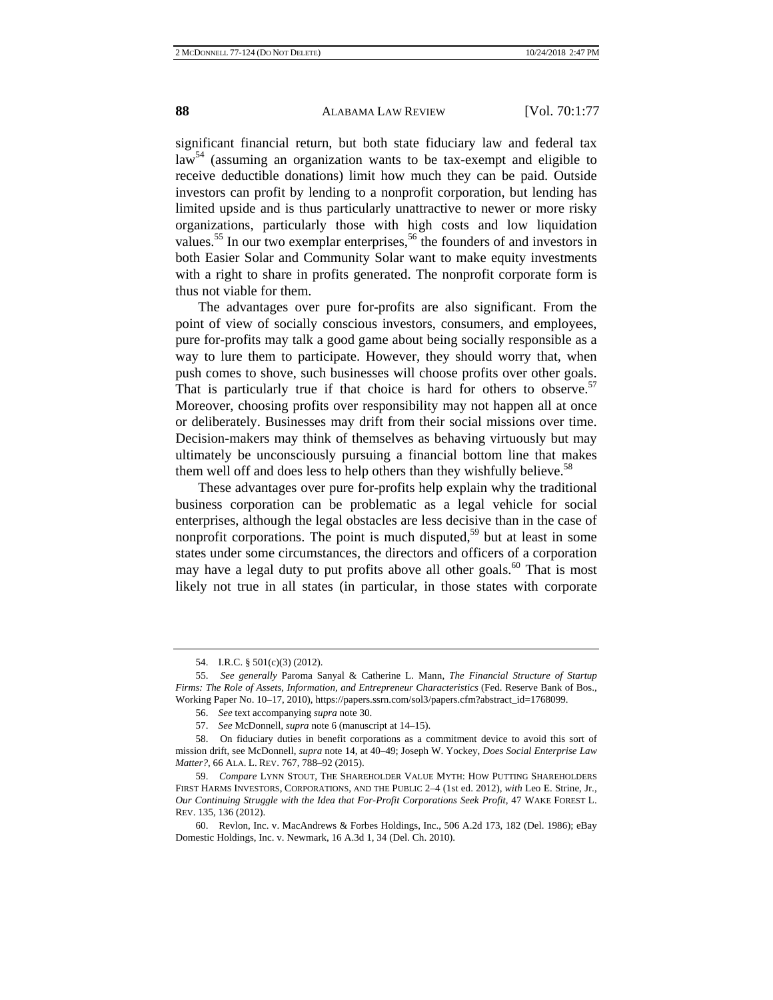significant financial return, but both state fiduciary law and federal tax law<sup>54</sup> (assuming an organization wants to be tax-exempt and eligible to receive deductible donations) limit how much they can be paid. Outside investors can profit by lending to a nonprofit corporation, but lending has limited upside and is thus particularly unattractive to newer or more risky organizations, particularly those with high costs and low liquidation values.<sup>55</sup> In our two exemplar enterprises,<sup>56</sup> the founders of and investors in both Easier Solar and Community Solar want to make equity investments with a right to share in profits generated. The nonprofit corporate form is thus not viable for them.

The advantages over pure for-profits are also significant. From the point of view of socially conscious investors, consumers, and employees, pure for-profits may talk a good game about being socially responsible as a way to lure them to participate. However, they should worry that, when push comes to shove, such businesses will choose profits over other goals. That is particularly true if that choice is hard for others to observe.<sup>57</sup> Moreover, choosing profits over responsibility may not happen all at once or deliberately. Businesses may drift from their social missions over time. Decision-makers may think of themselves as behaving virtuously but may ultimately be unconsciously pursuing a financial bottom line that makes them well off and does less to help others than they wishfully believe.<sup>58</sup>

These advantages over pure for-profits help explain why the traditional business corporation can be problematic as a legal vehicle for social enterprises, although the legal obstacles are less decisive than in the case of nonprofit corporations. The point is much disputed,<sup>59</sup> but at least in some states under some circumstances, the directors and officers of a corporation may have a legal duty to put profits above all other goals.<sup>60</sup> That is most likely not true in all states (in particular, in those states with corporate

<sup>54.</sup> I.R.C. § 501(c)(3) (2012).

<sup>55.</sup> *See generally* Paroma Sanyal & Catherine L. Mann, *The Financial Structure of Startup Firms: The Role of Assets, Information, and Entrepreneur Characteristics* (Fed. Reserve Bank of Bos., Working Paper No. 10–17, 2010), https://papers.ssrn.com/sol3/papers.cfm?abstract\_id=1768099.

<sup>56.</sup> *See* text accompanying *supra* note 30.

<sup>57.</sup> *See* McDonnell, *supra* note 6 (manuscript at 14–15).

<sup>58.</sup> On fiduciary duties in benefit corporations as a commitment device to avoid this sort of mission drift, see McDonnell, *supra* note 14, at 40–49; Joseph W. Yockey, *Does Social Enterprise Law Matter?*, 66 ALA. L. REV. 767, 788–92 (2015).

<sup>59.</sup> *Compare* LYNN STOUT, THE SHAREHOLDER VALUE MYTH: HOW PUTTING SHAREHOLDERS FIRST HARMS INVESTORS, CORPORATIONS, AND THE PUBLIC 2–4 (1st ed. 2012), *with* Leo E. Strine, Jr., *Our Continuing Struggle with the Idea that For-Profit Corporations Seek Profit*, 47 WAKE FOREST L. REV. 135, 136 (2012).

<sup>60.</sup> Revlon, Inc. v. MacAndrews & Forbes Holdings, Inc., 506 A.2d 173, 182 (Del. 1986); eBay Domestic Holdings, Inc. v. Newmark, 16 A.3d 1, 34 (Del. Ch. 2010).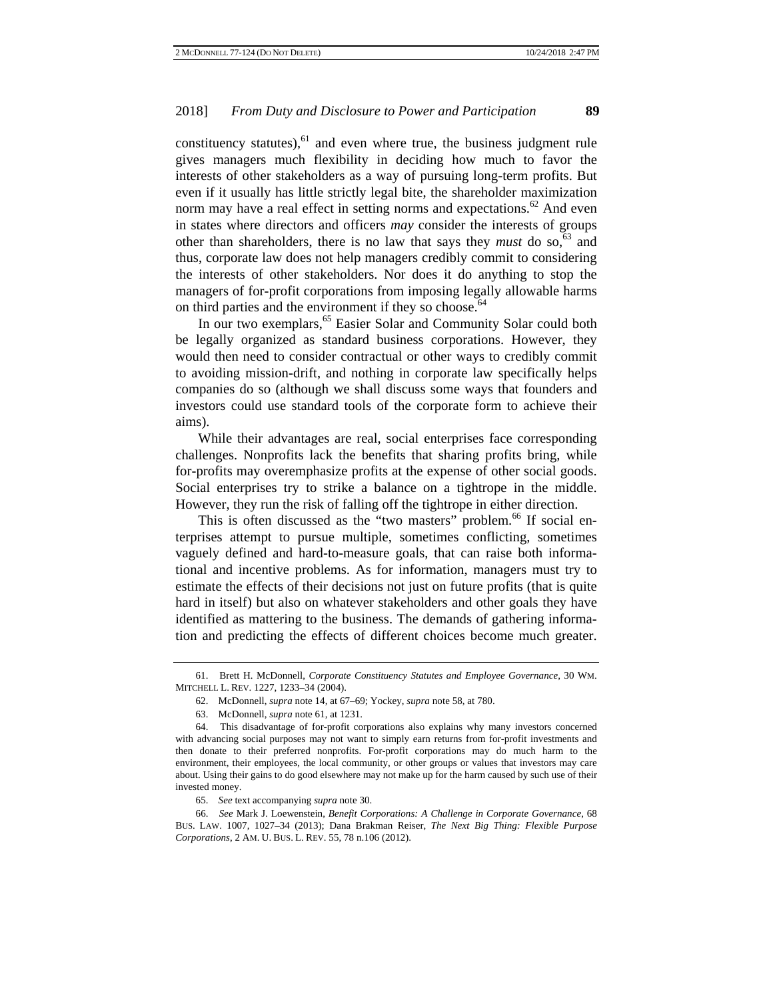constituency statutes), $61$  and even where true, the business judgment rule gives managers much flexibility in deciding how much to favor the interests of other stakeholders as a way of pursuing long-term profits. But even if it usually has little strictly legal bite, the shareholder maximization norm may have a real effect in setting norms and expectations.<sup>62</sup> And even in states where directors and officers *may* consider the interests of groups other than shareholders, there is no law that says they *must* do so,  $63$  and thus, corporate law does not help managers credibly commit to considering the interests of other stakeholders. Nor does it do anything to stop the managers of for-profit corporations from imposing legally allowable harms on third parties and the environment if they so choose.<sup>64</sup>

In our two exemplars,<sup>65</sup> Easier Solar and Community Solar could both be legally organized as standard business corporations. However, they would then need to consider contractual or other ways to credibly commit to avoiding mission-drift, and nothing in corporate law specifically helps companies do so (although we shall discuss some ways that founders and investors could use standard tools of the corporate form to achieve their aims).

While their advantages are real, social enterprises face corresponding challenges. Nonprofits lack the benefits that sharing profits bring, while for-profits may overemphasize profits at the expense of other social goods. Social enterprises try to strike a balance on a tightrope in the middle. However, they run the risk of falling off the tightrope in either direction.

This is often discussed as the "two masters" problem.<sup>66</sup> If social enterprises attempt to pursue multiple, sometimes conflicting, sometimes vaguely defined and hard-to-measure goals, that can raise both informational and incentive problems. As for information, managers must try to estimate the effects of their decisions not just on future profits (that is quite hard in itself) but also on whatever stakeholders and other goals they have identified as mattering to the business. The demands of gathering information and predicting the effects of different choices become much greater.

<sup>61.</sup> Brett H. McDonnell, *Corporate Constituency Statutes and Employee Governance*, 30 WM. MITCHELL L. REV. 1227, 1233–34 (2004).

<sup>62.</sup> McDonnell, *supra* note 14, at 67–69; Yockey, *supra* note 58, at 780.

<sup>63.</sup> McDonnell, *supra* note 61, at 1231.

<sup>64.</sup> This disadvantage of for-profit corporations also explains why many investors concerned with advancing social purposes may not want to simply earn returns from for-profit investments and then donate to their preferred nonprofits. For-profit corporations may do much harm to the environment, their employees, the local community, or other groups or values that investors may care about. Using their gains to do good elsewhere may not make up for the harm caused by such use of their invested money.

<sup>65.</sup> *See* text accompanying *supra* note 30.

<sup>66.</sup> *See* Mark J. Loewenstein, *Benefit Corporations: A Challenge in Corporate Governance*, 68 BUS. LAW. 1007, 1027–34 (2013); Dana Brakman Reiser, *The Next Big Thing: Flexible Purpose Corporations*, 2 AM. U. BUS. L. REV. 55, 78 n.106 (2012).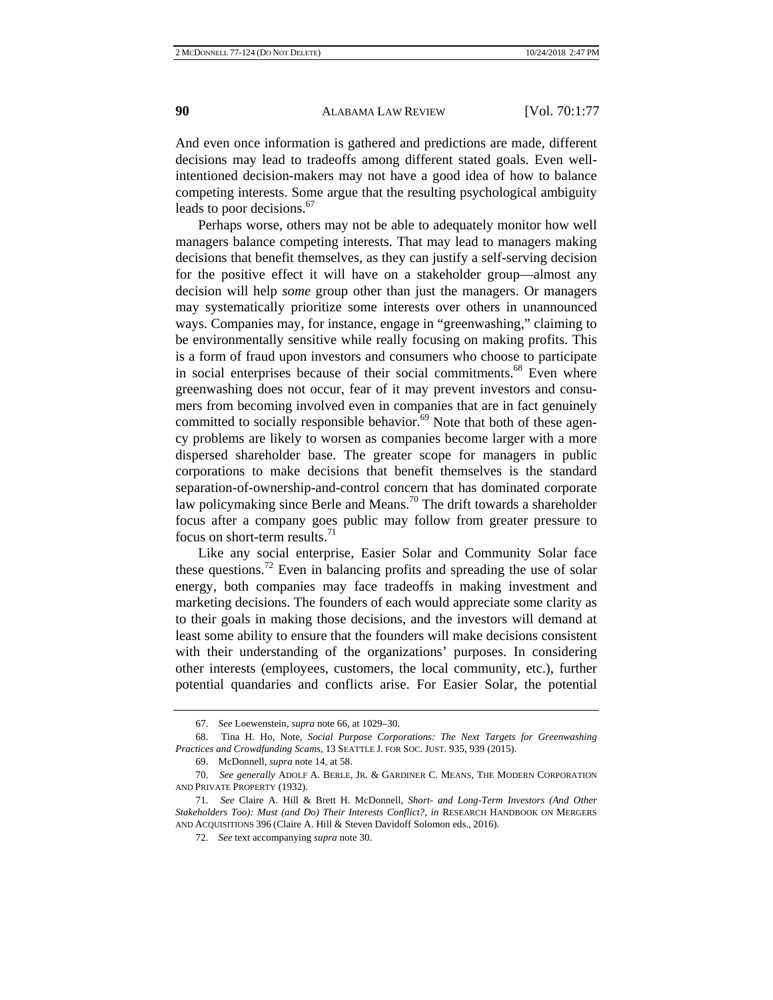And even once information is gathered and predictions are made, different decisions may lead to tradeoffs among different stated goals. Even wellintentioned decision-makers may not have a good idea of how to balance competing interests. Some argue that the resulting psychological ambiguity leads to poor decisions.<sup>67</sup>

Perhaps worse, others may not be able to adequately monitor how well managers balance competing interests. That may lead to managers making decisions that benefit themselves, as they can justify a self-serving decision for the positive effect it will have on a stakeholder group—almost any decision will help *some* group other than just the managers. Or managers may systematically prioritize some interests over others in unannounced ways. Companies may, for instance, engage in "greenwashing," claiming to be environmentally sensitive while really focusing on making profits. This is a form of fraud upon investors and consumers who choose to participate in social enterprises because of their social commitments.<sup>68</sup> Even where greenwashing does not occur, fear of it may prevent investors and consumers from becoming involved even in companies that are in fact genuinely committed to socially responsible behavior.<sup>69</sup> Note that both of these agency problems are likely to worsen as companies become larger with a more dispersed shareholder base. The greater scope for managers in public corporations to make decisions that benefit themselves is the standard separation-of-ownership-and-control concern that has dominated corporate law policymaking since Berle and Means.<sup>70</sup> The drift towards a shareholder focus after a company goes public may follow from greater pressure to focus on short-term results. $^{71}$ 

Like any social enterprise, Easier Solar and Community Solar face these questions.<sup>72</sup> Even in balancing profits and spreading the use of solar energy, both companies may face tradeoffs in making investment and marketing decisions. The founders of each would appreciate some clarity as to their goals in making those decisions, and the investors will demand at least some ability to ensure that the founders will make decisions consistent with their understanding of the organizations' purposes. In considering other interests (employees, customers, the local community, etc.), further potential quandaries and conflicts arise. For Easier Solar, the potential

<sup>67.</sup> *See* Loewenstein, *supra* note 66, at 1029–30.

<sup>68.</sup> Tina H. Ho, Note, *Social Purpose Corporations: The Next Targets for Greenwashing Practices and Crowdfunding Scams*, 13 SEATTLE J. FOR SOC. JUST. 935, 939 (2015).

<sup>69.</sup> McDonnell, *supra* note 14, at 58.

<sup>70.</sup> *See generally* ADOLF A. BERLE, JR. & GARDINER C. MEANS, THE MODERN CORPORATION AND PRIVATE PROPERTY (1932).

<sup>71.</sup> *See* Claire A. Hill & Brett H. McDonnell, *Short- and Long-Term Investors (And Other Stakeholders Too): Must (and Do) Their Interests Conflict?*, *in* RESEARCH HANDBOOK ON MERGERS AND ACQUISITIONS 396 (Claire A. Hill & Steven Davidoff Solomon eds., 2016).

<sup>72.</sup> *See* text accompanying *supra* note 30.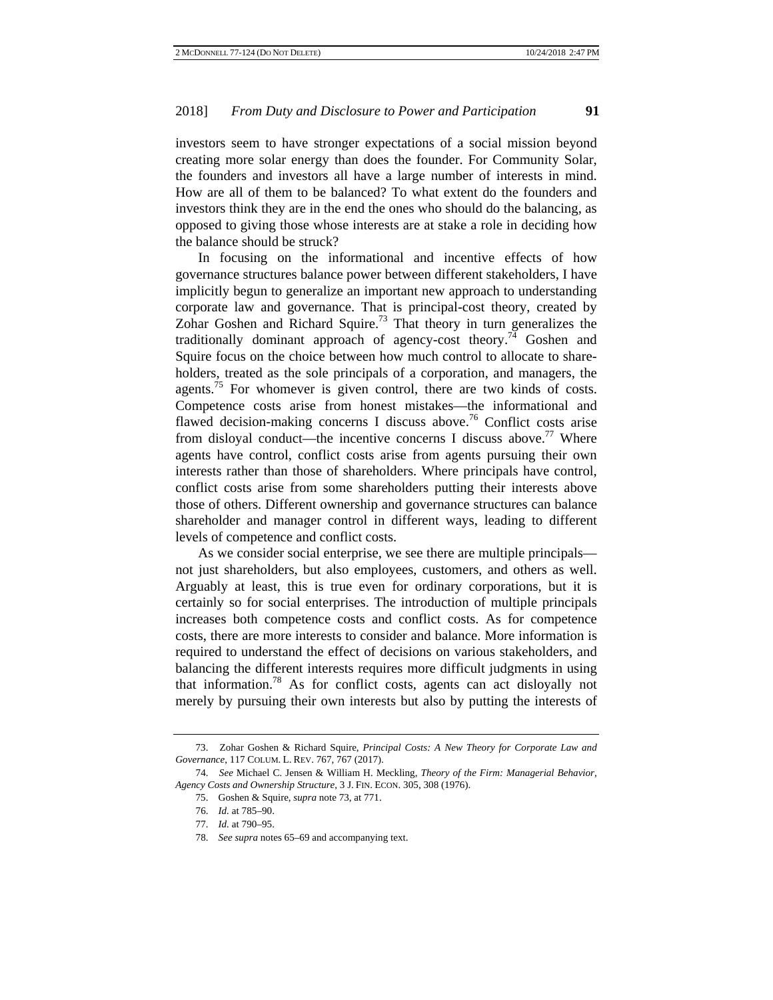investors seem to have stronger expectations of a social mission beyond creating more solar energy than does the founder. For Community Solar, the founders and investors all have a large number of interests in mind. How are all of them to be balanced? To what extent do the founders and investors think they are in the end the ones who should do the balancing, as opposed to giving those whose interests are at stake a role in deciding how the balance should be struck?

In focusing on the informational and incentive effects of how governance structures balance power between different stakeholders, I have implicitly begun to generalize an important new approach to understanding corporate law and governance. That is principal-cost theory, created by Zohar Goshen and Richard Squire.<sup>73</sup> That theory in turn generalizes the traditionally dominant approach of agency-cost theory.<sup>74</sup> Goshen and Squire focus on the choice between how much control to allocate to shareholders, treated as the sole principals of a corporation, and managers, the agents.<sup>75</sup> For whomever is given control, there are two kinds of costs. Competence costs arise from honest mistakes—the informational and flawed decision-making concerns I discuss above.<sup>76</sup> Conflict costs arise from disloyal conduct—the incentive concerns I discuss above.<sup>77</sup> Where agents have control, conflict costs arise from agents pursuing their own interests rather than those of shareholders. Where principals have control, conflict costs arise from some shareholders putting their interests above those of others. Different ownership and governance structures can balance shareholder and manager control in different ways, leading to different levels of competence and conflict costs.

As we consider social enterprise, we see there are multiple principals not just shareholders, but also employees, customers, and others as well. Arguably at least, this is true even for ordinary corporations, but it is certainly so for social enterprises. The introduction of multiple principals increases both competence costs and conflict costs. As for competence costs, there are more interests to consider and balance. More information is required to understand the effect of decisions on various stakeholders, and balancing the different interests requires more difficult judgments in using that information.78 As for conflict costs, agents can act disloyally not merely by pursuing their own interests but also by putting the interests of

<sup>73.</sup> Zohar Goshen & Richard Squire, *Principal Costs: A New Theory for Corporate Law and Governance*, 117 COLUM. L. REV. 767, 767 (2017).

<sup>74.</sup> *See* Michael C. Jensen & William H. Meckling, *Theory of the Firm: Managerial Behavior, Agency Costs and Ownership Structure*, 3 J. FIN. ECON. 305, 308 (1976).

<sup>75.</sup> Goshen & Squire, *supra* note 73, at 771.

<sup>76.</sup> *Id.* at 785–90.

<sup>77.</sup> *Id.* at 790–95.

<sup>78.</sup> *See supra* notes 65–69 and accompanying text.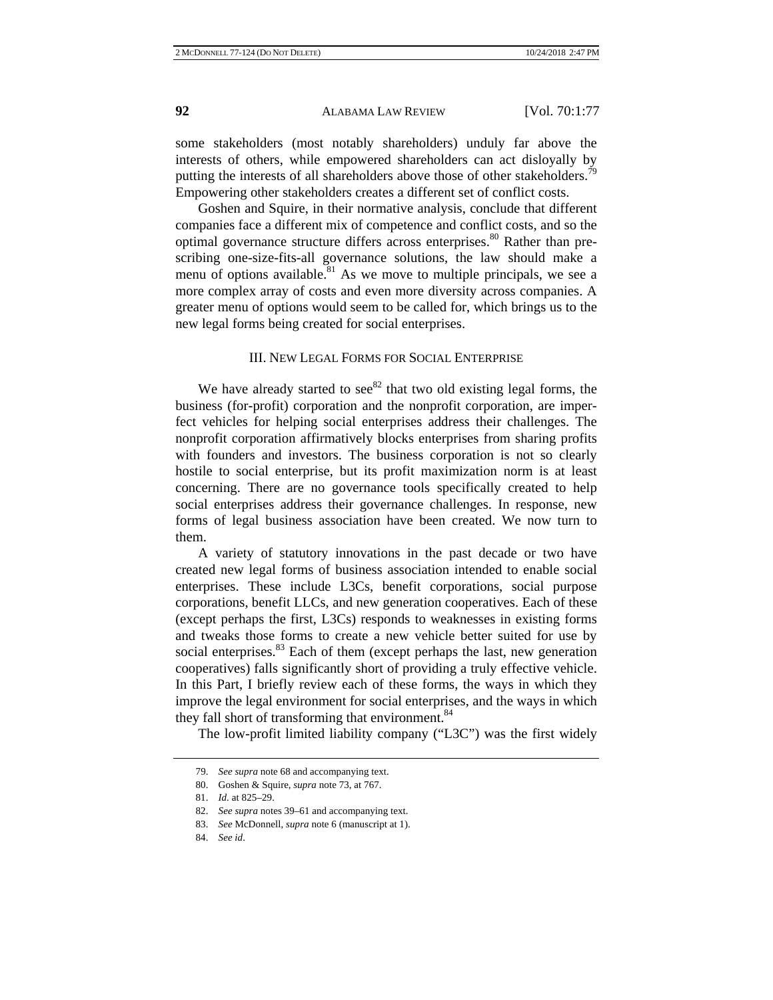some stakeholders (most notably shareholders) unduly far above the interests of others, while empowered shareholders can act disloyally by putting the interests of all shareholders above those of other stakeholders.<sup>79</sup> Empowering other stakeholders creates a different set of conflict costs.

Goshen and Squire, in their normative analysis, conclude that different companies face a different mix of competence and conflict costs, and so the optimal governance structure differs across enterprises. $80$  Rather than prescribing one-size-fits-all governance solutions, the law should make a menu of options available.<sup>81</sup> As we move to multiple principals, we see a more complex array of costs and even more diversity across companies. A greater menu of options would seem to be called for, which brings us to the new legal forms being created for social enterprises.

#### III. NEW LEGAL FORMS FOR SOCIAL ENTERPRISE

We have already started to  $\sec^{82}$  that two old existing legal forms, the business (for-profit) corporation and the nonprofit corporation, are imperfect vehicles for helping social enterprises address their challenges. The nonprofit corporation affirmatively blocks enterprises from sharing profits with founders and investors. The business corporation is not so clearly hostile to social enterprise, but its profit maximization norm is at least concerning. There are no governance tools specifically created to help social enterprises address their governance challenges. In response, new forms of legal business association have been created. We now turn to them.

A variety of statutory innovations in the past decade or two have created new legal forms of business association intended to enable social enterprises. These include L3Cs, benefit corporations, social purpose corporations, benefit LLCs, and new generation cooperatives. Each of these (except perhaps the first, L3Cs) responds to weaknesses in existing forms and tweaks those forms to create a new vehicle better suited for use by social enterprises.<sup>83</sup> Each of them (except perhaps the last, new generation cooperatives) falls significantly short of providing a truly effective vehicle. In this Part, I briefly review each of these forms, the ways in which they improve the legal environment for social enterprises, and the ways in which they fall short of transforming that environment.<sup>84</sup>

The low-profit limited liability company ("L3C") was the first widely

<sup>79.</sup> *See supra* note 68 and accompanying text.

<sup>80.</sup> Goshen & Squire, *supra* note 73, at 767.

<sup>81.</sup> *Id.* at 825–29.

<sup>82.</sup> *See supra* notes 39–61 and accompanying text.

<sup>83.</sup> *See* McDonnell, *supra* note 6 (manuscript at 1).

<sup>84.</sup> *See id*.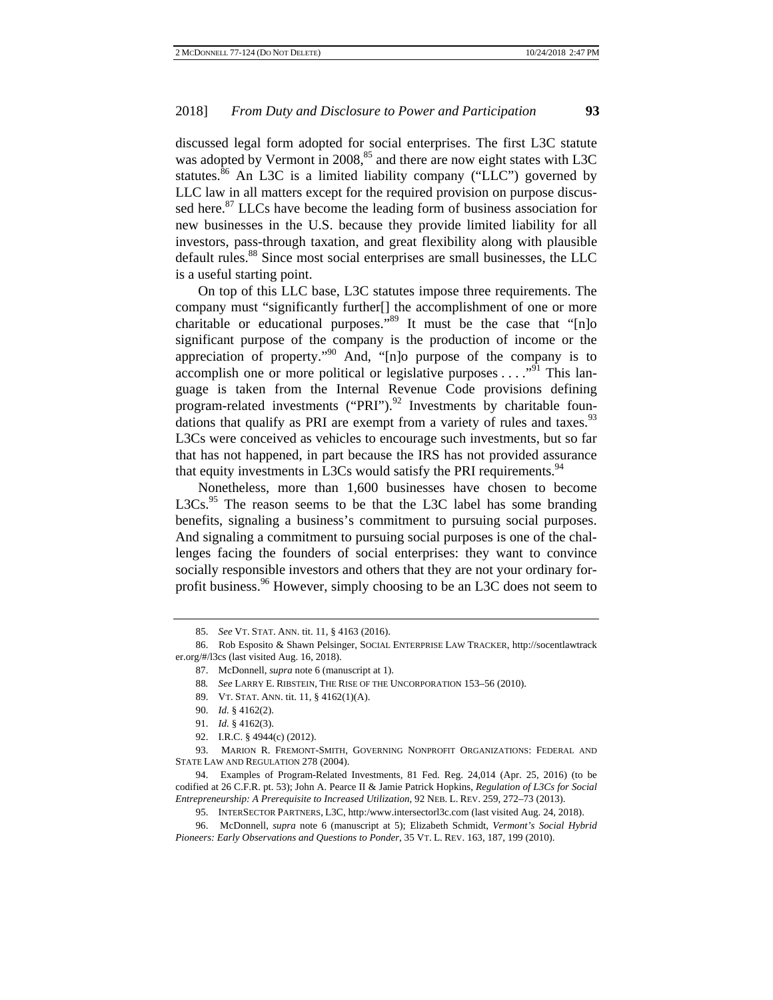discussed legal form adopted for social enterprises. The first L3C statute was adopted by Vermont in  $2008$ <sup>85</sup> and there are now eight states with L3C statutes.<sup>86</sup> An L3C is a limited liability company ("LLC") governed by LLC law in all matters except for the required provision on purpose discussed here.<sup>87</sup> LLCs have become the leading form of business association for new businesses in the U.S. because they provide limited liability for all investors, pass-through taxation, and great flexibility along with plausible default rules.<sup>88</sup> Since most social enterprises are small businesses, the LLC is a useful starting point.

On top of this LLC base, L3C statutes impose three requirements. The company must "significantly further[] the accomplishment of one or more charitable or educational purposes."<sup>89</sup> It must be the case that "[n]o significant purpose of the company is the production of income or the appreciation of property."90 And, "[n]o purpose of the company is to accomplish one or more political or legislative purposes  $\dots$ <sup>91</sup>. This language is taken from the Internal Revenue Code provisions defining program-related investments ("PRI"). $^{92}$  Investments by charitable foundations that qualify as PRI are exempt from a variety of rules and taxes. $93$ L3Cs were conceived as vehicles to encourage such investments, but so far that has not happened, in part because the IRS has not provided assurance that equity investments in L3Cs would satisfy the PRI requirements.<sup>94</sup>

Nonetheless, more than 1,600 businesses have chosen to become  $L3Cs<sup>95</sup>$  The reason seems to be that the L3C label has some branding benefits, signaling a business's commitment to pursuing social purposes. And signaling a commitment to pursuing social purposes is one of the challenges facing the founders of social enterprises: they want to convince socially responsible investors and others that they are not your ordinary forprofit business.  $96$  However, simply choosing to be an L3C does not seem to

<sup>85.</sup> *See* VT. STAT. ANN. tit. 11, § 4163 (2016).

<sup>86.</sup> Rob Esposito & Shawn Pelsinger, SOCIAL ENTERPRISE LAW TRACKER, http://socentlawtrack er.org/#/l3cs (last visited Aug. 16, 2018).

<sup>87.</sup> McDonnell, *supra* note 6 (manuscript at 1).

<sup>88</sup>*. See* LARRY E. RIBSTEIN, THE RISE OF THE UNCORPORATION 153–56 (2010).

<sup>89.</sup> VT. STAT. ANN. tit. 11, § 4162(1)(A).

<sup>90.</sup> *Id.* § 4162(2).

<sup>91.</sup> *Id.* § 4162(3).

<sup>92.</sup> I.R.C. § 4944(c) (2012).

<sup>93.</sup> MARION R. FREMONT-SMITH, GOVERNING NONPROFIT ORGANIZATIONS: FEDERAL AND STATE LAW AND REGULATION 278 (2004).

<sup>94.</sup> Examples of Program-Related Investments, 81 Fed. Reg. 24,014 (Apr. 25, 2016) (to be codified at 26 C.F.R. pt. 53); John A. Pearce II & Jamie Patrick Hopkins, *Regulation of L3Cs for Social Entrepreneurship: A Prerequisite to Increased Utilization*, 92 NEB. L. REV. 259, 272–73 (2013).

<sup>95.</sup> INTERSECTOR PARTNERS, L3C, http:/www.intersectorl3c.com (last visited Aug. 24, 2018).

<sup>96.</sup> McDonnell, *supra* note 6 (manuscript at 5); Elizabeth Schmidt, *Vermont's Social Hybrid Pioneers: Early Observations and Questions to Ponder*, 35 VT. L. REV. 163, 187, 199 (2010).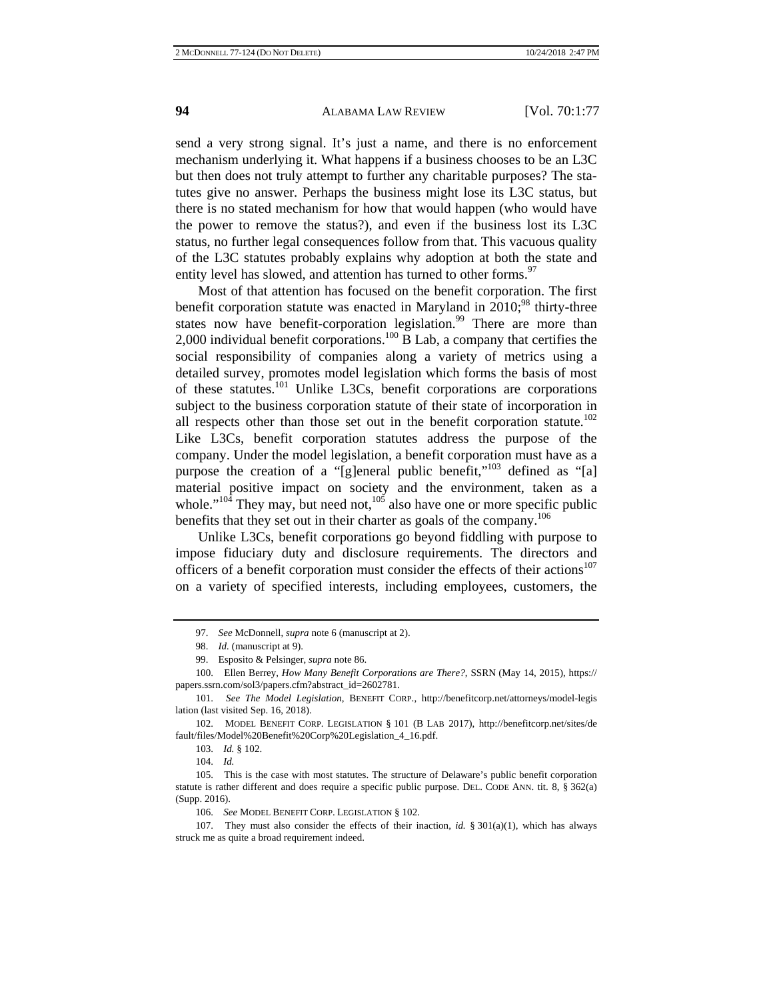send a very strong signal. It's just a name, and there is no enforcement mechanism underlying it. What happens if a business chooses to be an L3C but then does not truly attempt to further any charitable purposes? The statutes give no answer. Perhaps the business might lose its L3C status, but there is no stated mechanism for how that would happen (who would have the power to remove the status?), and even if the business lost its L3C status, no further legal consequences follow from that. This vacuous quality of the L3C statutes probably explains why adoption at both the state and entity level has slowed, and attention has turned to other forms.<sup>97</sup>

Most of that attention has focused on the benefit corporation. The first benefit corporation statute was enacted in Maryland in  $2010$ ;<sup>98</sup> thirty-three states now have benefit-corporation legislation.<sup>99</sup> There are more than 2,000 individual benefit corporations.<sup>100</sup> B Lab, a company that certifies the social responsibility of companies along a variety of metrics using a detailed survey, promotes model legislation which forms the basis of most of these statutes.101 Unlike L3Cs, benefit corporations are corporations subject to the business corporation statute of their state of incorporation in all respects other than those set out in the benefit corporation statute.<sup>102</sup> Like L3Cs, benefit corporation statutes address the purpose of the company. Under the model legislation, a benefit corporation must have as a purpose the creation of a "[g]eneral public benefit,"<sup>103</sup> defined as "[a] material positive impact on society and the environment, taken as a whole." $10^4$  They may, but need not,  $10^5$  also have one or more specific public benefits that they set out in their charter as goals of the company.<sup>106</sup>

Unlike L3Cs, benefit corporations go beyond fiddling with purpose to impose fiduciary duty and disclosure requirements. The directors and officers of a benefit corporation must consider the effects of their actions<sup>107</sup> on a variety of specified interests, including employees, customers, the

<sup>97.</sup> *See* McDonnell, *supra* note 6 (manuscript at 2).

<sup>98.</sup> *Id.* (manuscript at 9).

<sup>99.</sup> Esposito & Pelsinger, *supra* note 86.

<sup>100.</sup> Ellen Berrey, *How Many Benefit Corporations are There?*, SSRN (May 14, 2015), https:// papers.ssrn.com/sol3/papers.cfm?abstract\_id=2602781.

<sup>101.</sup> *See The Model Legislation*, BENEFIT CORP., http://benefitcorp.net/attorneys/model-legis lation (last visited Sep. 16, 2018).

<sup>102.</sup> MODEL BENEFIT CORP. LEGISLATION § 101 (B LAB 2017), http://benefitcorp.net/sites/de fault/files/Model%20Benefit%20Corp%20Legislation\_4\_16.pdf.

<sup>103.</sup> *Id.* § 102.

<sup>104.</sup> *Id.*

<sup>105.</sup> This is the case with most statutes. The structure of Delaware's public benefit corporation statute is rather different and does require a specific public purpose. DEL. CODE ANN. tit. 8, § 362(a) (Supp. 2016).

<sup>106.</sup> *See* MODEL BENEFIT CORP. LEGISLATION § 102.

<sup>107.</sup> They must also consider the effects of their inaction, *id.* § 301(a)(1), which has always struck me as quite a broad requirement indeed.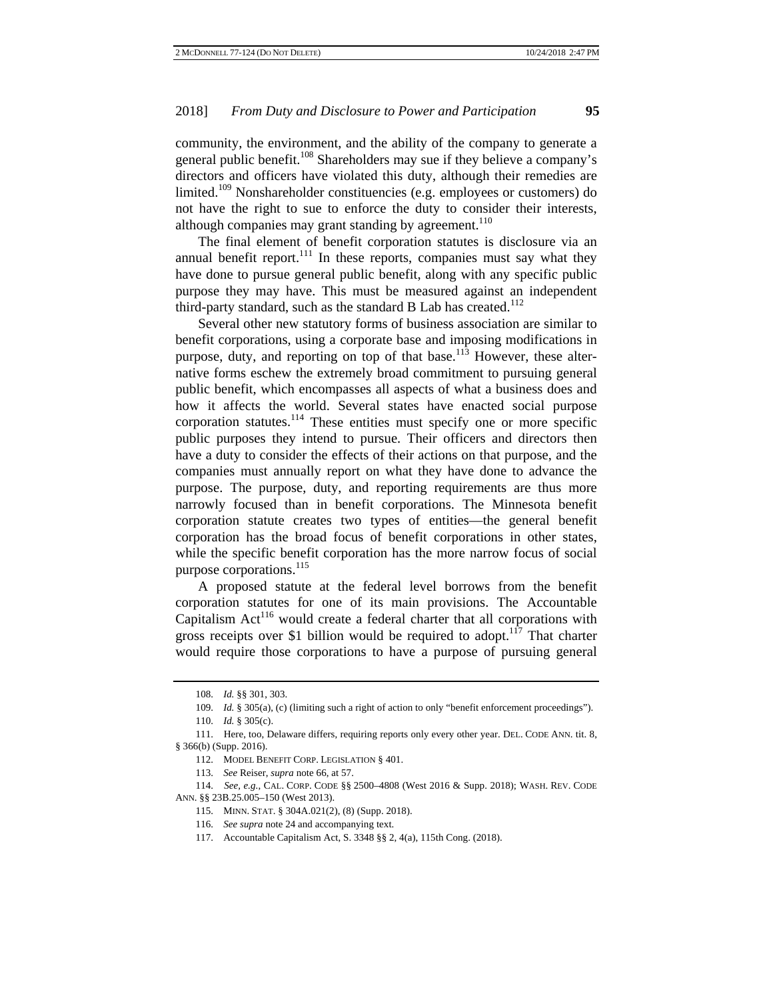community, the environment, and the ability of the company to generate a general public benefit.<sup>108</sup> Shareholders may sue if they believe a company's directors and officers have violated this duty, although their remedies are limited.<sup>109</sup> Nonshareholder constituencies (e.g. employees or customers) do not have the right to sue to enforce the duty to consider their interests, although companies may grant standing by agreement.<sup>110</sup>

The final element of benefit corporation statutes is disclosure via an annual benefit report. $111$  In these reports, companies must say what they have done to pursue general public benefit, along with any specific public purpose they may have. This must be measured against an independent third-party standard, such as the standard B Lab has created. $112$ 

Several other new statutory forms of business association are similar to benefit corporations, using a corporate base and imposing modifications in purpose, duty, and reporting on top of that base.<sup>113</sup> However, these alternative forms eschew the extremely broad commitment to pursuing general public benefit, which encompasses all aspects of what a business does and how it affects the world. Several states have enacted social purpose corporation statutes.<sup>114</sup> These entities must specify one or more specific public purposes they intend to pursue. Their officers and directors then have a duty to consider the effects of their actions on that purpose, and the companies must annually report on what they have done to advance the purpose. The purpose, duty, and reporting requirements are thus more narrowly focused than in benefit corporations. The Minnesota benefit corporation statute creates two types of entities—the general benefit corporation has the broad focus of benefit corporations in other states, while the specific benefit corporation has the more narrow focus of social purpose corporations.<sup>115</sup>

A proposed statute at the federal level borrows from the benefit corporation statutes for one of its main provisions. The Accountable Capitalism  $Act^{116}$  would create a federal charter that all corporations with gross receipts over \$1 billion would be required to adopt.<sup>117</sup> That charter would require those corporations to have a purpose of pursuing general

<sup>108.</sup> *Id.* §§ 301, 303.

<sup>109.</sup> *Id.* § 305(a), (c) (limiting such a right of action to only "benefit enforcement proceedings").

<sup>110.</sup> *Id.* § 305(c).

<sup>111.</sup> Here, too, Delaware differs, requiring reports only every other year. DEL. CODE ANN. tit. 8, § 366(b) (Supp. 2016).

<sup>112.</sup> MODEL BENEFIT CORP. LEGISLATION § 401.

<sup>113.</sup> *See* Reiser, *supra* note 66, at 57.

<sup>114.</sup> *See, e.g.*, CAL. CORP. CODE §§ 2500–4808 (West 2016 & Supp. 2018); WASH. REV. CODE ANN. §§ 23B.25.005–150 (West 2013).

<sup>115.</sup> MINN. STAT. § 304A.021(2), (8) (Supp. 2018).

<sup>116.</sup> *See supra* note 24 and accompanying text.

<sup>117.</sup> Accountable Capitalism Act, S. 3348 §§ 2, 4(a), 115th Cong. (2018).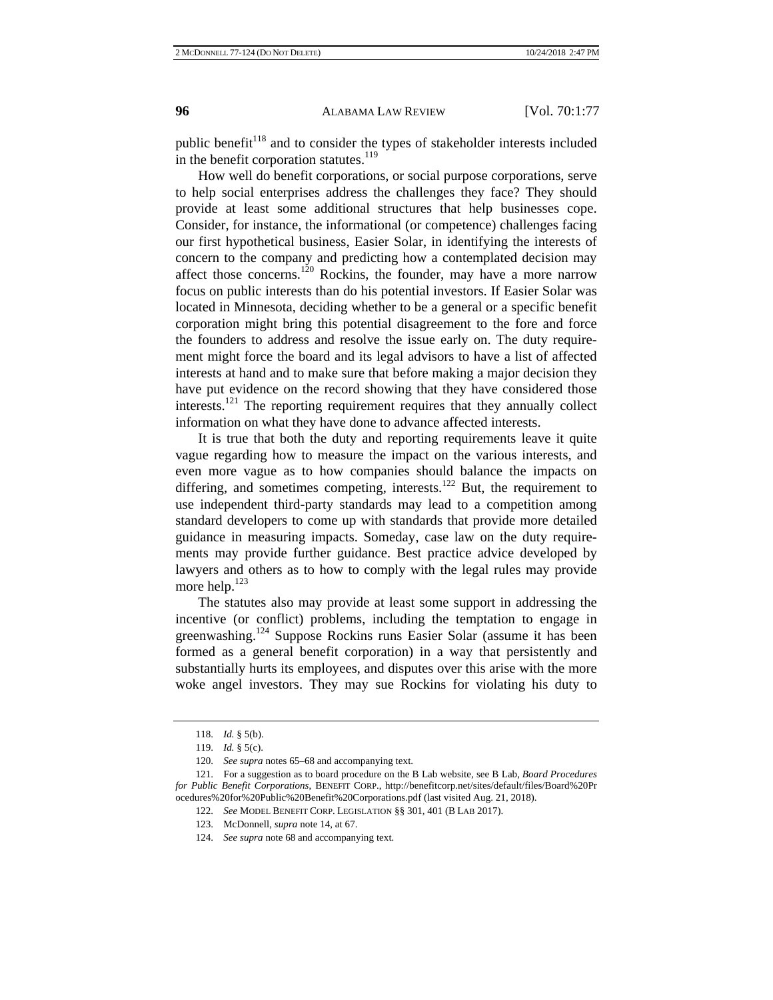public benefit<sup>118</sup> and to consider the types of stakeholder interests included in the benefit corporation statutes.<sup>119</sup>

How well do benefit corporations, or social purpose corporations, serve to help social enterprises address the challenges they face? They should provide at least some additional structures that help businesses cope. Consider, for instance, the informational (or competence) challenges facing our first hypothetical business, Easier Solar, in identifying the interests of concern to the company and predicting how a contemplated decision may affect those concerns.<sup>120</sup> Rockins, the founder, may have a more narrow focus on public interests than do his potential investors. If Easier Solar was located in Minnesota, deciding whether to be a general or a specific benefit corporation might bring this potential disagreement to the fore and force the founders to address and resolve the issue early on. The duty requirement might force the board and its legal advisors to have a list of affected interests at hand and to make sure that before making a major decision they have put evidence on the record showing that they have considered those interests.<sup>121</sup> The reporting requirement requires that they annually collect information on what they have done to advance affected interests.

It is true that both the duty and reporting requirements leave it quite vague regarding how to measure the impact on the various interests, and even more vague as to how companies should balance the impacts on differing, and sometimes competing, interests.<sup>122</sup> But, the requirement to use independent third-party standards may lead to a competition among standard developers to come up with standards that provide more detailed guidance in measuring impacts. Someday, case law on the duty requirements may provide further guidance. Best practice advice developed by lawyers and others as to how to comply with the legal rules may provide more help.<sup>123</sup>

The statutes also may provide at least some support in addressing the incentive (or conflict) problems, including the temptation to engage in greenwashing.<sup>124</sup> Suppose Rockins runs Easier Solar (assume it has been formed as a general benefit corporation) in a way that persistently and substantially hurts its employees, and disputes over this arise with the more woke angel investors. They may sue Rockins for violating his duty to

<sup>118.</sup> *Id.* § 5(b).

<sup>119.</sup> *Id.* § 5(c).

<sup>120.</sup> *See supra* notes 65–68 and accompanying text.

<sup>121.</sup> For a suggestion as to board procedure on the B Lab website, see B Lab, *Board Procedures for Public Benefit Corporations*, BENEFIT CORP., http://benefitcorp.net/sites/default/files/Board%20Pr ocedures%20for%20Public%20Benefit%20Corporations.pdf (last visited Aug. 21, 2018).

<sup>122.</sup> *See* MODEL BENEFIT CORP. LEGISLATION §§ 301, 401 (B LAB 2017).

<sup>123.</sup> McDonnell, *supra* note 14, at 67.

<sup>124.</sup> *See supra* note 68 and accompanying text.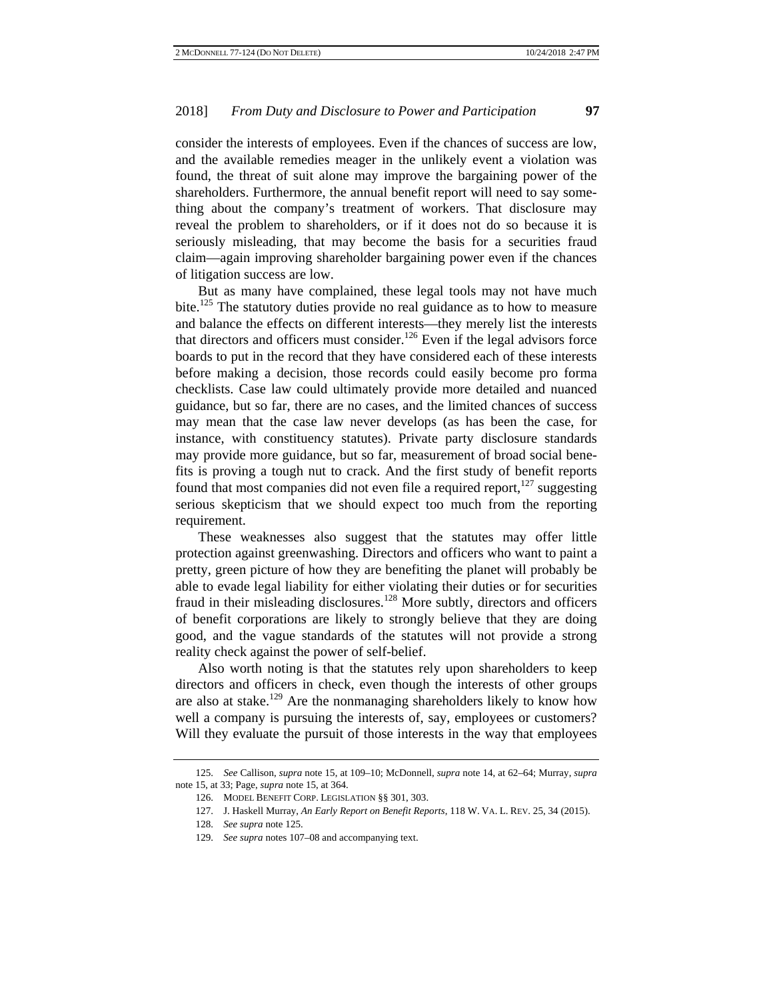consider the interests of employees. Even if the chances of success are low, and the available remedies meager in the unlikely event a violation was found, the threat of suit alone may improve the bargaining power of the shareholders. Furthermore, the annual benefit report will need to say something about the company's treatment of workers. That disclosure may reveal the problem to shareholders, or if it does not do so because it is seriously misleading, that may become the basis for a securities fraud claim—again improving shareholder bargaining power even if the chances of litigation success are low.

But as many have complained, these legal tools may not have much bite.<sup>125</sup> The statutory duties provide no real guidance as to how to measure and balance the effects on different interests—they merely list the interests that directors and officers must consider.<sup>126</sup> Even if the legal advisors force boards to put in the record that they have considered each of these interests before making a decision, those records could easily become pro forma checklists. Case law could ultimately provide more detailed and nuanced guidance, but so far, there are no cases, and the limited chances of success may mean that the case law never develops (as has been the case, for instance, with constituency statutes). Private party disclosure standards may provide more guidance, but so far, measurement of broad social benefits is proving a tough nut to crack. And the first study of benefit reports found that most companies did not even file a required report, $127$  suggesting serious skepticism that we should expect too much from the reporting requirement.

These weaknesses also suggest that the statutes may offer little protection against greenwashing. Directors and officers who want to paint a pretty, green picture of how they are benefiting the planet will probably be able to evade legal liability for either violating their duties or for securities fraud in their misleading disclosures.<sup>128</sup> More subtly, directors and officers of benefit corporations are likely to strongly believe that they are doing good, and the vague standards of the statutes will not provide a strong reality check against the power of self-belief.

Also worth noting is that the statutes rely upon shareholders to keep directors and officers in check, even though the interests of other groups are also at stake.<sup>129</sup> Are the nonmanaging shareholders likely to know how well a company is pursuing the interests of, say, employees or customers? Will they evaluate the pursuit of those interests in the way that employees

<sup>125.</sup> *See* Callison, *supra* note 15, at 109–10; McDonnell, *supra* note 14, at 62–64; Murray, *supra* note 15, at 33; Page, *supra* note 15, at 364.

<sup>126.</sup> MODEL BENEFIT CORP. LEGISLATION §§ 301, 303.

<sup>127.</sup> J. Haskell Murray, *An Early Report on Benefit Reports*, 118 W. VA. L. REV. 25, 34 (2015).

<sup>128.</sup> *See supra* note 125.

<sup>129.</sup> *See supra* notes 107–08 and accompanying text.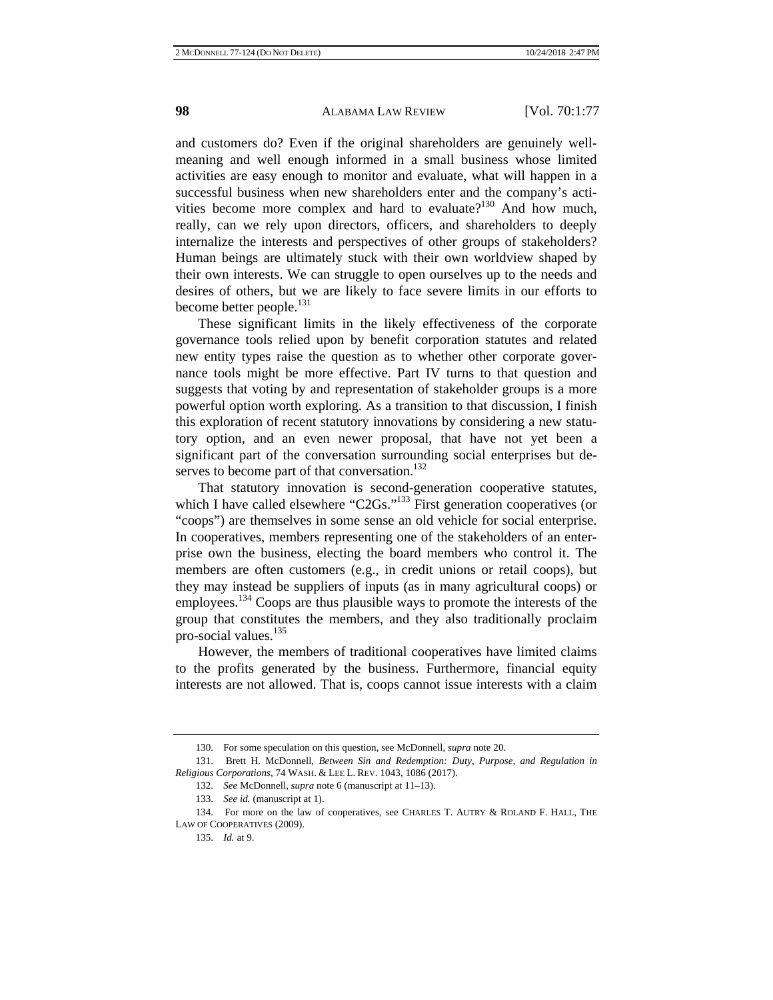and customers do? Even if the original shareholders are genuinely wellmeaning and well enough informed in a small business whose limited activities are easy enough to monitor and evaluate, what will happen in a successful business when new shareholders enter and the company's activities become more complex and hard to evaluate?<sup>130</sup> And how much, really, can we rely upon directors, officers, and shareholders to deeply internalize the interests and perspectives of other groups of stakeholders? Human beings are ultimately stuck with their own worldview shaped by their own interests. We can struggle to open ourselves up to the needs and desires of others, but we are likely to face severe limits in our efforts to become better people.<sup>131</sup>

These significant limits in the likely effectiveness of the corporate governance tools relied upon by benefit corporation statutes and related new entity types raise the question as to whether other corporate governance tools might be more effective. Part IV turns to that question and suggests that voting by and representation of stakeholder groups is a more powerful option worth exploring. As a transition to that discussion, I finish this exploration of recent statutory innovations by considering a new statutory option, and an even newer proposal, that have not yet been a significant part of the conversation surrounding social enterprises but deserves to become part of that conversation.<sup>132</sup>

That statutory innovation is second-generation cooperative statutes, which I have called elsewhere "C2Gs."<sup>133</sup> First generation cooperatives (or "coops") are themselves in some sense an old vehicle for social enterprise. In cooperatives, members representing one of the stakeholders of an enterprise own the business, electing the board members who control it. The members are often customers (e.g., in credit unions or retail coops), but they may instead be suppliers of inputs (as in many agricultural coops) or employees.<sup>134</sup> Coops are thus plausible ways to promote the interests of the group that constitutes the members, and they also traditionally proclaim pro-social values.<sup>135</sup>

However, the members of traditional cooperatives have limited claims to the profits generated by the business. Furthermore, financial equity interests are not allowed. That is, coops cannot issue interests with a claim

<sup>130.</sup> For some speculation on this question, see McDonnell, *supra* note 20.

<sup>131.</sup> Brett H. McDonnell, *Between Sin and Redemption: Duty, Purpose, and Regulation in Religious Corporations*, 74 WASH. & LEE L. REV. 1043, 1086 (2017).

<sup>132.</sup> *See* McDonnell, *supra* note 6 (manuscript at 11–13).

<sup>133.</sup> *See id.* (manuscript at 1).

<sup>134.</sup> For more on the law of cooperatives, see CHARLES T. AUTRY & ROLAND F. HALL, THE LAW OF COOPERATIVES (2009).

<sup>135.</sup> *Id.* at 9.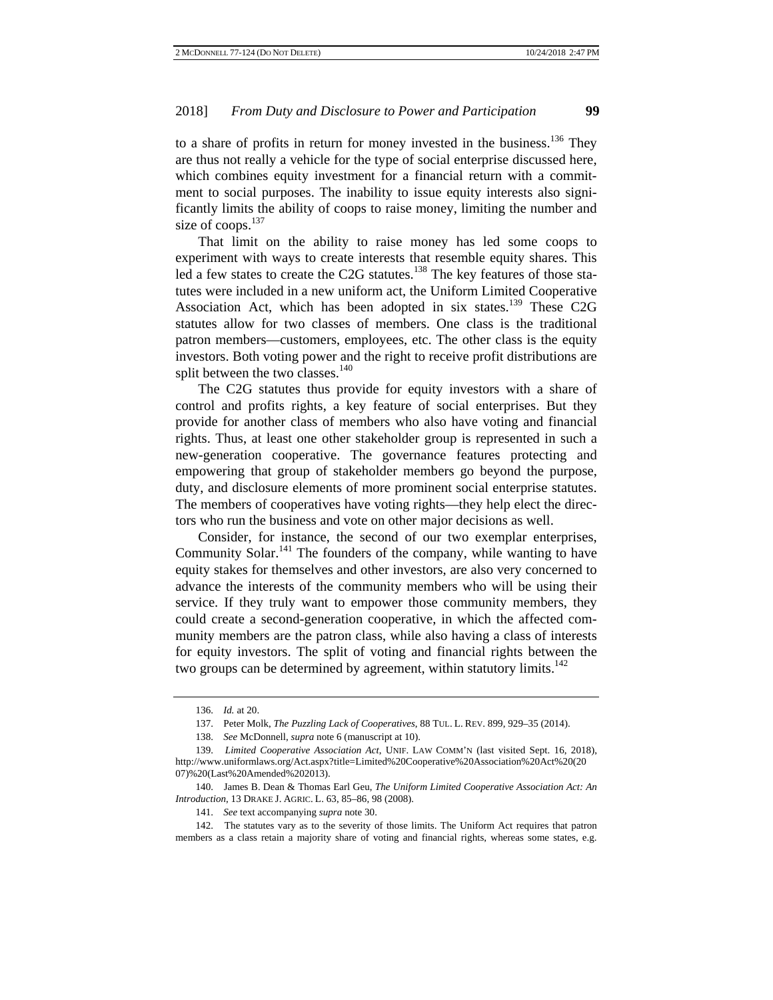to a share of profits in return for money invested in the business.<sup>136</sup> They are thus not really a vehicle for the type of social enterprise discussed here, which combines equity investment for a financial return with a commitment to social purposes. The inability to issue equity interests also significantly limits the ability of coops to raise money, limiting the number and size of coops.<sup>137</sup>

That limit on the ability to raise money has led some coops to experiment with ways to create interests that resemble equity shares. This led a few states to create the C2G statutes.<sup>138</sup> The key features of those statutes were included in a new uniform act, the Uniform Limited Cooperative Association Act, which has been adopted in six states.<sup>139</sup> These C2G statutes allow for two classes of members. One class is the traditional patron members—customers, employees, etc. The other class is the equity investors. Both voting power and the right to receive profit distributions are split between the two classes.<sup>140</sup>

The C2G statutes thus provide for equity investors with a share of control and profits rights, a key feature of social enterprises. But they provide for another class of members who also have voting and financial rights. Thus, at least one other stakeholder group is represented in such a new-generation cooperative. The governance features protecting and empowering that group of stakeholder members go beyond the purpose, duty, and disclosure elements of more prominent social enterprise statutes. The members of cooperatives have voting rights—they help elect the directors who run the business and vote on other major decisions as well.

Consider, for instance, the second of our two exemplar enterprises, Community Solar. $141$  The founders of the company, while wanting to have equity stakes for themselves and other investors, are also very concerned to advance the interests of the community members who will be using their service. If they truly want to empower those community members, they could create a second-generation cooperative, in which the affected community members are the patron class, while also having a class of interests for equity investors. The split of voting and financial rights between the two groups can be determined by agreement, within statutory limits.<sup>142</sup>

<sup>136.</sup> *Id.* at 20.

<sup>137.</sup> Peter Molk, *The Puzzling Lack of Cooperatives*, 88 TUL. L. REV. 899, 929–35 (2014).

<sup>138.</sup> *See* McDonnell, *supra* note 6 (manuscript at 10).

<sup>139.</sup> *Limited Cooperative Association Act*, UNIF. LAW COMM'N (last visited Sept. 16, 2018), http://www.uniformlaws.org/Act.aspx?title=Limited%20Cooperative%20Association%20Act%20(20 07)%20(Last%20Amended%202013).

<sup>140.</sup> James B. Dean & Thomas Earl Geu, *The Uniform Limited Cooperative Association Act: An Introduction*, 13 DRAKE J. AGRIC. L. 63, 85–86, 98 (2008).

<sup>141.</sup> *See* text accompanying *supra* note 30.

<sup>142.</sup> The statutes vary as to the severity of those limits. The Uniform Act requires that patron members as a class retain a majority share of voting and financial rights, whereas some states, e.g.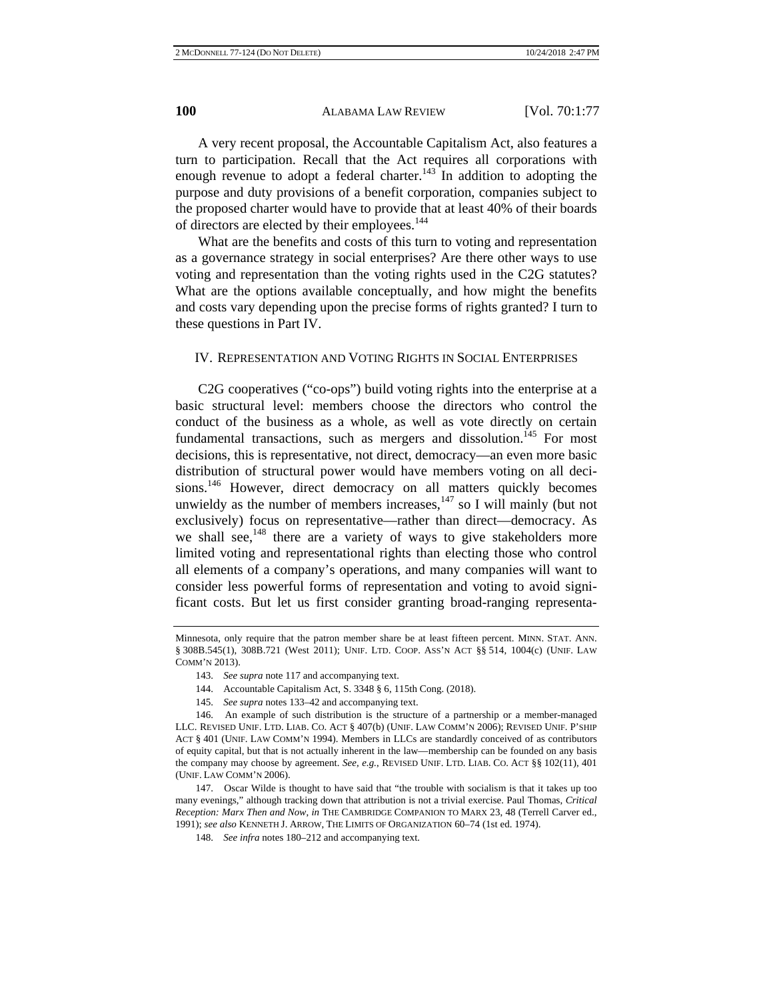A very recent proposal, the Accountable Capitalism Act, also features a turn to participation. Recall that the Act requires all corporations with enough revenue to adopt a federal charter.<sup>143</sup> In addition to adopting the purpose and duty provisions of a benefit corporation, companies subject to the proposed charter would have to provide that at least 40% of their boards of directors are elected by their employees.<sup>144</sup>

What are the benefits and costs of this turn to voting and representation as a governance strategy in social enterprises? Are there other ways to use voting and representation than the voting rights used in the C2G statutes? What are the options available conceptually, and how might the benefits and costs vary depending upon the precise forms of rights granted? I turn to these questions in Part IV.

#### IV. REPRESENTATION AND VOTING RIGHTS IN SOCIAL ENTERPRISES

C2G cooperatives ("co-ops") build voting rights into the enterprise at a basic structural level: members choose the directors who control the conduct of the business as a whole, as well as vote directly on certain fundamental transactions, such as mergers and dissolution.<sup>145</sup> For most decisions, this is representative, not direct, democracy—an even more basic distribution of structural power would have members voting on all decisions.<sup>146</sup> However, direct democracy on all matters quickly becomes unwieldy as the number of members increases, $147$  so I will mainly (but not exclusively) focus on representative—rather than direct—democracy. As we shall see, $148$  there are a variety of ways to give stakeholders more limited voting and representational rights than electing those who control all elements of a company's operations, and many companies will want to consider less powerful forms of representation and voting to avoid significant costs. But let us first consider granting broad-ranging representa-

- 143. *See supra* note 117 and accompanying text.
- 144. Accountable Capitalism Act, S. 3348 § 6, 115th Cong. (2018).
- 145. *See supra* notes 133–42 and accompanying text.

Minnesota, only require that the patron member share be at least fifteen percent. MINN. STAT. ANN. § 308B.545(1), 308B.721 (West 2011); UNIF. LTD. COOP. Ass'N ACT §§ 514, 1004(c) (UNIF. LAW COMM'N 2013).

<sup>146.</sup> An example of such distribution is the structure of a partnership or a member-managed LLC. REVISED UNIF. LTD. LIAB. CO. ACT § 407(b) (UNIF. LAW COMM'N 2006); REVISED UNIF. P'SHIP ACT § 401 (UNIF. LAW COMM'N 1994). Members in LLCs are standardly conceived of as contributors of equity capital, but that is not actually inherent in the law—membership can be founded on any basis the company may choose by agreement. *See, e.g.*, REVISED UNIF. LTD. LIAB. CO. ACT §§ 102(11), 401 (UNIF. LAW COMM'N 2006).

<sup>147.</sup> Oscar Wilde is thought to have said that "the trouble with socialism is that it takes up too many evenings," although tracking down that attribution is not a trivial exercise. Paul Thomas, *Critical Reception: Marx Then and Now*, *in* THE CAMBRIDGE COMPANION TO MARX 23, 48 (Terrell Carver ed., 1991); *see also* KENNETH J. ARROW, THE LIMITS OF ORGANIZATION 60–74 (1st ed. 1974).

<sup>148.</sup> *See infra* notes 180–212 and accompanying text.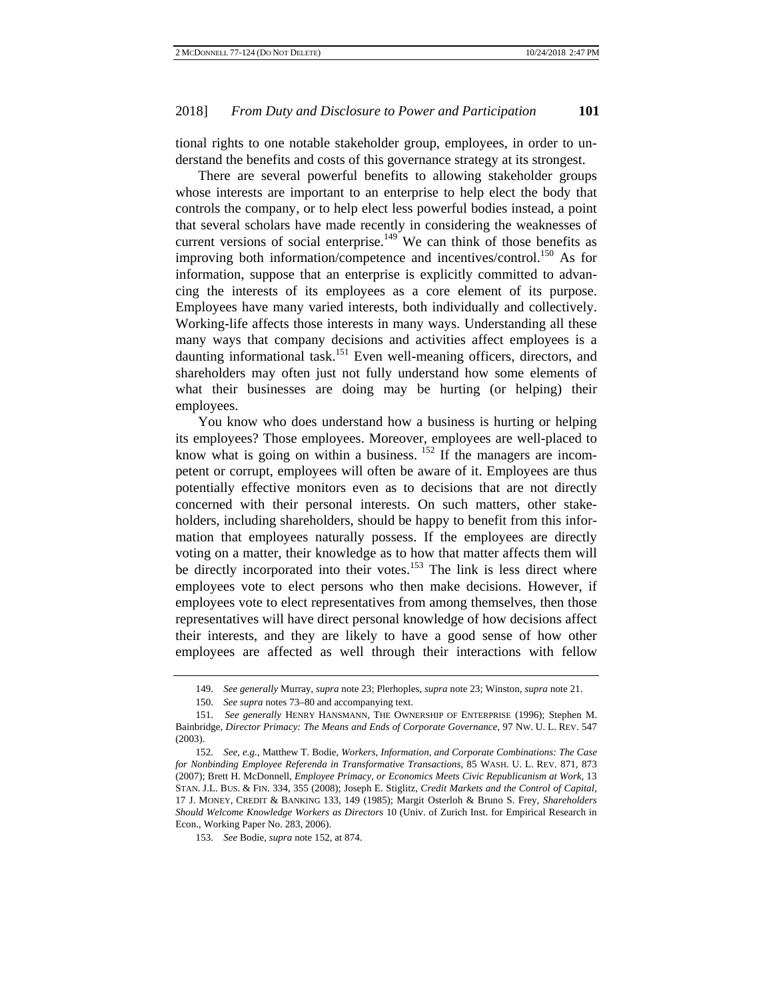tional rights to one notable stakeholder group, employees, in order to understand the benefits and costs of this governance strategy at its strongest.

There are several powerful benefits to allowing stakeholder groups whose interests are important to an enterprise to help elect the body that controls the company, or to help elect less powerful bodies instead, a point that several scholars have made recently in considering the weaknesses of current versions of social enterprise.<sup>149</sup> We can think of those benefits as improving both information/competence and incentives/control.<sup>150</sup> As for information, suppose that an enterprise is explicitly committed to advancing the interests of its employees as a core element of its purpose. Employees have many varied interests, both individually and collectively. Working-life affects those interests in many ways. Understanding all these many ways that company decisions and activities affect employees is a daunting informational task.<sup>151</sup> Even well-meaning officers, directors, and shareholders may often just not fully understand how some elements of what their businesses are doing may be hurting (or helping) their employees.

You know who does understand how a business is hurting or helping its employees? Those employees. Moreover, employees are well-placed to know what is going on within a business.  $152$  If the managers are incompetent or corrupt, employees will often be aware of it. Employees are thus potentially effective monitors even as to decisions that are not directly concerned with their personal interests. On such matters, other stakeholders, including shareholders, should be happy to benefit from this information that employees naturally possess. If the employees are directly voting on a matter, their knowledge as to how that matter affects them will be directly incorporated into their votes.<sup>153</sup> The link is less direct where employees vote to elect persons who then make decisions. However, if employees vote to elect representatives from among themselves, then those representatives will have direct personal knowledge of how decisions affect their interests, and they are likely to have a good sense of how other employees are affected as well through their interactions with fellow

<sup>149.</sup> *See generally* Murray, *supra* note 23; Plerhoples, *supra* note 23; Winston, *supra* note 21.

<sup>150.</sup> *See supra* notes 73–80 and accompanying text.

<sup>151.</sup> *See generally* HENRY HANSMANN, THE OWNERSHIP OF ENTERPRISE (1996); Stephen M. Bainbridge, *Director Primacy: The Means and Ends of Corporate Governance*, 97 NW. U. L. REV. 547 (2003).

<sup>152.</sup> *See, e.g.*, Matthew T. Bodie, *Workers, Information, and Corporate Combinations: The Case for Nonbinding Employee Referenda in Transformative Transactions*, 85 WASH. U. L. REV. 871, 873 (2007); Brett H. McDonnell, *Employee Primacy, or Economics Meets Civic Republicanism at Work*, 13 STAN. J.L. BUS. & FIN. 334, 355 (2008); Joseph E. Stiglitz, *Credit Markets and the Control of Capital*, 17 J. MONEY, CREDIT & BANKING 133, 149 (1985); Margit Osterloh & Bruno S. Frey, *Shareholders Should Welcome Knowledge Workers as Directors* 10 (Univ. of Zurich Inst. for Empirical Research in Econ., Working Paper No. 283, 2006).

<sup>153.</sup> *See* Bodie, *supra* note 152, at 874.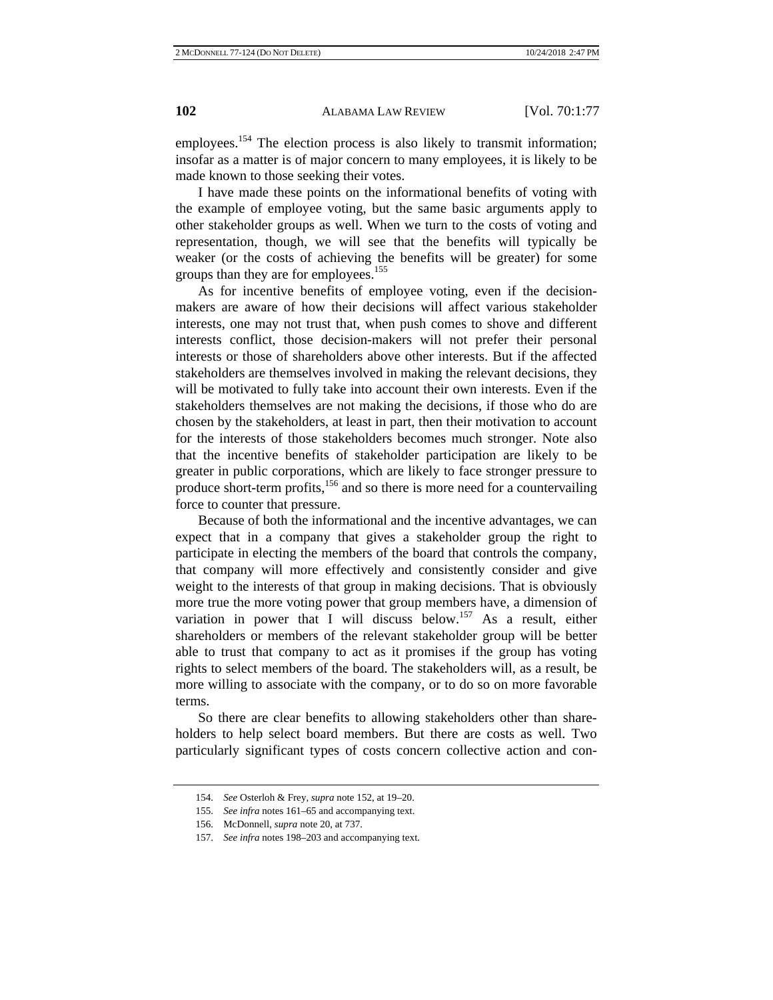employees.<sup>154</sup> The election process is also likely to transmit information; insofar as a matter is of major concern to many employees, it is likely to be made known to those seeking their votes.

I have made these points on the informational benefits of voting with the example of employee voting, but the same basic arguments apply to other stakeholder groups as well. When we turn to the costs of voting and representation, though, we will see that the benefits will typically be weaker (or the costs of achieving the benefits will be greater) for some groups than they are for employees.<sup>155</sup>

As for incentive benefits of employee voting, even if the decisionmakers are aware of how their decisions will affect various stakeholder interests, one may not trust that, when push comes to shove and different interests conflict, those decision-makers will not prefer their personal interests or those of shareholders above other interests. But if the affected stakeholders are themselves involved in making the relevant decisions, they will be motivated to fully take into account their own interests. Even if the stakeholders themselves are not making the decisions, if those who do are chosen by the stakeholders, at least in part, then their motivation to account for the interests of those stakeholders becomes much stronger. Note also that the incentive benefits of stakeholder participation are likely to be greater in public corporations, which are likely to face stronger pressure to produce short-term profits, $156$  and so there is more need for a countervailing force to counter that pressure.

Because of both the informational and the incentive advantages, we can expect that in a company that gives a stakeholder group the right to participate in electing the members of the board that controls the company, that company will more effectively and consistently consider and give weight to the interests of that group in making decisions. That is obviously more true the more voting power that group members have, a dimension of variation in power that I will discuss below.<sup>157</sup> As a result, either shareholders or members of the relevant stakeholder group will be better able to trust that company to act as it promises if the group has voting rights to select members of the board. The stakeholders will, as a result, be more willing to associate with the company, or to do so on more favorable terms.

So there are clear benefits to allowing stakeholders other than shareholders to help select board members. But there are costs as well. Two particularly significant types of costs concern collective action and con-

<sup>154.</sup> *See* Osterloh & Frey, *supra* note 152, at 19–20.

<sup>155.</sup> *See infra* notes 161–65 and accompanying text.

<sup>156.</sup> McDonnell, *supra* note 20, at 737.

<sup>157.</sup> *See infra* notes 198–203 and accompanying text.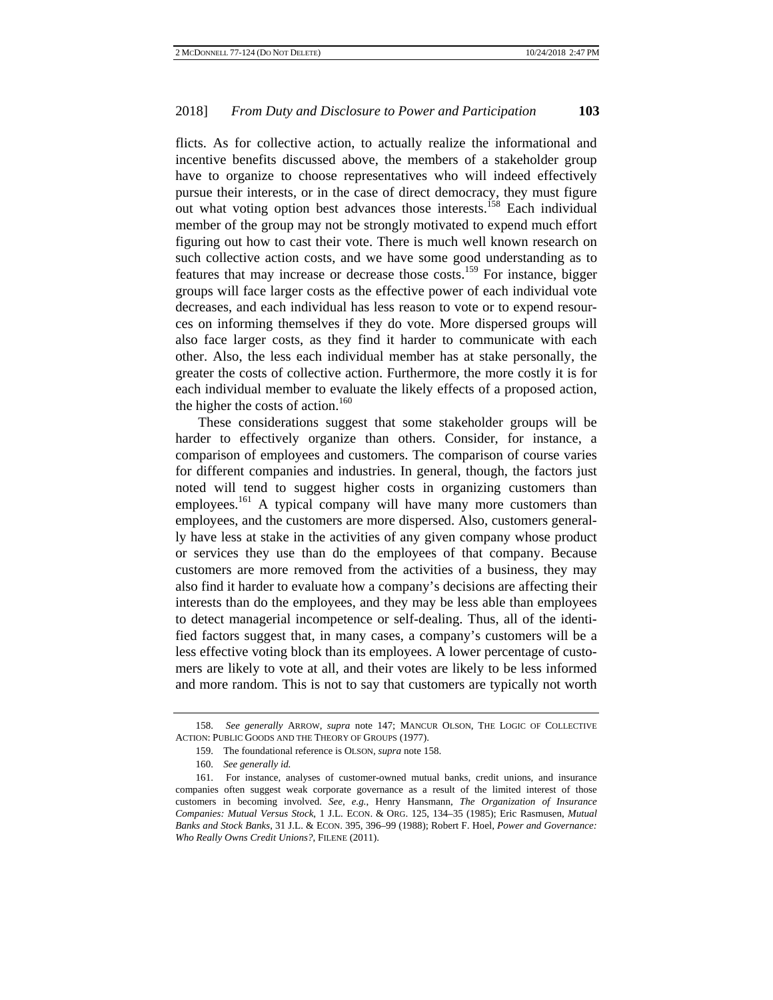flicts. As for collective action, to actually realize the informational and incentive benefits discussed above, the members of a stakeholder group have to organize to choose representatives who will indeed effectively pursue their interests, or in the case of direct democracy, they must figure out what voting option best advances those interests.<sup>158</sup> Each individual member of the group may not be strongly motivated to expend much effort figuring out how to cast their vote. There is much well known research on such collective action costs, and we have some good understanding as to features that may increase or decrease those costs.<sup>159</sup> For instance, bigger groups will face larger costs as the effective power of each individual vote decreases, and each individual has less reason to vote or to expend resources on informing themselves if they do vote. More dispersed groups will also face larger costs, as they find it harder to communicate with each other. Also, the less each individual member has at stake personally, the greater the costs of collective action. Furthermore, the more costly it is for each individual member to evaluate the likely effects of a proposed action, the higher the costs of action.<sup>160</sup>

These considerations suggest that some stakeholder groups will be harder to effectively organize than others. Consider, for instance, a comparison of employees and customers. The comparison of course varies for different companies and industries. In general, though, the factors just noted will tend to suggest higher costs in organizing customers than employees.<sup>161</sup> A typical company will have many more customers than employees, and the customers are more dispersed. Also, customers generally have less at stake in the activities of any given company whose product or services they use than do the employees of that company. Because customers are more removed from the activities of a business, they may also find it harder to evaluate how a company's decisions are affecting their interests than do the employees, and they may be less able than employees to detect managerial incompetence or self-dealing. Thus, all of the identified factors suggest that, in many cases, a company's customers will be a less effective voting block than its employees. A lower percentage of customers are likely to vote at all, and their votes are likely to be less informed and more random. This is not to say that customers are typically not worth

<sup>158.</sup> *See generally* ARROW, *supra* note 147; MANCUR OLSON, THE LOGIC OF COLLECTIVE ACTION: PUBLIC GOODS AND THE THEORY OF GROUPS (1977).

<sup>159.</sup> The foundational reference is OLSON, *supra* note 158.

<sup>160.</sup> *See generally id.* 

<sup>161.</sup> For instance, analyses of customer-owned mutual banks, credit unions, and insurance companies often suggest weak corporate governance as a result of the limited interest of those customers in becoming involved. *See, e.g.*, Henry Hansmann, *The Organization of Insurance Companies: Mutual Versus Stock*, 1 J.L. ECON. & ORG. 125, 134–35 (1985); Eric Rasmusen, *Mutual Banks and Stock Banks*, 31 J.L. & ECON. 395, 396–99 (1988); Robert F. Hoel, *Power and Governance: Who Really Owns Credit Unions?*, FILENE (2011).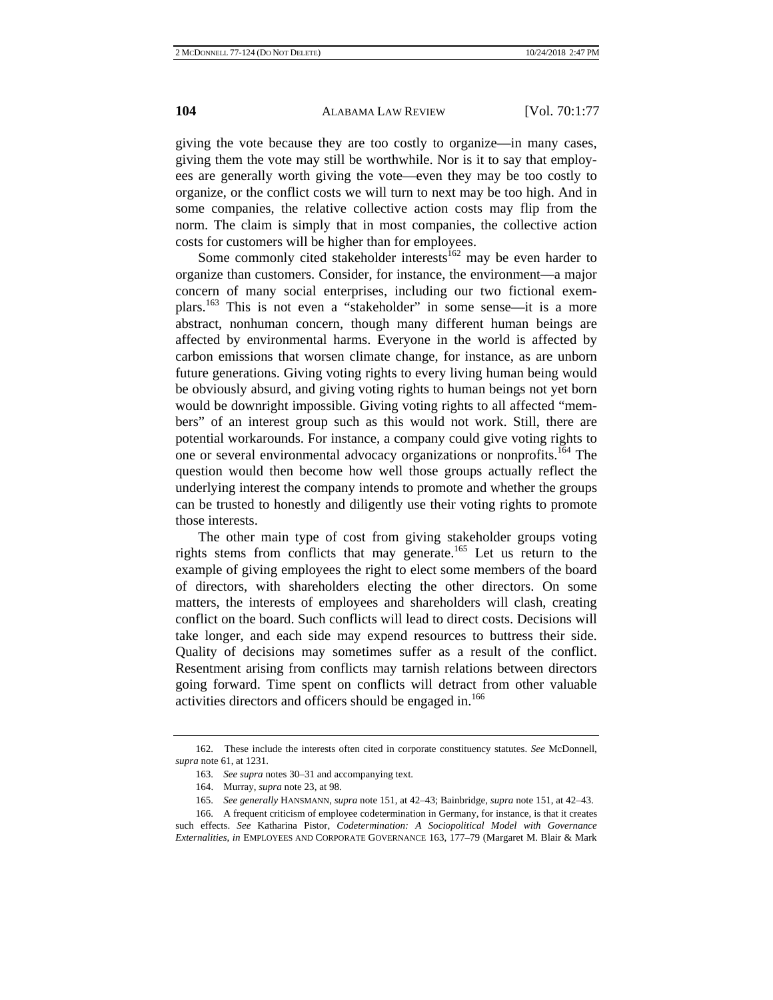giving the vote because they are too costly to organize—in many cases, giving them the vote may still be worthwhile. Nor is it to say that employees are generally worth giving the vote—even they may be too costly to organize, or the conflict costs we will turn to next may be too high. And in some companies, the relative collective action costs may flip from the norm. The claim is simply that in most companies, the collective action costs for customers will be higher than for employees.

Some commonly cited stakeholder interests<sup>162</sup> may be even harder to organize than customers. Consider, for instance, the environment—a major concern of many social enterprises, including our two fictional exemplars.163 This is not even a "stakeholder" in some sense—it is a more abstract, nonhuman concern, though many different human beings are affected by environmental harms. Everyone in the world is affected by carbon emissions that worsen climate change, for instance, as are unborn future generations. Giving voting rights to every living human being would be obviously absurd, and giving voting rights to human beings not yet born would be downright impossible. Giving voting rights to all affected "members" of an interest group such as this would not work. Still, there are potential workarounds. For instance, a company could give voting rights to one or several environmental advocacy organizations or nonprofits.164 The question would then become how well those groups actually reflect the underlying interest the company intends to promote and whether the groups can be trusted to honestly and diligently use their voting rights to promote those interests.

The other main type of cost from giving stakeholder groups voting rights stems from conflicts that may generate.<sup>165</sup> Let us return to the example of giving employees the right to elect some members of the board of directors, with shareholders electing the other directors. On some matters, the interests of employees and shareholders will clash, creating conflict on the board. Such conflicts will lead to direct costs. Decisions will take longer, and each side may expend resources to buttress their side. Quality of decisions may sometimes suffer as a result of the conflict. Resentment arising from conflicts may tarnish relations between directors going forward. Time spent on conflicts will detract from other valuable activities directors and officers should be engaged in.<sup>166</sup>

<sup>162.</sup> These include the interests often cited in corporate constituency statutes. *See* McDonnell, *supra* note 61, at 1231.

<sup>163.</sup> *See supra* notes 30–31 and accompanying text.

<sup>164.</sup> Murray, *supra* note 23, at 98.

<sup>165.</sup> *See generally* HANSMANN, *supra* note 151, at 42–43; Bainbridge, *supra* note 151, at 42–43.

<sup>166.</sup> A frequent criticism of employee codetermination in Germany, for instance, is that it creates such effects. *See* Katharina Pistor, *Codetermination: A Sociopolitical Model with Governance Externalities*, *in* EMPLOYEES AND CORPORATE GOVERNANCE 163, 177–79 (Margaret M. Blair & Mark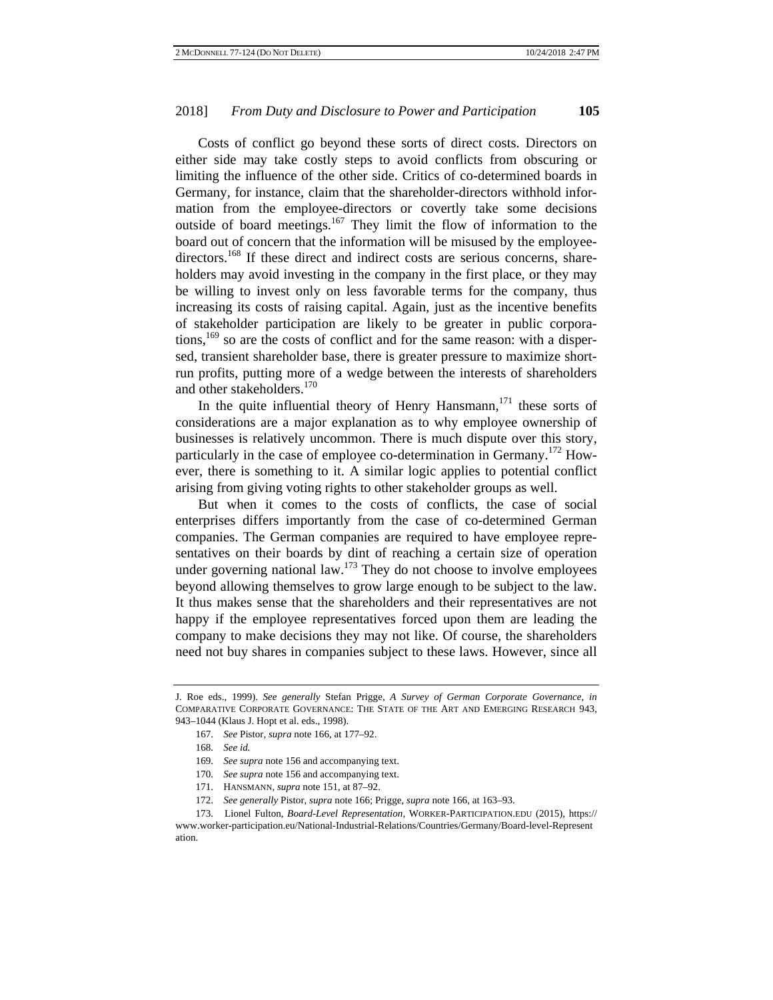Costs of conflict go beyond these sorts of direct costs. Directors on either side may take costly steps to avoid conflicts from obscuring or limiting the influence of the other side. Critics of co-determined boards in Germany, for instance, claim that the shareholder-directors withhold information from the employee-directors or covertly take some decisions outside of board meetings.<sup>167</sup> They limit the flow of information to the board out of concern that the information will be misused by the employeedirectors.<sup>168</sup> If these direct and indirect costs are serious concerns, shareholders may avoid investing in the company in the first place, or they may be willing to invest only on less favorable terms for the company, thus increasing its costs of raising capital. Again, just as the incentive benefits of stakeholder participation are likely to be greater in public corporations,<sup>169</sup> so are the costs of conflict and for the same reason: with a dispersed, transient shareholder base, there is greater pressure to maximize shortrun profits, putting more of a wedge between the interests of shareholders and other stakeholders.<sup>170</sup>

In the quite influential theory of Henry Hansmann, $171$  these sorts of considerations are a major explanation as to why employee ownership of businesses is relatively uncommon. There is much dispute over this story, particularly in the case of employee co-determination in Germany.<sup>172</sup> However, there is something to it. A similar logic applies to potential conflict arising from giving voting rights to other stakeholder groups as well.

But when it comes to the costs of conflicts, the case of social enterprises differs importantly from the case of co-determined German companies. The German companies are required to have employee representatives on their boards by dint of reaching a certain size of operation under governing national law. $173$  They do not choose to involve employees beyond allowing themselves to grow large enough to be subject to the law. It thus makes sense that the shareholders and their representatives are not happy if the employee representatives forced upon them are leading the company to make decisions they may not like. Of course, the shareholders need not buy shares in companies subject to these laws. However, since all

J. Roe eds., 1999). *See generally* Stefan Prigge, *A Survey of German Corporate Governance*, *in* COMPARATIVE CORPORATE GOVERNANCE: THE STATE OF THE ART AND EMERGING RESEARCH 943, 943–1044 (Klaus J. Hopt et al. eds., 1998).

<sup>167.</sup> *See* Pistor, *supra* note 166, at 177–92.

<sup>168.</sup> *See id.* 

<sup>169.</sup> *See supra* note 156 and accompanying text.

<sup>170.</sup> *See supra* note 156 and accompanying text.

<sup>171.</sup> HANSMANN, *supra* note 151, at 87–92.

<sup>172.</sup> *See generally* Pistor, *supra* note 166; Prigge, *supra* note 166, at 163–93.

<sup>173.</sup> Lionel Fulton, *Board-Level Representation*, WORKER-PARTICIPATION.EDU (2015), https:// www.worker-participation.eu/National-Industrial-Relations/Countries/Germany/Board-level-Represent ation.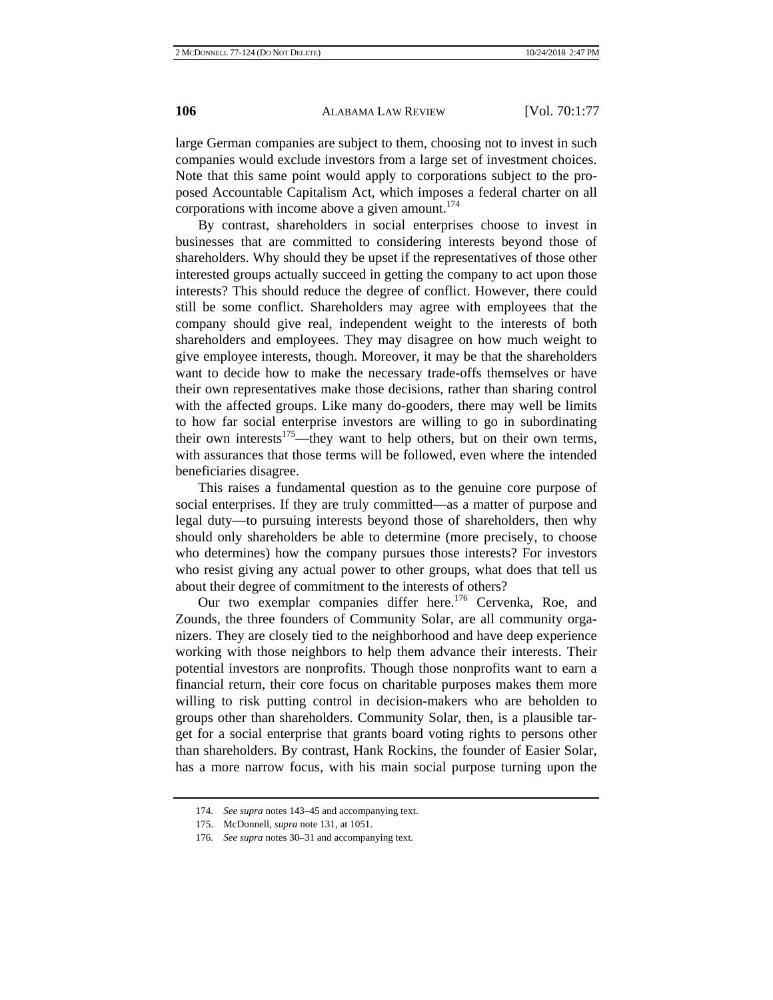large German companies are subject to them, choosing not to invest in such companies would exclude investors from a large set of investment choices. Note that this same point would apply to corporations subject to the proposed Accountable Capitalism Act, which imposes a federal charter on all corporations with income above a given amount. $174$ 

By contrast, shareholders in social enterprises choose to invest in businesses that are committed to considering interests beyond those of shareholders. Why should they be upset if the representatives of those other interested groups actually succeed in getting the company to act upon those interests? This should reduce the degree of conflict. However, there could still be some conflict. Shareholders may agree with employees that the company should give real, independent weight to the interests of both shareholders and employees. They may disagree on how much weight to give employee interests, though. Moreover, it may be that the shareholders want to decide how to make the necessary trade-offs themselves or have their own representatives make those decisions, rather than sharing control with the affected groups. Like many do-gooders, there may well be limits to how far social enterprise investors are willing to go in subordinating their own interests<sup>175</sup>—they want to help others, but on their own terms, with assurances that those terms will be followed, even where the intended beneficiaries disagree.

This raises a fundamental question as to the genuine core purpose of social enterprises. If they are truly committed—as a matter of purpose and legal duty—to pursuing interests beyond those of shareholders, then why should only shareholders be able to determine (more precisely, to choose who determines) how the company pursues those interests? For investors who resist giving any actual power to other groups, what does that tell us about their degree of commitment to the interests of others?

Our two exemplar companies differ here.<sup>176</sup> Cervenka, Roe, and Zounds, the three founders of Community Solar, are all community organizers. They are closely tied to the neighborhood and have deep experience working with those neighbors to help them advance their interests. Their potential investors are nonprofits. Though those nonprofits want to earn a financial return, their core focus on charitable purposes makes them more willing to risk putting control in decision-makers who are beholden to groups other than shareholders. Community Solar, then, is a plausible target for a social enterprise that grants board voting rights to persons other than shareholders. By contrast, Hank Rockins, the founder of Easier Solar, has a more narrow focus, with his main social purpose turning upon the

<sup>174.</sup> *See supra* notes 143–45 and accompanying text.

<sup>175.</sup> McDonnell, *supra* note 131, at 1051.

<sup>176.</sup> *See supra* notes 30–31 and accompanying text.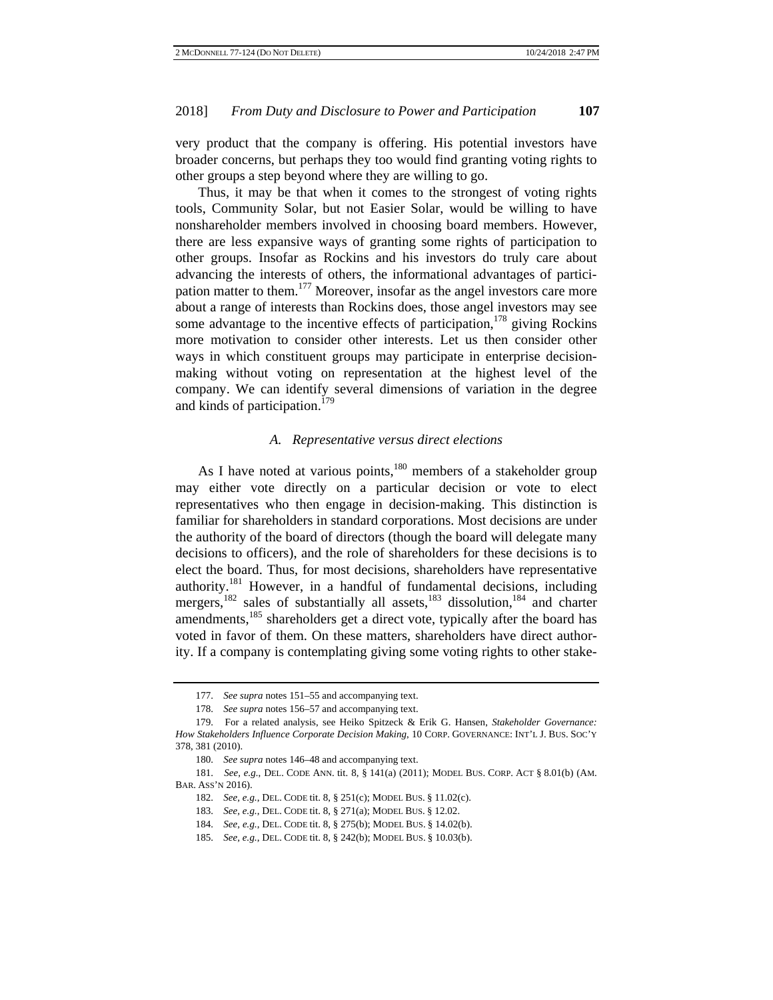very product that the company is offering. His potential investors have broader concerns, but perhaps they too would find granting voting rights to other groups a step beyond where they are willing to go.

Thus, it may be that when it comes to the strongest of voting rights tools, Community Solar, but not Easier Solar, would be willing to have nonshareholder members involved in choosing board members. However, there are less expansive ways of granting some rights of participation to other groups. Insofar as Rockins and his investors do truly care about advancing the interests of others, the informational advantages of participation matter to them.<sup>177</sup> Moreover, insofar as the angel investors care more about a range of interests than Rockins does, those angel investors may see some advantage to the incentive effects of participation,<sup>178</sup> giving Rockins more motivation to consider other interests. Let us then consider other ways in which constituent groups may participate in enterprise decisionmaking without voting on representation at the highest level of the company. We can identify several dimensions of variation in the degree and kinds of participation.<sup>179</sup>

#### *A. Representative versus direct elections*

As I have noted at various points, $180$  members of a stakeholder group may either vote directly on a particular decision or vote to elect representatives who then engage in decision-making. This distinction is familiar for shareholders in standard corporations. Most decisions are under the authority of the board of directors (though the board will delegate many decisions to officers), and the role of shareholders for these decisions is to elect the board. Thus, for most decisions, shareholders have representative authority.181 However, in a handful of fundamental decisions, including mergers,<sup>182</sup> sales of substantially all assets,<sup>183</sup> dissolution,<sup>184</sup> and charter amendments,<sup>185</sup> shareholders get a direct vote, typically after the board has voted in favor of them. On these matters, shareholders have direct authority. If a company is contemplating giving some voting rights to other stake-

<sup>177.</sup> *See supra* notes 151–55 and accompanying text.

<sup>178.</sup> *See supra* notes 156–57 and accompanying text.

<sup>179.</sup> For a related analysis, see Heiko Spitzeck & Erik G. Hansen, *Stakeholder Governance: How Stakeholders Influence Corporate Decision Making*, 10 CORP. GOVERNANCE: INT'L J. BUS. SOC'Y 378, 381 (2010).

<sup>180.</sup> *See supra* notes 146–48 and accompanying text.

<sup>181.</sup> *See, e.g.*, DEL. CODE ANN. tit. 8, § 141(a) (2011); MODEL BUS. CORP. ACT § 8.01(b) (AM. BAR. ASS'N 2016).

<sup>182.</sup> *See, e.g.*, DEL. CODE tit. 8, § 251(c); MODEL BUS. § 11.02(c).

<sup>183.</sup> *See, e.g.*, DEL. CODE tit. 8, § 271(a); MODEL BUS. § 12.02.

<sup>184.</sup> *See, e.g.*, DEL. CODE tit. 8, § 275(b); MODEL BUS. § 14.02(b).

<sup>185.</sup> *See, e.g.*, DEL. CODE tit. 8, § 242(b); MODEL BUS. § 10.03(b).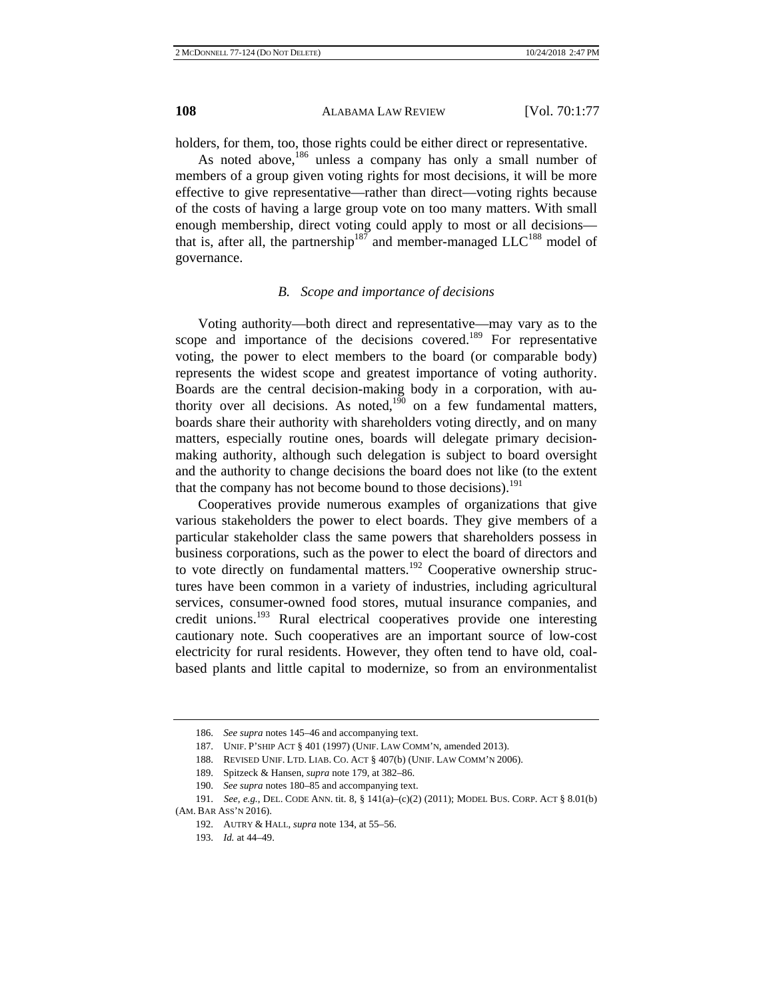holders, for them, too, those rights could be either direct or representative.

As noted above,<sup>186</sup> unless a company has only a small number of members of a group given voting rights for most decisions, it will be more effective to give representative—rather than direct—voting rights because of the costs of having a large group vote on too many matters. With small enough membership, direct voting could apply to most or all decisions that is, after all, the partnership<sup>187</sup> and member-managed  $LLC^{188}$  model of governance.

#### *B. Scope and importance of decisions*

Voting authority—both direct and representative—may vary as to the scope and importance of the decisions covered.<sup>189</sup> For representative voting, the power to elect members to the board (or comparable body) represents the widest scope and greatest importance of voting authority. Boards are the central decision-making body in a corporation, with authority over all decisions. As noted,<sup>190</sup> on a few fundamental matters, boards share their authority with shareholders voting directly, and on many matters, especially routine ones, boards will delegate primary decisionmaking authority, although such delegation is subject to board oversight and the authority to change decisions the board does not like (to the extent that the company has not become bound to those decisions).<sup>191</sup>

Cooperatives provide numerous examples of organizations that give various stakeholders the power to elect boards. They give members of a particular stakeholder class the same powers that shareholders possess in business corporations, such as the power to elect the board of directors and to vote directly on fundamental matters.<sup>192</sup> Cooperative ownership structures have been common in a variety of industries, including agricultural services, consumer-owned food stores, mutual insurance companies, and credit unions.193 Rural electrical cooperatives provide one interesting cautionary note. Such cooperatives are an important source of low-cost electricity for rural residents. However, they often tend to have old, coalbased plants and little capital to modernize, so from an environmentalist

<sup>186.</sup> *See supra* notes 145–46 and accompanying text.

<sup>187.</sup> UNIF. P'SHIP ACT § 401 (1997) (UNIF. LAW COMM'N, amended 2013).

<sup>188.</sup> REVISED UNIF. LTD. LIAB. CO. ACT § 407(b) (UNIF. LAW COMM'N 2006).

<sup>189.</sup> Spitzeck & Hansen*, supra* note 179, at 382–86.

<sup>190.</sup> *See supra* notes 180–85 and accompanying text.

<sup>191.</sup> *See, e.g.*, DEL. CODE ANN. tit. 8, § 141(a)–(c)(2) (2011); MODEL BUS. CORP. ACT § 8.01(b) (AM. BAR ASS'N 2016).

<sup>192.</sup> AUTRY & HALL, *supra* note 134, at 55–56.

<sup>193.</sup> *Id.* at 44–49.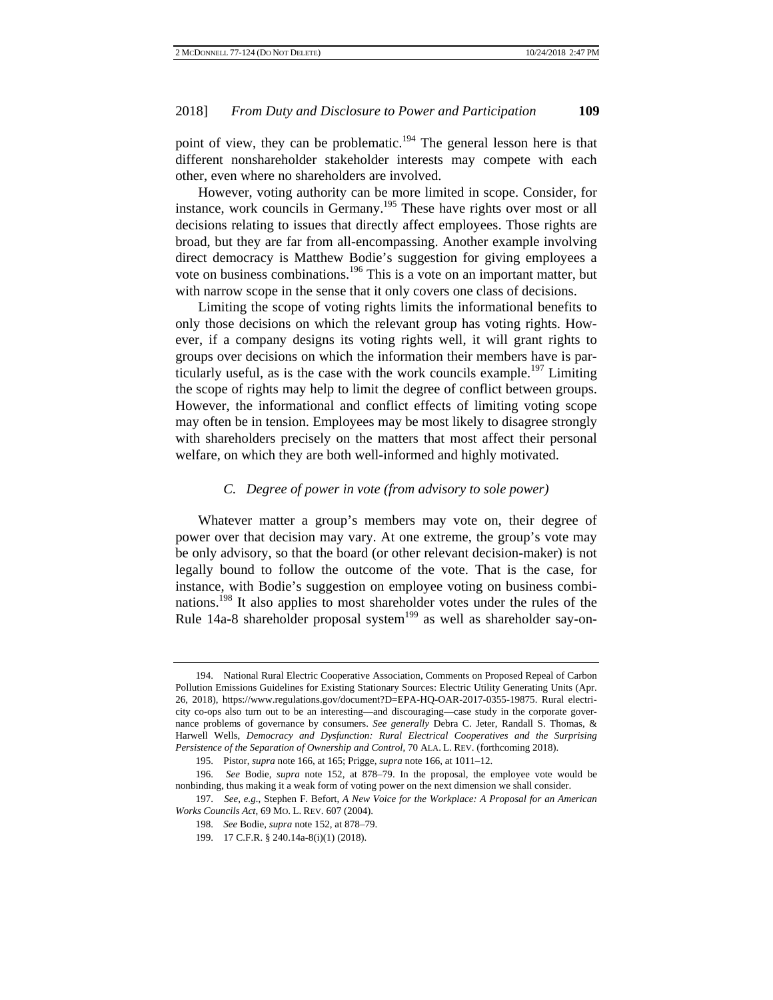point of view, they can be problematic.<sup>194</sup> The general lesson here is that different nonshareholder stakeholder interests may compete with each other, even where no shareholders are involved.

However, voting authority can be more limited in scope. Consider, for instance, work councils in Germany.195 These have rights over most or all decisions relating to issues that directly affect employees. Those rights are broad, but they are far from all-encompassing. Another example involving direct democracy is Matthew Bodie's suggestion for giving employees a vote on business combinations.196 This is a vote on an important matter, but with narrow scope in the sense that it only covers one class of decisions.

Limiting the scope of voting rights limits the informational benefits to only those decisions on which the relevant group has voting rights. However, if a company designs its voting rights well, it will grant rights to groups over decisions on which the information their members have is particularly useful, as is the case with the work councils example.<sup>197</sup> Limiting the scope of rights may help to limit the degree of conflict between groups. However, the informational and conflict effects of limiting voting scope may often be in tension. Employees may be most likely to disagree strongly with shareholders precisely on the matters that most affect their personal welfare, on which they are both well-informed and highly motivated.

## *C. Degree of power in vote (from advisory to sole power)*

Whatever matter a group's members may vote on, their degree of power over that decision may vary. At one extreme, the group's vote may be only advisory, so that the board (or other relevant decision-maker) is not legally bound to follow the outcome of the vote. That is the case, for instance, with Bodie's suggestion on employee voting on business combinations.<sup>198</sup> It also applies to most shareholder votes under the rules of the Rule 14a-8 shareholder proposal system<sup>199</sup> as well as shareholder say-on-

<sup>194.</sup> National Rural Electric Cooperative Association, Comments on Proposed Repeal of Carbon Pollution Emissions Guidelines for Existing Stationary Sources: Electric Utility Generating Units (Apr. 26, 2018), https://www.regulations.gov/document?D=EPA-HQ-OAR-2017-0355-19875. Rural electricity co-ops also turn out to be an interesting—and discouraging—case study in the corporate governance problems of governance by consumers. *See generally* Debra C. Jeter, Randall S. Thomas, & Harwell Wells, *Democracy and Dysfunction: Rural Electrical Cooperatives and the Surprising Persistence of the Separation of Ownership and Control*, 70 ALA. L. REV. (forthcoming 2018).

<sup>195.</sup> Pistor, *supra* note 166, at 165; Prigge, *supra* note 166, at 1011–12.

<sup>196.</sup> *See* Bodie, *supra* note 152, at 878–79. In the proposal, the employee vote would be nonbinding, thus making it a weak form of voting power on the next dimension we shall consider.

<sup>197.</sup> *See, e.g.*, Stephen F. Befort, *A New Voice for the Workplace: A Proposal for an American Works Councils Act*, 69 MO. L. REV. 607 (2004).

<sup>198.</sup> *See* Bodie, *supra* note 152, at 878–79.

<sup>199. 17</sup> C.F.R. § 240.14a-8(i)(1) (2018).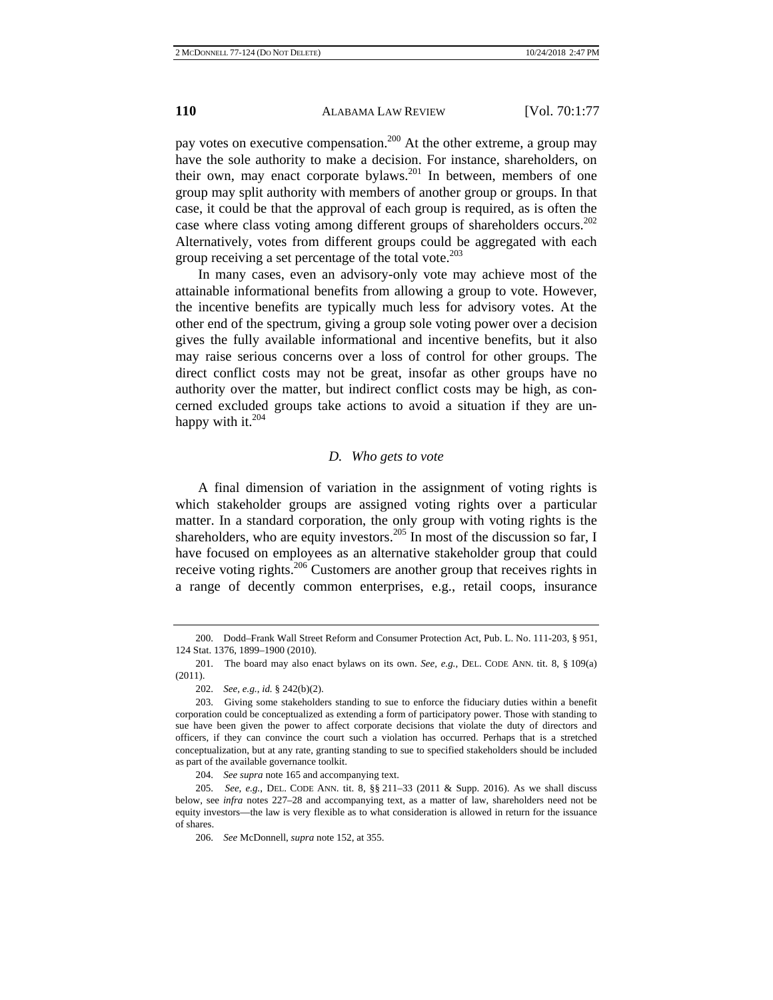pay votes on executive compensation.<sup>200</sup> At the other extreme, a group may have the sole authority to make a decision. For instance, shareholders, on their own, may enact corporate bylaws.<sup>201</sup> In between, members of one group may split authority with members of another group or groups. In that case, it could be that the approval of each group is required, as is often the case where class voting among different groups of shareholders occurs.<sup>202</sup> Alternatively, votes from different groups could be aggregated with each group receiving a set percentage of the total vote.<sup>203</sup>

In many cases, even an advisory-only vote may achieve most of the attainable informational benefits from allowing a group to vote. However, the incentive benefits are typically much less for advisory votes. At the other end of the spectrum, giving a group sole voting power over a decision gives the fully available informational and incentive benefits, but it also may raise serious concerns over a loss of control for other groups. The direct conflict costs may not be great, insofar as other groups have no authority over the matter, but indirect conflict costs may be high, as concerned excluded groups take actions to avoid a situation if they are unhappy with it. $204$ 

#### *D. Who gets to vote*

A final dimension of variation in the assignment of voting rights is which stakeholder groups are assigned voting rights over a particular matter. In a standard corporation, the only group with voting rights is the shareholders, who are equity investors.<sup>205</sup> In most of the discussion so far, I have focused on employees as an alternative stakeholder group that could receive voting rights.<sup>206</sup> Customers are another group that receives rights in a range of decently common enterprises, e.g., retail coops, insurance

204. *See supra* note 165 and accompanying text.

<sup>200.</sup> Dodd–Frank Wall Street Reform and Consumer Protection Act, Pub. L. No. 111-203, § 951, 124 Stat. 1376, 1899–1900 (2010).

<sup>201.</sup> The board may also enact bylaws on its own. *See, e.g.*, DEL. CODE ANN. tit. 8, § 109(a) (2011).

<sup>202.</sup> *See, e.g.*, *id.* § 242(b)(2).

<sup>203.</sup> Giving some stakeholders standing to sue to enforce the fiduciary duties within a benefit corporation could be conceptualized as extending a form of participatory power. Those with standing to sue have been given the power to affect corporate decisions that violate the duty of directors and officers, if they can convince the court such a violation has occurred. Perhaps that is a stretched conceptualization, but at any rate, granting standing to sue to specified stakeholders should be included as part of the available governance toolkit.

<sup>205.</sup> *See, e.g.*, DEL. CODE ANN. tit. 8, §§ 211–33 (2011 & Supp. 2016). As we shall discuss below, see *infra* notes 227–28 and accompanying text, as a matter of law, shareholders need not be equity investors—the law is very flexible as to what consideration is allowed in return for the issuance of shares.

<sup>206.</sup> *See* McDonnell, *supra* note 152, at 355.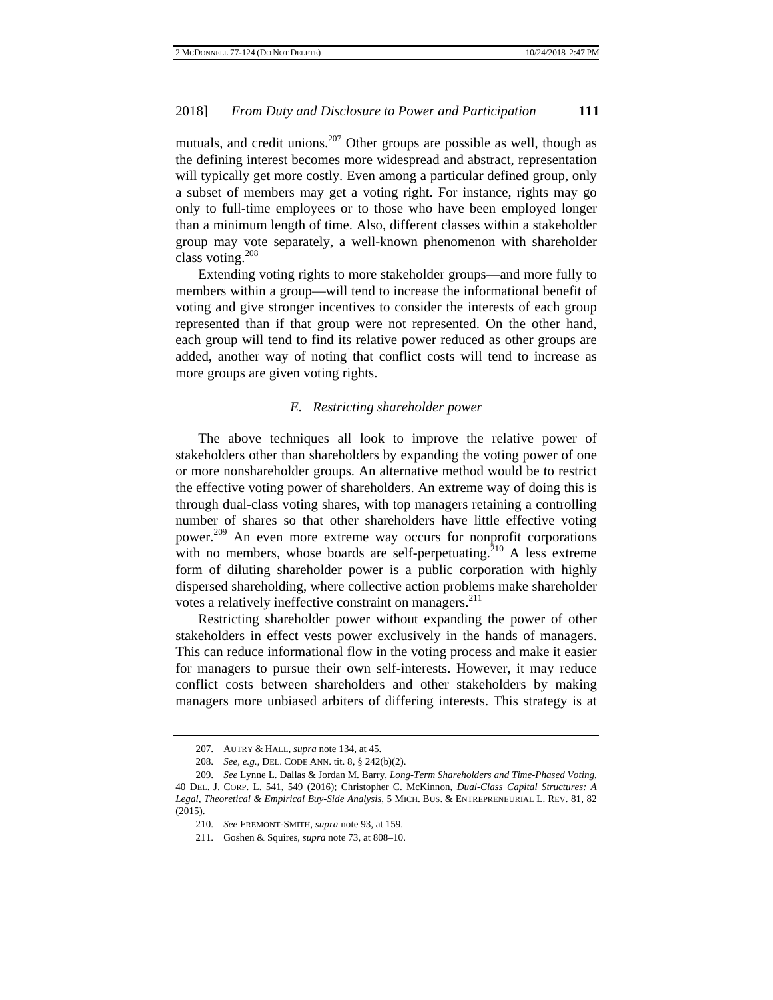mutuals, and credit unions.<sup>207</sup> Other groups are possible as well, though as the defining interest becomes more widespread and abstract, representation will typically get more costly. Even among a particular defined group, only a subset of members may get a voting right. For instance, rights may go only to full-time employees or to those who have been employed longer than a minimum length of time. Also, different classes within a stakeholder group may vote separately, a well-known phenomenon with shareholder class voting. $208$ 

Extending voting rights to more stakeholder groups—and more fully to members within a group—will tend to increase the informational benefit of voting and give stronger incentives to consider the interests of each group represented than if that group were not represented. On the other hand, each group will tend to find its relative power reduced as other groups are added, another way of noting that conflict costs will tend to increase as more groups are given voting rights.

## *E. Restricting shareholder power*

The above techniques all look to improve the relative power of stakeholders other than shareholders by expanding the voting power of one or more nonshareholder groups. An alternative method would be to restrict the effective voting power of shareholders. An extreme way of doing this is through dual-class voting shares, with top managers retaining a controlling number of shares so that other shareholders have little effective voting power.<sup>209</sup> An even more extreme way occurs for nonprofit corporations with no members, whose boards are self-perpetuating.<sup>210</sup> A less extreme form of diluting shareholder power is a public corporation with highly dispersed shareholding, where collective action problems make shareholder votes a relatively ineffective constraint on managers.<sup>211</sup>

Restricting shareholder power without expanding the power of other stakeholders in effect vests power exclusively in the hands of managers. This can reduce informational flow in the voting process and make it easier for managers to pursue their own self-interests. However, it may reduce conflict costs between shareholders and other stakeholders by making managers more unbiased arbiters of differing interests. This strategy is at

<sup>207.</sup> AUTRY & HALL, *supra* note 134, at 45.

<sup>208.</sup> *See, e.g.*, DEL. CODE ANN. tit. 8, § 242(b)(2).

<sup>209.</sup> *See* Lynne L. Dallas & Jordan M. Barry, *Long-Term Shareholders and Time-Phased Voting*, 40 DEL. J. CORP. L. 541, 549 (2016); Christopher C. McKinnon, *Dual-Class Capital Structures: A Legal, Theoretical & Empirical Buy-Side Analysis*, 5 MICH. BUS. & ENTREPRENEURIAL L. REV. 81, 82 (2015).

<sup>210.</sup> *See* FREMONT-SMITH, *supra* note 93, at 159.

<sup>211.</sup> Goshen & Squires, *supra* note 73, at 808–10.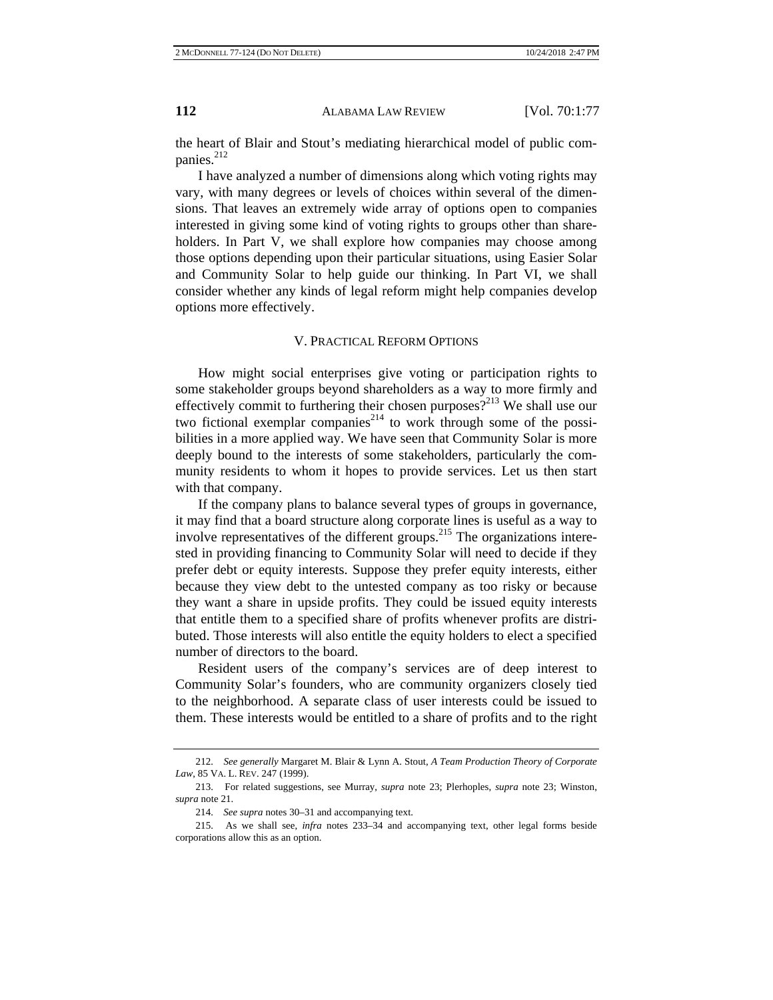the heart of Blair and Stout's mediating hierarchical model of public companies.<sup>212</sup>

I have analyzed a number of dimensions along which voting rights may vary, with many degrees or levels of choices within several of the dimensions. That leaves an extremely wide array of options open to companies interested in giving some kind of voting rights to groups other than shareholders. In Part V, we shall explore how companies may choose among those options depending upon their particular situations, using Easier Solar and Community Solar to help guide our thinking. In Part VI, we shall consider whether any kinds of legal reform might help companies develop options more effectively.

#### V. PRACTICAL REFORM OPTIONS

How might social enterprises give voting or participation rights to some stakeholder groups beyond shareholders as a way to more firmly and effectively commit to furthering their chosen purposes?<sup>213</sup> We shall use our two fictional exemplar companies<sup>214</sup> to work through some of the possibilities in a more applied way. We have seen that Community Solar is more deeply bound to the interests of some stakeholders, particularly the community residents to whom it hopes to provide services. Let us then start with that company.

If the company plans to balance several types of groups in governance, it may find that a board structure along corporate lines is useful as a way to involve representatives of the different groups.<sup>215</sup> The organizations interested in providing financing to Community Solar will need to decide if they prefer debt or equity interests. Suppose they prefer equity interests, either because they view debt to the untested company as too risky or because they want a share in upside profits. They could be issued equity interests that entitle them to a specified share of profits whenever profits are distributed. Those interests will also entitle the equity holders to elect a specified number of directors to the board.

Resident users of the company's services are of deep interest to Community Solar's founders, who are community organizers closely tied to the neighborhood. A separate class of user interests could be issued to them. These interests would be entitled to a share of profits and to the right

<sup>212.</sup> *See generally* Margaret M. Blair & Lynn A. Stout, *A Team Production Theory of Corporate Law*, 85 VA. L. REV. 247 (1999).

<sup>213.</sup> For related suggestions, see Murray, *supra* note 23; Plerhoples, *supra* note 23; Winston, *supra* note 21.

<sup>214.</sup> *See supra* notes 30–31 and accompanying text.

<sup>215.</sup> As we shall see, *infra* notes 233–34 and accompanying text, other legal forms beside corporations allow this as an option.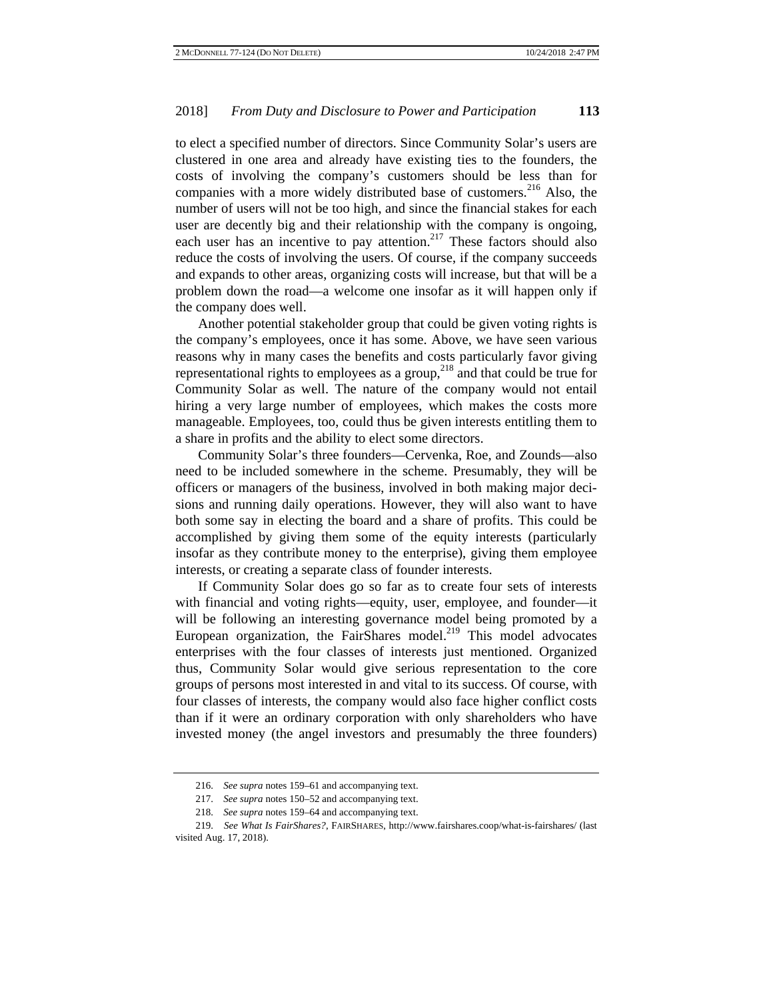to elect a specified number of directors. Since Community Solar's users are clustered in one area and already have existing ties to the founders, the costs of involving the company's customers should be less than for companies with a more widely distributed base of customers.<sup>216</sup> Also, the number of users will not be too high, and since the financial stakes for each user are decently big and their relationship with the company is ongoing, each user has an incentive to pay attention.<sup>217</sup> These factors should also reduce the costs of involving the users. Of course, if the company succeeds and expands to other areas, organizing costs will increase, but that will be a problem down the road—a welcome one insofar as it will happen only if the company does well.

Another potential stakeholder group that could be given voting rights is the company's employees, once it has some. Above, we have seen various reasons why in many cases the benefits and costs particularly favor giving representational rights to employees as a group,<sup>218</sup> and that could be true for Community Solar as well. The nature of the company would not entail hiring a very large number of employees, which makes the costs more manageable. Employees, too, could thus be given interests entitling them to a share in profits and the ability to elect some directors.

Community Solar's three founders—Cervenka, Roe, and Zounds—also need to be included somewhere in the scheme. Presumably, they will be officers or managers of the business, involved in both making major decisions and running daily operations. However, they will also want to have both some say in electing the board and a share of profits. This could be accomplished by giving them some of the equity interests (particularly insofar as they contribute money to the enterprise), giving them employee interests, or creating a separate class of founder interests.

If Community Solar does go so far as to create four sets of interests with financial and voting rights—equity, user, employee, and founder—it will be following an interesting governance model being promoted by a European organization, the FairShares model.<sup>219</sup> This model advocates enterprises with the four classes of interests just mentioned. Organized thus, Community Solar would give serious representation to the core groups of persons most interested in and vital to its success. Of course, with four classes of interests, the company would also face higher conflict costs than if it were an ordinary corporation with only shareholders who have invested money (the angel investors and presumably the three founders)

<sup>216.</sup> *See supra* notes 159–61 and accompanying text.

<sup>217.</sup> *See supra* notes 150–52 and accompanying text.

<sup>218.</sup> *See supra* notes 159–64 and accompanying text.

<sup>219.</sup> *See What Is FairShares?*, FAIRSHARES, http://www.fairshares.coop/what-is-fairshares/ (last visited Aug. 17, 2018).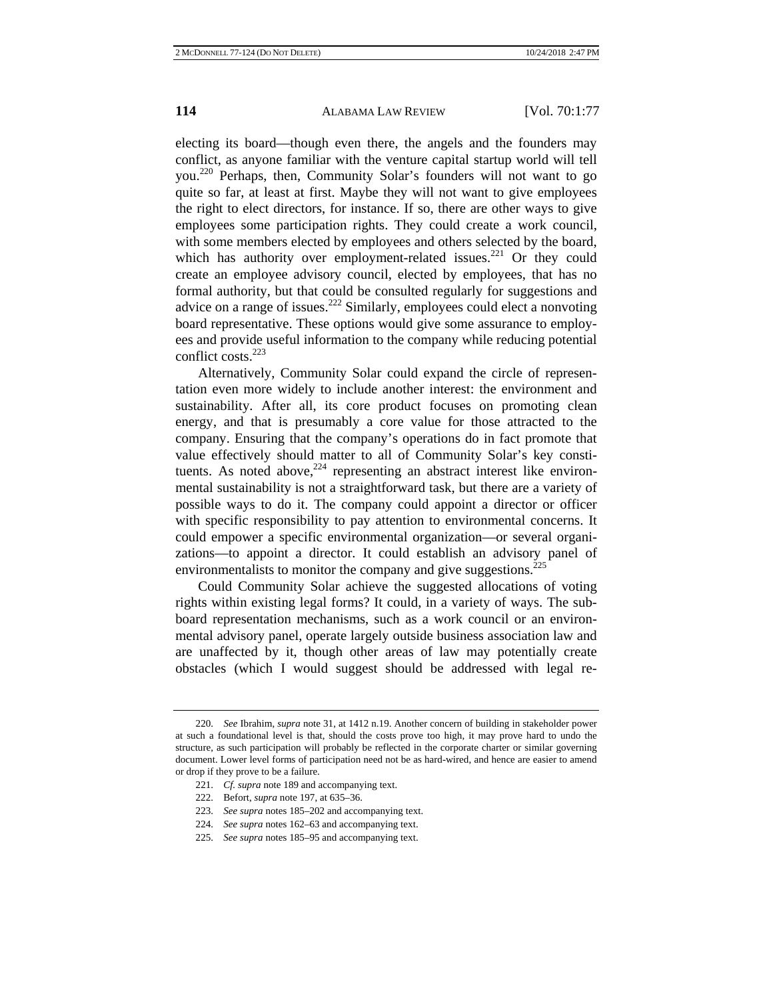electing its board—though even there, the angels and the founders may conflict, as anyone familiar with the venture capital startup world will tell you.220 Perhaps, then, Community Solar's founders will not want to go quite so far, at least at first. Maybe they will not want to give employees the right to elect directors, for instance. If so, there are other ways to give employees some participation rights. They could create a work council, with some members elected by employees and others selected by the board, which has authority over employment-related issues.<sup>221</sup> Or they could create an employee advisory council, elected by employees, that has no formal authority, but that could be consulted regularly for suggestions and advice on a range of issues.<sup>222</sup> Similarly, employees could elect a nonvoting board representative. These options would give some assurance to employees and provide useful information to the company while reducing potential conflict costs.<sup>223</sup>

Alternatively, Community Solar could expand the circle of representation even more widely to include another interest: the environment and sustainability. After all, its core product focuses on promoting clean energy, and that is presumably a core value for those attracted to the company. Ensuring that the company's operations do in fact promote that value effectively should matter to all of Community Solar's key constituents. As noted above,  $224$  representing an abstract interest like environmental sustainability is not a straightforward task, but there are a variety of possible ways to do it. The company could appoint a director or officer with specific responsibility to pay attention to environmental concerns. It could empower a specific environmental organization—or several organizations—to appoint a director. It could establish an advisory panel of environmentalists to monitor the company and give suggestions.<sup>225</sup>

Could Community Solar achieve the suggested allocations of voting rights within existing legal forms? It could, in a variety of ways. The subboard representation mechanisms, such as a work council or an environmental advisory panel, operate largely outside business association law and are unaffected by it, though other areas of law may potentially create obstacles (which I would suggest should be addressed with legal re-

- 224. *See supra* notes 162–63 and accompanying text.
- 225. *See supra* notes 185–95 and accompanying text.

<sup>220.</sup> *See* Ibrahim, *supra* note 31, at 1412 n.19. Another concern of building in stakeholder power at such a foundational level is that, should the costs prove too high, it may prove hard to undo the structure, as such participation will probably be reflected in the corporate charter or similar governing document. Lower level forms of participation need not be as hard-wired, and hence are easier to amend or drop if they prove to be a failure.

<sup>221.</sup> *Cf. supra* note 189 and accompanying text.

<sup>222.</sup> Befort, *supra* note 197, at 635–36.

<sup>223.</sup> *See supra* notes 185–202 and accompanying text.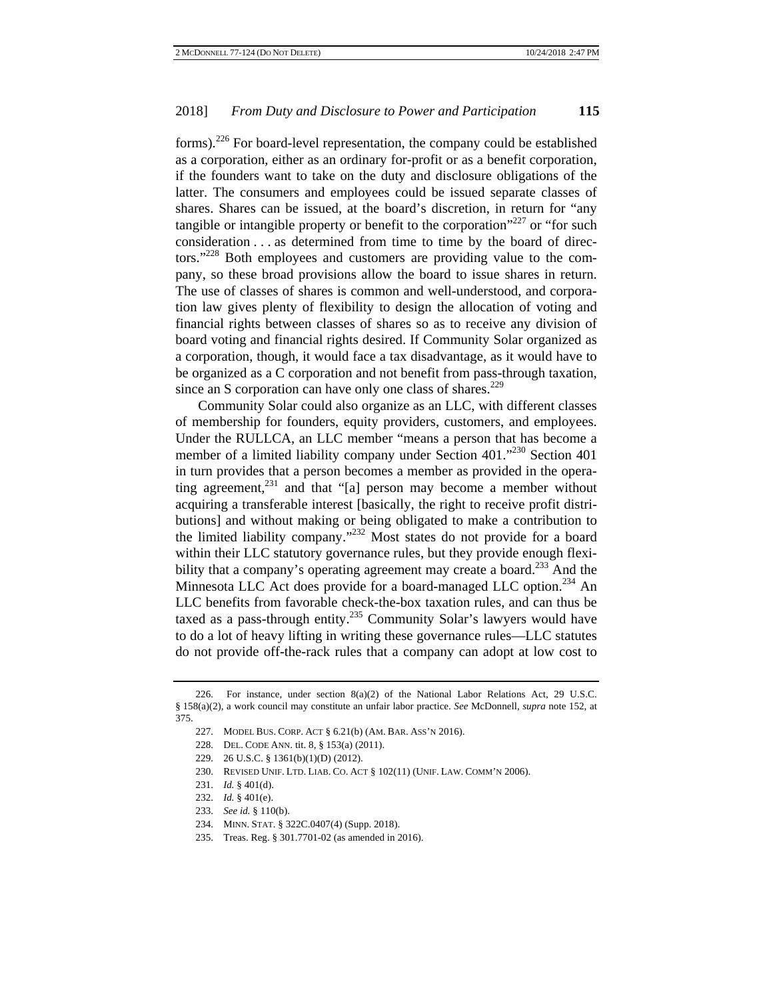forms).226 For board-level representation, the company could be established as a corporation, either as an ordinary for-profit or as a benefit corporation, if the founders want to take on the duty and disclosure obligations of the latter. The consumers and employees could be issued separate classes of shares. Shares can be issued, at the board's discretion, in return for "any tangible or intangible property or benefit to the corporation<sup> $227$ </sup> or "for such consideration . . . as determined from time to time by the board of directors."<sup>228</sup> Both employees and customers are providing value to the company, so these broad provisions allow the board to issue shares in return. The use of classes of shares is common and well-understood, and corporation law gives plenty of flexibility to design the allocation of voting and financial rights between classes of shares so as to receive any division of board voting and financial rights desired. If Community Solar organized as a corporation, though, it would face a tax disadvantage, as it would have to be organized as a C corporation and not benefit from pass-through taxation, since an S corporation can have only one class of shares. $229$ 

Community Solar could also organize as an LLC, with different classes of membership for founders, equity providers, customers, and employees. Under the RULLCA, an LLC member "means a person that has become a member of a limited liability company under Section 401.<sup>"230</sup> Section 401 in turn provides that a person becomes a member as provided in the operating agreement, $^{231}$  and that "[a] person may become a member without acquiring a transferable interest [basically, the right to receive profit distributions] and without making or being obligated to make a contribution to the limited liability company."232 Most states do not provide for a board within their LLC statutory governance rules, but they provide enough flexibility that a company's operating agreement may create a board.<sup>233</sup> And the Minnesota LLC Act does provide for a board-managed LLC option.<sup>234</sup> An LLC benefits from favorable check-the-box taxation rules, and can thus be taxed as a pass-through entity.<sup>235</sup> Community Solar's lawyers would have to do a lot of heavy lifting in writing these governance rules—LLC statutes do not provide off-the-rack rules that a company can adopt at low cost to

- 229. 26 U.S.C. § 1361(b)(1)(D) (2012).
- 230. REVISED UNIF. LTD. LIAB. CO. ACT § 102(11) (UNIF. LAW. COMM'N 2006).
- 231. *Id.* § 401(d).
- 232. *Id.* § 401(e).
- 233. *See id.* § 110(b).

235. Treas. Reg. § 301.7701-02 (as amended in 2016).

<sup>226.</sup> For instance, under section  $8(a)(2)$  of the National Labor Relations Act, 29 U.S.C. § 158(a)(2), a work council may constitute an unfair labor practice. *See* McDonnell, *supra* note 152, at 375.

<sup>227.</sup> MODEL BUS. CORP. ACT § 6.21(b) (AM. BAR. ASS'N 2016).

<sup>228.</sup> DEL. CODE ANN. tit. 8, § 153(a) (2011).

<sup>234.</sup> MINN. STAT. § 322C.0407(4) (Supp. 2018).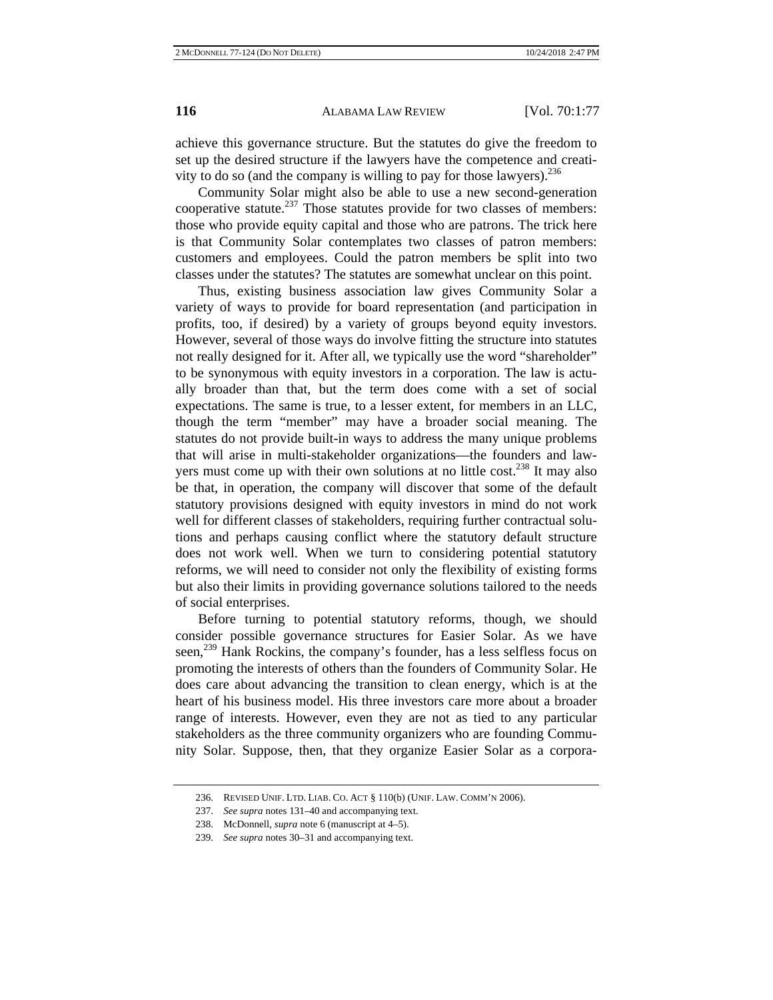achieve this governance structure. But the statutes do give the freedom to set up the desired structure if the lawyers have the competence and creativity to do so (and the company is willing to pay for those lawyers).<sup>236</sup>

Community Solar might also be able to use a new second-generation cooperative statute.<sup>237</sup> Those statutes provide for two classes of members: those who provide equity capital and those who are patrons. The trick here is that Community Solar contemplates two classes of patron members: customers and employees. Could the patron members be split into two classes under the statutes? The statutes are somewhat unclear on this point.

Thus, existing business association law gives Community Solar a variety of ways to provide for board representation (and participation in profits, too, if desired) by a variety of groups beyond equity investors. However, several of those ways do involve fitting the structure into statutes not really designed for it. After all, we typically use the word "shareholder" to be synonymous with equity investors in a corporation. The law is actually broader than that, but the term does come with a set of social expectations. The same is true, to a lesser extent, for members in an LLC, though the term "member" may have a broader social meaning. The statutes do not provide built-in ways to address the many unique problems that will arise in multi-stakeholder organizations—the founders and lawyers must come up with their own solutions at no little cost.<sup>238</sup> It may also be that, in operation, the company will discover that some of the default statutory provisions designed with equity investors in mind do not work well for different classes of stakeholders, requiring further contractual solutions and perhaps causing conflict where the statutory default structure does not work well. When we turn to considering potential statutory reforms, we will need to consider not only the flexibility of existing forms but also their limits in providing governance solutions tailored to the needs of social enterprises.

Before turning to potential statutory reforms, though, we should consider possible governance structures for Easier Solar. As we have seen,<sup>239</sup> Hank Rockins, the company's founder, has a less selfless focus on promoting the interests of others than the founders of Community Solar. He does care about advancing the transition to clean energy, which is at the heart of his business model. His three investors care more about a broader range of interests. However, even they are not as tied to any particular stakeholders as the three community organizers who are founding Community Solar. Suppose, then, that they organize Easier Solar as a corpora-

<sup>236.</sup> REVISED UNIF. LTD. LIAB. CO. ACT § 110(b) (UNIF. LAW. COMM'N 2006).

<sup>237.</sup> *See supra* notes 131–40 and accompanying text.

<sup>238.</sup> McDonnell, *supra* note 6 (manuscript at 4–5).

<sup>239.</sup> *See supra* notes 30–31 and accompanying text.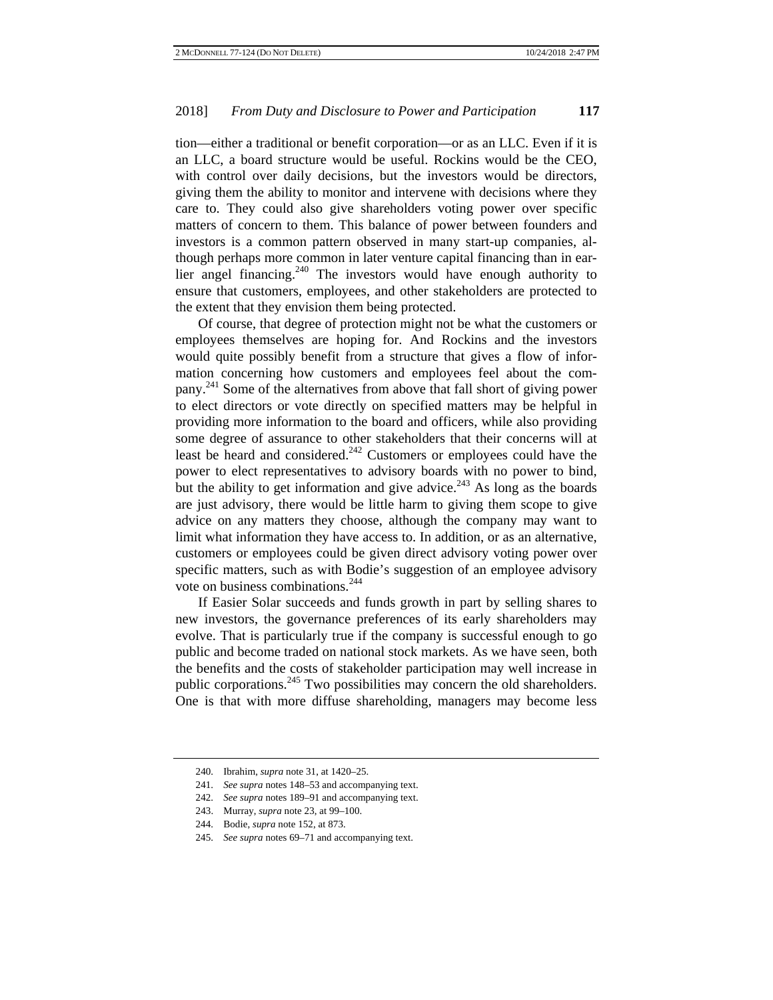tion—either a traditional or benefit corporation—or as an LLC. Even if it is an LLC, a board structure would be useful. Rockins would be the CEO, with control over daily decisions, but the investors would be directors, giving them the ability to monitor and intervene with decisions where they care to. They could also give shareholders voting power over specific matters of concern to them. This balance of power between founders and investors is a common pattern observed in many start-up companies, although perhaps more common in later venture capital financing than in earlier angel financing.<sup>240</sup> The investors would have enough authority to ensure that customers, employees, and other stakeholders are protected to the extent that they envision them being protected.

Of course, that degree of protection might not be what the customers or employees themselves are hoping for. And Rockins and the investors would quite possibly benefit from a structure that gives a flow of information concerning how customers and employees feel about the company.241 Some of the alternatives from above that fall short of giving power to elect directors or vote directly on specified matters may be helpful in providing more information to the board and officers, while also providing some degree of assurance to other stakeholders that their concerns will at least be heard and considered.<sup>242</sup> Customers or employees could have the power to elect representatives to advisory boards with no power to bind, but the ability to get information and give advice.<sup>243</sup> As long as the boards are just advisory, there would be little harm to giving them scope to give advice on any matters they choose, although the company may want to limit what information they have access to. In addition, or as an alternative, customers or employees could be given direct advisory voting power over specific matters, such as with Bodie's suggestion of an employee advisory vote on business combinations.<sup>244</sup>

If Easier Solar succeeds and funds growth in part by selling shares to new investors, the governance preferences of its early shareholders may evolve. That is particularly true if the company is successful enough to go public and become traded on national stock markets. As we have seen, both the benefits and the costs of stakeholder participation may well increase in public corporations.<sup>245</sup> Two possibilities may concern the old shareholders. One is that with more diffuse shareholding, managers may become less

<sup>240.</sup> Ibrahim, *supra* note 31, at 1420–25.

<sup>241.</sup> *See supra* notes 148–53 and accompanying text.

<sup>242.</sup> *See supra* notes 189–91 and accompanying text.

<sup>243.</sup> Murray, *supra* note 23, at 99–100.

<sup>244.</sup> Bodie, *supra* note 152, at 873.

<sup>245.</sup> *See supra* notes 69–71 and accompanying text.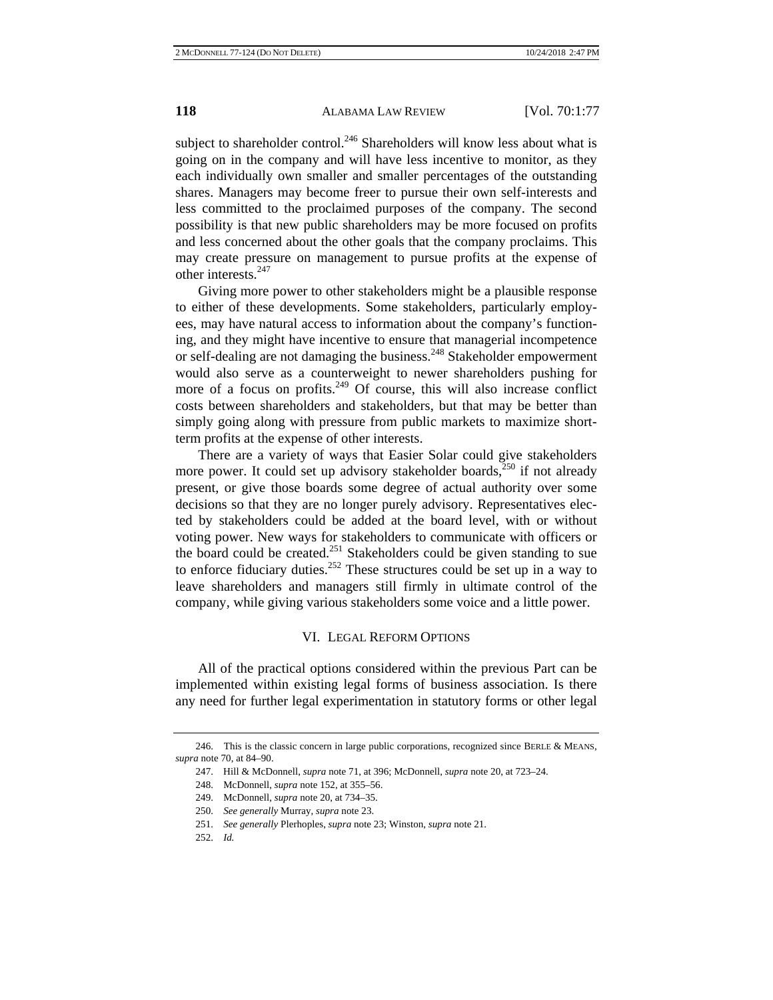subject to shareholder control.<sup>246</sup> Shareholders will know less about what is going on in the company and will have less incentive to monitor, as they each individually own smaller and smaller percentages of the outstanding shares. Managers may become freer to pursue their own self-interests and less committed to the proclaimed purposes of the company. The second possibility is that new public shareholders may be more focused on profits and less concerned about the other goals that the company proclaims. This may create pressure on management to pursue profits at the expense of other interests.<sup>247</sup>

Giving more power to other stakeholders might be a plausible response to either of these developments. Some stakeholders, particularly employees, may have natural access to information about the company's functioning, and they might have incentive to ensure that managerial incompetence or self-dealing are not damaging the business.<sup>248</sup> Stakeholder empowerment would also serve as a counterweight to newer shareholders pushing for more of a focus on profits.<sup>249</sup> Of course, this will also increase conflict costs between shareholders and stakeholders, but that may be better than simply going along with pressure from public markets to maximize shortterm profits at the expense of other interests.

There are a variety of ways that Easier Solar could give stakeholders more power. It could set up advisory stakeholder boards,<sup>250</sup> if not already present, or give those boards some degree of actual authority over some decisions so that they are no longer purely advisory. Representatives elected by stakeholders could be added at the board level, with or without voting power. New ways for stakeholders to communicate with officers or the board could be created. $251$  Stakeholders could be given standing to sue to enforce fiduciary duties.<sup>252</sup> These structures could be set up in a way to leave shareholders and managers still firmly in ultimate control of the company, while giving various stakeholders some voice and a little power.

## VI. LEGAL REFORM OPTIONS

All of the practical options considered within the previous Part can be implemented within existing legal forms of business association. Is there any need for further legal experimentation in statutory forms or other legal

<sup>246.</sup> This is the classic concern in large public corporations, recognized since BERLE & MEANS, *supra* note 70, at 84–90.

<sup>247.</sup> Hill & McDonnell, *supra* note 71, at 396; McDonnell, *supra* note 20, at 723–24.

<sup>248.</sup> McDonnell, *supra* note 152, at 355–56.

<sup>249.</sup> McDonnell, *supra* note 20, at 734–35.

<sup>250.</sup> *See generally* Murray, *supra* note 23.

<sup>251.</sup> *See generally* Plerhoples, *supra* note 23; Winston, *supra* note 21.

<sup>252.</sup> *Id.*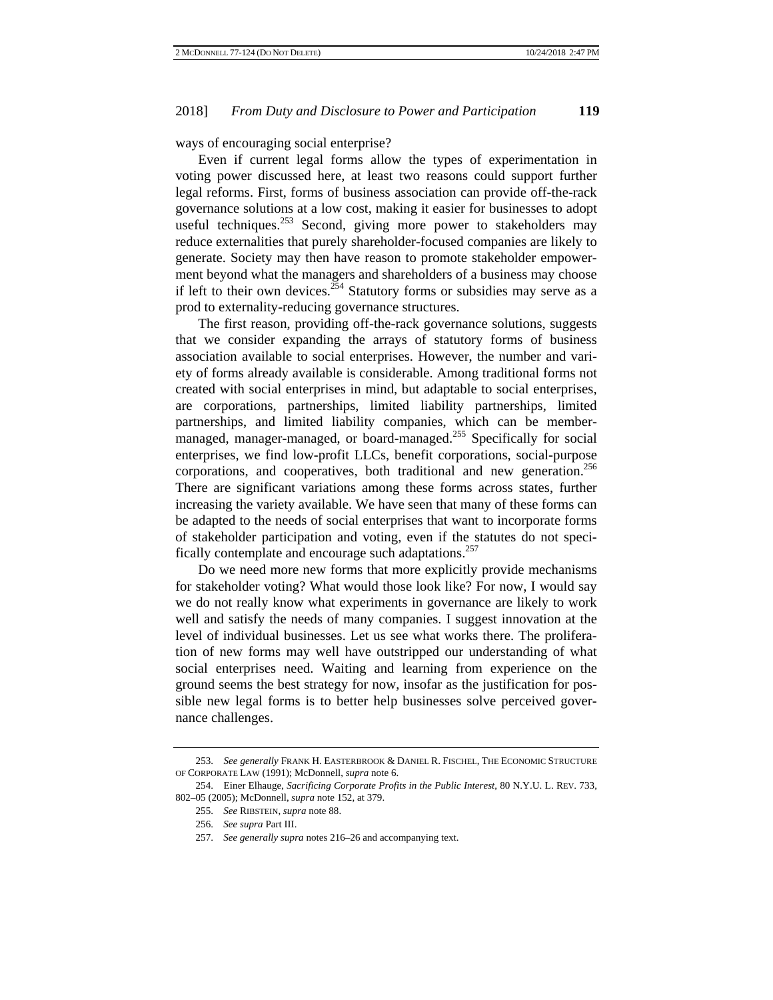ways of encouraging social enterprise?

Even if current legal forms allow the types of experimentation in voting power discussed here, at least two reasons could support further legal reforms. First, forms of business association can provide off-the-rack governance solutions at a low cost, making it easier for businesses to adopt useful techniques.<sup>253</sup> Second, giving more power to stakeholders may reduce externalities that purely shareholder-focused companies are likely to generate. Society may then have reason to promote stakeholder empowerment beyond what the managers and shareholders of a business may choose if left to their own devices.<sup>254</sup> Statutory forms or subsidies may serve as a prod to externality-reducing governance structures.

The first reason, providing off-the-rack governance solutions, suggests that we consider expanding the arrays of statutory forms of business association available to social enterprises. However, the number and variety of forms already available is considerable. Among traditional forms not created with social enterprises in mind, but adaptable to social enterprises, are corporations, partnerships, limited liability partnerships, limited partnerships, and limited liability companies, which can be membermanaged, manager-managed, or board-managed.<sup>255</sup> Specifically for social enterprises, we find low-profit LLCs, benefit corporations, social-purpose corporations, and cooperatives, both traditional and new generation.<sup>256</sup> There are significant variations among these forms across states, further increasing the variety available. We have seen that many of these forms can be adapted to the needs of social enterprises that want to incorporate forms of stakeholder participation and voting, even if the statutes do not specifically contemplate and encourage such adaptations.<sup>257</sup>

Do we need more new forms that more explicitly provide mechanisms for stakeholder voting? What would those look like? For now, I would say we do not really know what experiments in governance are likely to work well and satisfy the needs of many companies. I suggest innovation at the level of individual businesses. Let us see what works there. The proliferation of new forms may well have outstripped our understanding of what social enterprises need. Waiting and learning from experience on the ground seems the best strategy for now, insofar as the justification for possible new legal forms is to better help businesses solve perceived governance challenges.

<sup>253.</sup> *See generally* FRANK H. EASTERBROOK & DANIEL R. FISCHEL, THE ECONOMIC STRUCTURE OF CORPORATE LAW (1991); McDonnell, *supra* note 6.

<sup>254.</sup> Einer Elhauge, *Sacrificing Corporate Profits in the Public Interest*, 80 N.Y.U. L. REV. 733, 802–05 (2005); McDonnell, *supra* note 152, at 379.

<sup>255.</sup> *See* RIBSTEIN, *supra* note 88.

<sup>256.</sup> *See supra* Part III.

<sup>257.</sup> *See generally supra* notes 216–26 and accompanying text.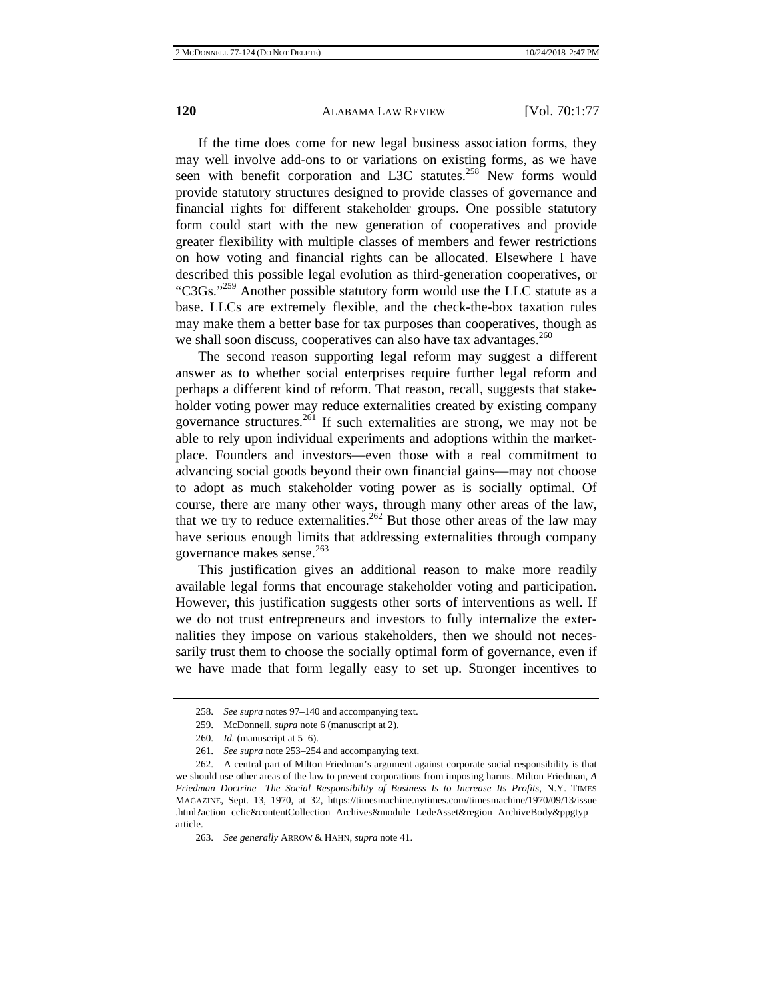If the time does come for new legal business association forms, they may well involve add-ons to or variations on existing forms, as we have seen with benefit corporation and L3C statutes.<sup>258</sup> New forms would provide statutory structures designed to provide classes of governance and financial rights for different stakeholder groups. One possible statutory form could start with the new generation of cooperatives and provide greater flexibility with multiple classes of members and fewer restrictions on how voting and financial rights can be allocated. Elsewhere I have described this possible legal evolution as third-generation cooperatives, or "C3Gs."259 Another possible statutory form would use the LLC statute as a base. LLCs are extremely flexible, and the check-the-box taxation rules may make them a better base for tax purposes than cooperatives, though as we shall soon discuss, cooperatives can also have tax advantages.<sup>260</sup>

The second reason supporting legal reform may suggest a different answer as to whether social enterprises require further legal reform and perhaps a different kind of reform. That reason, recall, suggests that stakeholder voting power may reduce externalities created by existing company governance structures.261 If such externalities are strong, we may not be able to rely upon individual experiments and adoptions within the marketplace. Founders and investors—even those with a real commitment to advancing social goods beyond their own financial gains—may not choose to adopt as much stakeholder voting power as is socially optimal. Of course, there are many other ways, through many other areas of the law, that we try to reduce externalities.<sup>262</sup> But those other areas of the law may have serious enough limits that addressing externalities through company governance makes sense. $^{263}$ 

This justification gives an additional reason to make more readily available legal forms that encourage stakeholder voting and participation. However, this justification suggests other sorts of interventions as well. If we do not trust entrepreneurs and investors to fully internalize the externalities they impose on various stakeholders, then we should not necessarily trust them to choose the socially optimal form of governance, even if we have made that form legally easy to set up. Stronger incentives to

<sup>258.</sup> *See supra* notes 97–140 and accompanying text.

<sup>259.</sup> McDonnell, *supra* note 6 (manuscript at 2).

<sup>260.</sup> *Id.* (manuscript at 5–6).

<sup>261.</sup> *See supra* note 253–254 and accompanying text.

<sup>262.</sup> A central part of Milton Friedman's argument against corporate social responsibility is that we should use other areas of the law to prevent corporations from imposing harms. Milton Friedman, *A Friedman Doctrine—The Social Responsibility of Business Is to Increase Its Profits*, N.Y. TIMES MAGAZINE, Sept. 13, 1970, at 32, https://timesmachine.nytimes.com/timesmachine/1970/09/13/issue .html?action=cclic&contentCollection=Archives&module=LedeAsset&region=ArchiveBody&ppgtyp= article.

<sup>263.</sup> *See generally* ARROW & HAHN, *supra* note 41.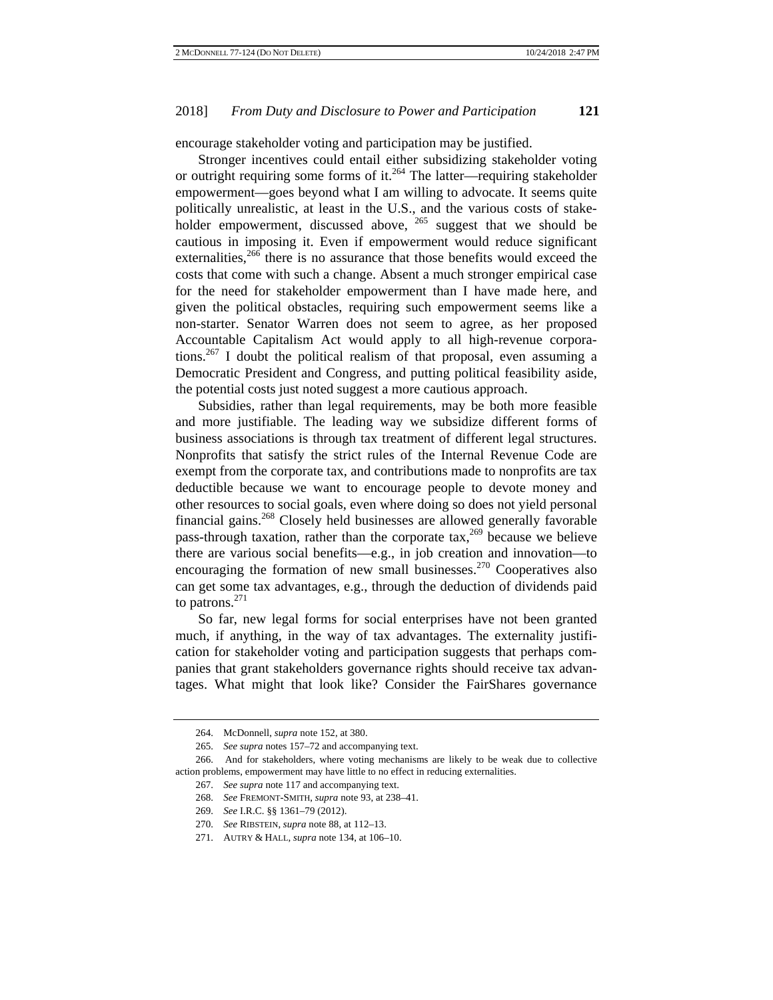encourage stakeholder voting and participation may be justified.

Stronger incentives could entail either subsidizing stakeholder voting or outright requiring some forms of it.<sup>264</sup> The latter—requiring stakeholder empowerment—goes beyond what I am willing to advocate. It seems quite politically unrealistic, at least in the U.S., and the various costs of stakeholder empowerment, discussed above, <sup>265</sup> suggest that we should be cautious in imposing it. Even if empowerment would reduce significant externalities,<sup>266</sup> there is no assurance that those benefits would exceed the costs that come with such a change. Absent a much stronger empirical case for the need for stakeholder empowerment than I have made here, and given the political obstacles, requiring such empowerment seems like a non-starter. Senator Warren does not seem to agree, as her proposed Accountable Capitalism Act would apply to all high-revenue corporations.<sup>267</sup> I doubt the political realism of that proposal, even assuming a Democratic President and Congress, and putting political feasibility aside, the potential costs just noted suggest a more cautious approach.

Subsidies, rather than legal requirements, may be both more feasible and more justifiable. The leading way we subsidize different forms of business associations is through tax treatment of different legal structures. Nonprofits that satisfy the strict rules of the Internal Revenue Code are exempt from the corporate tax, and contributions made to nonprofits are tax deductible because we want to encourage people to devote money and other resources to social goals, even where doing so does not yield personal financial gains.<sup>268</sup> Closely held businesses are allowed generally favorable pass-through taxation, rather than the corporate tax,<sup>269</sup> because we believe there are various social benefits—e.g., in job creation and innovation—to encouraging the formation of new small businesses.<sup>270</sup> Cooperatives also can get some tax advantages, e.g., through the deduction of dividends paid to patrons. $^{271}$ 

So far, new legal forms for social enterprises have not been granted much, if anything, in the way of tax advantages. The externality justification for stakeholder voting and participation suggests that perhaps companies that grant stakeholders governance rights should receive tax advantages. What might that look like? Consider the FairShares governance

<sup>264.</sup> McDonnell, *supra* note 152, at 380.

<sup>265.</sup> *See supra* notes 157–72 and accompanying text.

<sup>266.</sup> And for stakeholders, where voting mechanisms are likely to be weak due to collective action problems, empowerment may have little to no effect in reducing externalities.

<sup>267.</sup> *See supra* note 117 and accompanying text.

<sup>268.</sup> *See* FREMONT-SMITH, *supra* note 93, at 238–41.

<sup>269.</sup> *See* I.R.C. §§ 1361–79 (2012).

<sup>270.</sup> *See* RIBSTEIN, *supra* note 88, at 112–13.

<sup>271.</sup> AUTRY & HALL*, supra* note 134, at 106–10.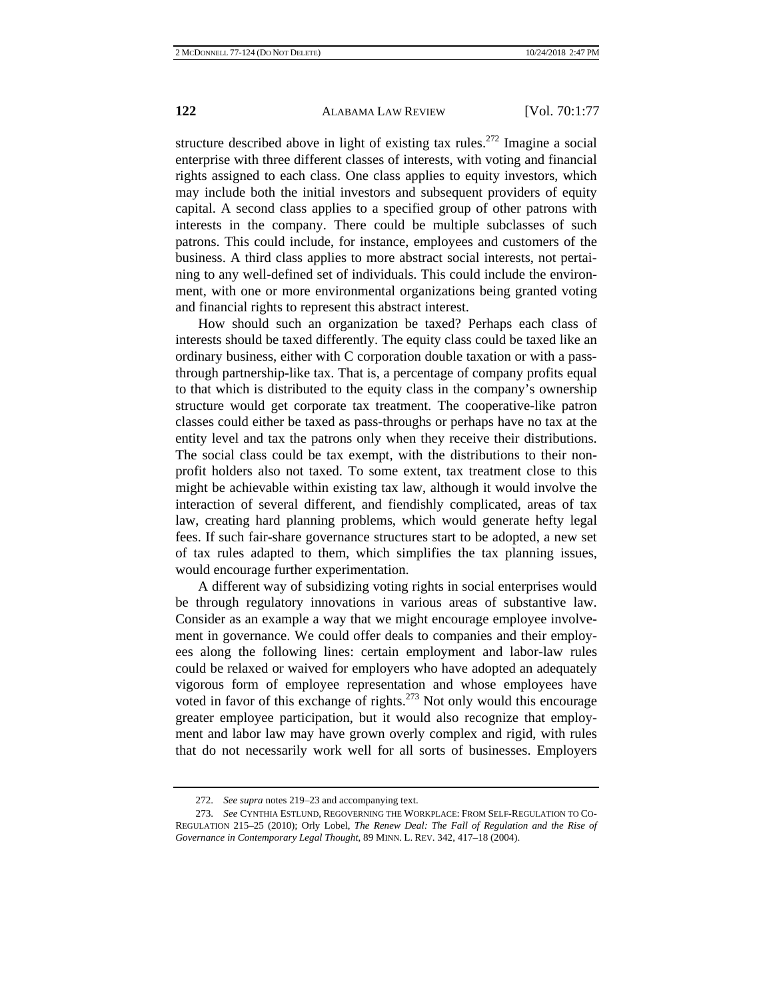structure described above in light of existing tax rules.<sup>272</sup> Imagine a social enterprise with three different classes of interests, with voting and financial rights assigned to each class. One class applies to equity investors, which may include both the initial investors and subsequent providers of equity capital. A second class applies to a specified group of other patrons with interests in the company. There could be multiple subclasses of such patrons. This could include, for instance, employees and customers of the business. A third class applies to more abstract social interests, not pertaining to any well-defined set of individuals. This could include the environment, with one or more environmental organizations being granted voting and financial rights to represent this abstract interest.

How should such an organization be taxed? Perhaps each class of interests should be taxed differently. The equity class could be taxed like an ordinary business, either with C corporation double taxation or with a passthrough partnership-like tax. That is, a percentage of company profits equal to that which is distributed to the equity class in the company's ownership structure would get corporate tax treatment. The cooperative-like patron classes could either be taxed as pass-throughs or perhaps have no tax at the entity level and tax the patrons only when they receive their distributions. The social class could be tax exempt, with the distributions to their nonprofit holders also not taxed. To some extent, tax treatment close to this might be achievable within existing tax law, although it would involve the interaction of several different, and fiendishly complicated, areas of tax law, creating hard planning problems, which would generate hefty legal fees. If such fair-share governance structures start to be adopted, a new set of tax rules adapted to them, which simplifies the tax planning issues, would encourage further experimentation.

A different way of subsidizing voting rights in social enterprises would be through regulatory innovations in various areas of substantive law. Consider as an example a way that we might encourage employee involvement in governance. We could offer deals to companies and their employees along the following lines: certain employment and labor-law rules could be relaxed or waived for employers who have adopted an adequately vigorous form of employee representation and whose employees have voted in favor of this exchange of rights. $273$  Not only would this encourage greater employee participation, but it would also recognize that employment and labor law may have grown overly complex and rigid, with rules that do not necessarily work well for all sorts of businesses. Employers

<sup>272.</sup> *See supra* notes 219–23 and accompanying text.

<sup>273.</sup> *See* CYNTHIA ESTLUND, REGOVERNING THE WORKPLACE: FROM SELF-REGULATION TO CO-REGULATION 215–25 (2010); Orly Lobel, *The Renew Deal: The Fall of Regulation and the Rise of Governance in Contemporary Legal Thought*, 89 MINN. L. REV. 342, 417–18 (2004).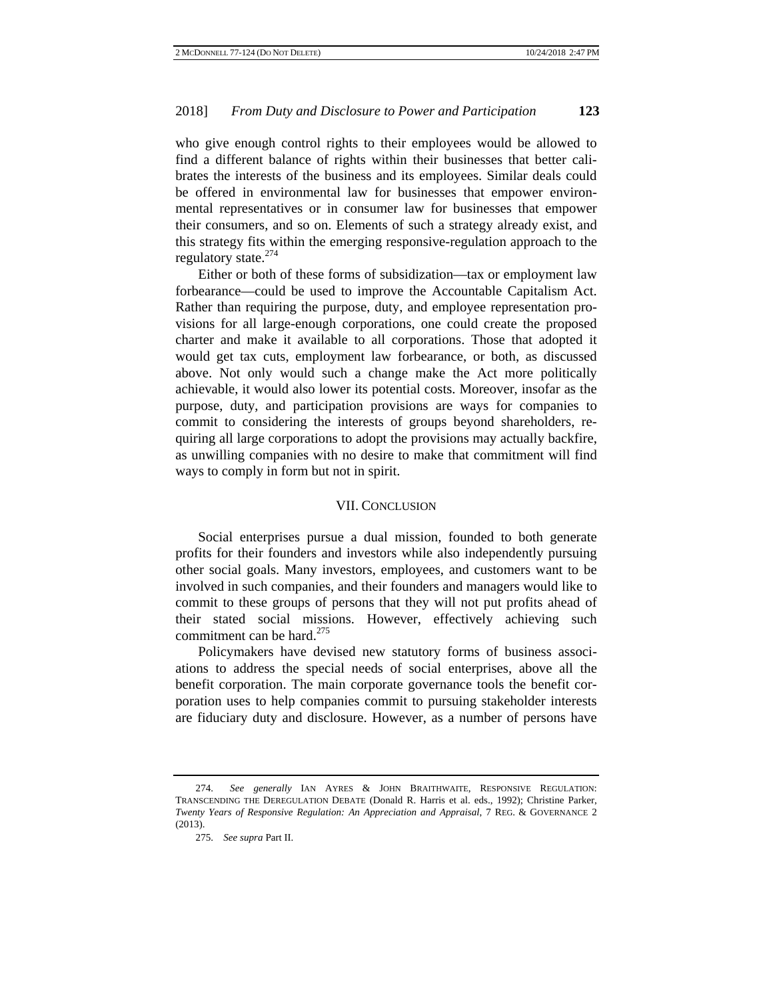who give enough control rights to their employees would be allowed to find a different balance of rights within their businesses that better calibrates the interests of the business and its employees. Similar deals could be offered in environmental law for businesses that empower environmental representatives or in consumer law for businesses that empower their consumers, and so on. Elements of such a strategy already exist, and this strategy fits within the emerging responsive-regulation approach to the regulatory state. $^{2/4}$ 

Either or both of these forms of subsidization—tax or employment law forbearance—could be used to improve the Accountable Capitalism Act. Rather than requiring the purpose, duty, and employee representation provisions for all large-enough corporations, one could create the proposed charter and make it available to all corporations. Those that adopted it would get tax cuts, employment law forbearance, or both, as discussed above. Not only would such a change make the Act more politically achievable, it would also lower its potential costs. Moreover, insofar as the purpose, duty, and participation provisions are ways for companies to commit to considering the interests of groups beyond shareholders, requiring all large corporations to adopt the provisions may actually backfire, as unwilling companies with no desire to make that commitment will find ways to comply in form but not in spirit.

#### VII. CONCLUSION

Social enterprises pursue a dual mission, founded to both generate profits for their founders and investors while also independently pursuing other social goals. Many investors, employees, and customers want to be involved in such companies, and their founders and managers would like to commit to these groups of persons that they will not put profits ahead of their stated social missions. However, effectively achieving such commitment can be hard. $275$ 

Policymakers have devised new statutory forms of business associations to address the special needs of social enterprises, above all the benefit corporation. The main corporate governance tools the benefit corporation uses to help companies commit to pursuing stakeholder interests are fiduciary duty and disclosure. However, as a number of persons have

<sup>274.</sup> *See generally* IAN AYRES & JOHN BRAITHWAITE, RESPONSIVE REGULATION: TRANSCENDING THE DEREGULATION DEBATE (Donald R. Harris et al. eds., 1992); Christine Parker, *Twenty Years of Responsive Regulation: An Appreciation and Appraisal*, 7 REG. & GOVERNANCE 2 (2013).

<sup>275.</sup> *See supra* Part II.